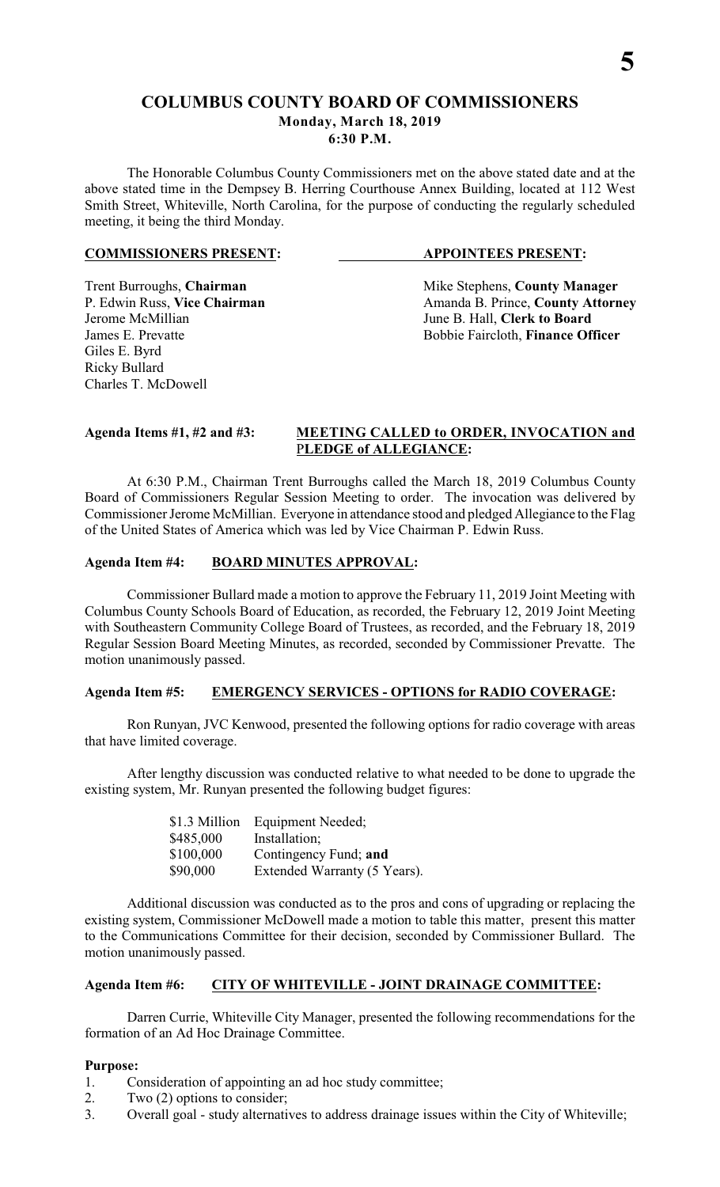# **COLUMBUS COUNTY BOARD OF COMMISSIONERS Monday, March 18, 2019**

**6:30 P.M.**

The Honorable Columbus County Commissioners met on the above stated date and at the above stated time in the Dempsey B. Herring Courthouse Annex Building, located at 112 West Smith Street, Whiteville, North Carolina, for the purpose of conducting the regularly scheduled meeting, it being the third Monday.

### **COMMISSIONERS PRESENT: APPOINTEES PRESENT:**

Jerome McMillian June B. Hall, **Clerk to Board** Giles E. Byrd Ricky Bullard Charles T. McDowell

Trent Burroughs, **Chairman** Mike Stephens, **County Manager** P. Edwin Russ, Vice Chairman Manager Amanda B. Prince, **County Attorn** P. Edwin Russ, **Vice Chairman** Amanda B. Prince, **County Attorney**<br>Jerome McMillian June B. Hall, **Clerk to Board** Bobbie Faircloth, Finance Officer

# **Agenda Items #1, #2 and #3: MEETING CALLED to ORDER, INVOCATION and** P**LEDGE of ALLEGIANCE:**

At 6:30 P.M., Chairman Trent Burroughs called the March 18, 2019 Columbus County Board of Commissioners Regular Session Meeting to order. The invocation was delivered by Commissioner Jerome McMillian. Everyone in attendance stood and pledged Allegiance to the Flag of the United States of America which was led by Vice Chairman P. Edwin Russ.

# **Agenda Item #4: BOARD MINUTES APPROVAL:**

Commissioner Bullard made a motion to approve the February 11, 2019 Joint Meeting with Columbus County Schools Board of Education, as recorded, the February 12, 2019 Joint Meeting with Southeastern Community College Board of Trustees, as recorded, and the February 18, 2019 Regular Session Board Meeting Minutes, as recorded, seconded by Commissioner Prevatte. The motion unanimously passed.

# **Agenda Item #5: EMERGENCY SERVICES - OPTIONS for RADIO COVERAGE:**

Ron Runyan, JVC Kenwood, presented the following options for radio coverage with areas that have limited coverage.

After lengthy discussion was conducted relative to what needed to be done to upgrade the existing system, Mr. Runyan presented the following budget figures:

| \$1.3 Million | Equipment Needed;            |
|---------------|------------------------------|
| \$485,000     | Installation;                |
| \$100,000     | Contingency Fund; and        |
| \$90,000      | Extended Warranty (5 Years). |

Additional discussion was conducted as to the pros and cons of upgrading or replacing the existing system, Commissioner McDowell made a motion to table this matter, present this matter to the Communications Committee for their decision, seconded by Commissioner Bullard. The motion unanimously passed.

# **Agenda Item #6: CITY OF WHITEVILLE - JOINT DRAINAGE COMMITTEE:**

Darren Currie, Whiteville City Manager, presented the following recommendations for the formation of an Ad Hoc Drainage Committee.

# **Purpose:**

- 1. Consideration of appointing an ad hoc study committee;
- 2. Two (2) options to consider;
- 3. Overall goal study alternatives to address drainage issues within the City of Whiteville;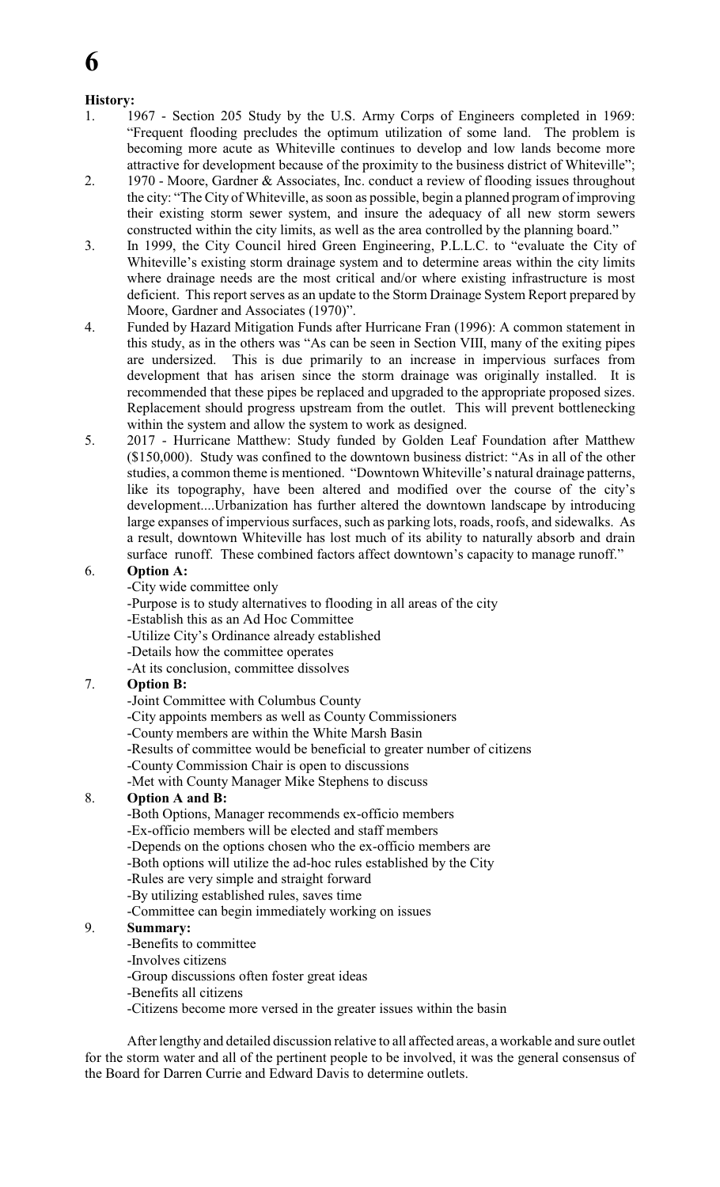# **History:**

- 1. 1967 Section 205 Study by the U.S. Army Corps of Engineers completed in 1969: "Frequent flooding precludes the optimum utilization of some land. The problem is becoming more acute as Whiteville continues to develop and low lands become more attractive for development because of the proximity to the business district of Whiteville";
- 2. 1970 Moore, Gardner & Associates, Inc. conduct a review of flooding issues throughout the city: "The City of Whiteville, as soon as possible, begin a planned program of improving their existing storm sewer system, and insure the adequacy of all new storm sewers constructed within the city limits, as well as the area controlled by the planning board."
- 3. In 1999, the City Council hired Green Engineering, P.L.L.C. to "evaluate the City of Whiteville's existing storm drainage system and to determine areas within the city limits where drainage needs are the most critical and/or where existing infrastructure is most deficient. This report serves as an update to the Storm Drainage System Report prepared by Moore, Gardner and Associates (1970)".
- 4. Funded by Hazard Mitigation Funds after Hurricane Fran (1996): A common statement in this study, as in the others was "As can be seen in Section VIII, many of the exiting pipes are undersized. This is due primarily to an increase in impervious surfaces from development that has arisen since the storm drainage was originally installed. It is recommended that these pipes be replaced and upgraded to the appropriate proposed sizes. Replacement should progress upstream from the outlet. This will prevent bottlenecking within the system and allow the system to work as designed.
- 5. 2017 Hurricane Matthew: Study funded by Golden Leaf Foundation after Matthew (\$150,000). Study was confined to the downtown business district: "As in all of the other studies, a common theme is mentioned. "Downtown Whiteville's natural drainage patterns, like its topography, have been altered and modified over the course of the city's development....Urbanization has further altered the downtown landscape by introducing large expanses of impervious surfaces, such as parking lots, roads, roofs, and sidewalks. As a result, downtown Whiteville has lost much of its ability to naturally absorb and drain surface runoff. These combined factors affect downtown's capacity to manage runoff."

# 6. **Option A:**

- -City wide committee only
- -Purpose is to study alternatives to flooding in all areas of the city
- -Establish this as an Ad Hoc Committee
- -Utilize City's Ordinance already established
- -Details how the committee operates
- -At its conclusion, committee dissolves

# 7. **Option B:**

- -Joint Committee with Columbus County
- -City appoints members as well as County Commissioners
- -County members are within the White Marsh Basin
- -Results of committee would be beneficial to greater number of citizens
- -County Commission Chair is open to discussions
- -Met with County Manager Mike Stephens to discuss

# 8. **Option A and B:**

- -Both Options, Manager recommends ex-officio members
- -Ex-officio members will be elected and staff members
- -Depends on the options chosen who the ex-officio members are
- -Both options will utilize the ad-hoc rules established by the City
- -Rules are very simple and straight forward
- -By utilizing established rules, saves time
- -Committee can begin immediately working on issues

# 9. **Summary:**

- -Benefits to committee
- -Involves citizens
- -Group discussions often foster great ideas
- -Benefits all citizens
- -Citizens become more versed in the greater issues within the basin

After lengthy and detailed discussion relative to all affected areas, a workable and sure outlet for the storm water and all of the pertinent people to be involved, it was the general consensus of the Board for Darren Currie and Edward Davis to determine outlets.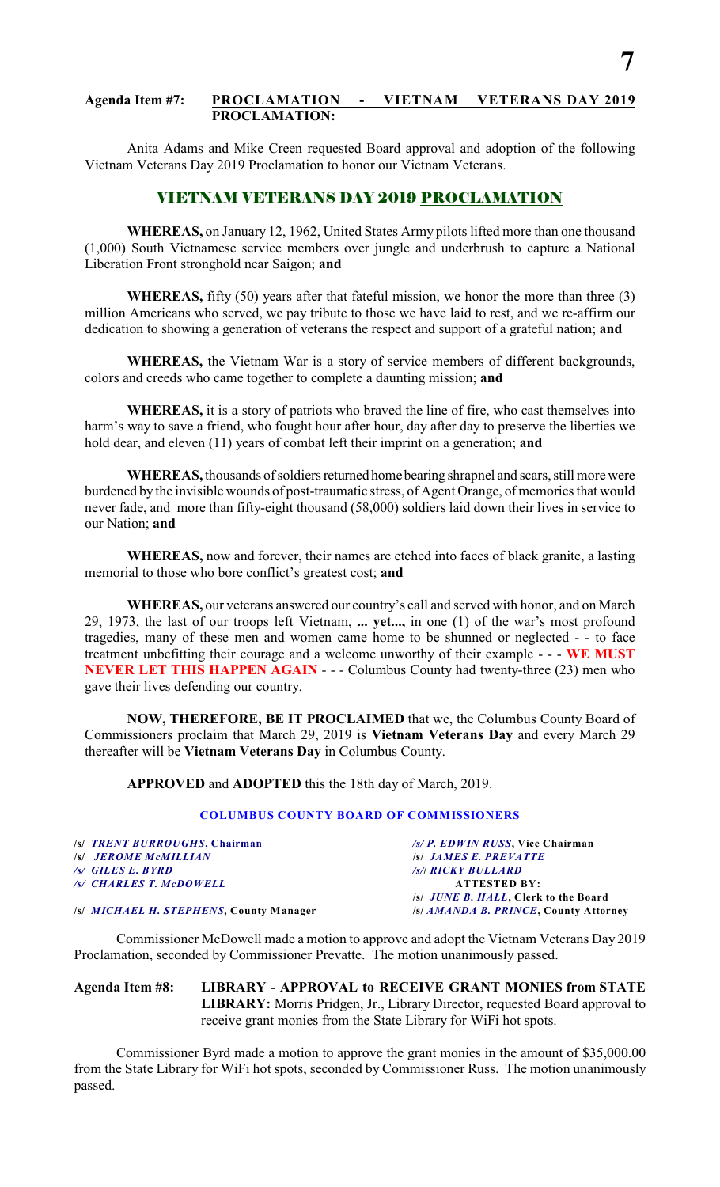# **Agenda Item #7: PROCLAMATION - VIETNAM VETERANS DAY 2019 PROCLAMATION:**

Anita Adams and Mike Creen requested Board approval and adoption of the following Vietnam Veterans Day 2019 Proclamation to honor our Vietnam Veterans.

# VIETNAM VETERANS DAY 2019 PROCLAMATION

**WHEREAS,** on January 12, 1962, United States Army pilots lifted more than one thousand (1,000) South Vietnamese service members over jungle and underbrush to capture a National Liberation Front stronghold near Saigon; **and**

**WHEREAS,** fifty (50) years after that fateful mission, we honor the more than three (3) million Americans who served, we pay tribute to those we have laid to rest, and we re-affirm our dedication to showing a generation of veterans the respect and support of a grateful nation; **and**

**WHEREAS,** the Vietnam War is a story of service members of different backgrounds, colors and creeds who came together to complete a daunting mission; **and**

**WHEREAS,** it is a story of patriots who braved the line of fire, who cast themselves into harm's way to save a friend, who fought hour after hour, day after day to preserve the liberties we hold dear, and eleven (11) years of combat left their imprint on a generation; **and**

**WHEREAS,** thousands of soldiers returned home bearing shrapnel and scars, still more were burdened by the invisible wounds of post-traumatic stress, of Agent Orange, of memories that would never fade, and more than fifty-eight thousand (58,000) soldiers laid down their lives in service to our Nation; **and**

**WHEREAS,** now and forever, their names are etched into faces of black granite, a lasting memorial to those who bore conflict's greatest cost; **and**

**WHEREAS,** our veterans answered our country's call and served with honor, and on March 29, 1973, the last of our troops left Vietnam, **... yet...,** in one (1) of the war's most profound tragedies, many of these men and women came home to be shunned or neglected - - to face treatment unbefitting their courage and a welcome unworthy of their example - - - **WE MUST NEVER LET THIS HAPPEN AGAIN** - - - Columbus County had twenty-three (23) men who gave their lives defending our country.

**NOW, THEREFORE, BE IT PROCLAIMED** that we, the Columbus County Board of Commissioners proclaim that March 29, 2019 is **Vietnam Veterans Day** and every March 29 thereafter will be **Vietnam Veterans Day** in Columbus County.

**APPROVED** and **ADOPTED** this the 18th day of March, 2019.

#### **COLUMBUS COUNTY BOARD OF COMMISSIONERS**

| /s/ TRENT BURROUGHS, Chairman           | /s/ P. EDWIN RUSS, Vice Chairman             |
|-----------------------------------------|----------------------------------------------|
| <b>S JEROME MCMILLIAN</b>               | <b>SSI JAMES E. PREVATTE</b>                 |
| /s/ GILES E. BYRD                       | /s/  RICKY BULLARD                           |
| /s/ CHARLES T. McDOWELL                 | <b>ATTESTED BY:</b>                          |
|                                         | /s/ <i>JUNE B. HALL</i> , Clerk to the Board |
| /s/ MICHAEL H. STEPHENS, County Manager | /s/ AMANDA B. PRINCE, County Attorney        |

Commissioner McDowell made a motion to approve and adopt the Vietnam Veterans Day 2019 Proclamation, seconded by Commissioner Prevatte. The motion unanimously passed.

## **Agenda Item #8: LIBRARY - APPROVAL to RECEIVE GRANT MONIES from STATE LIBRARY:** Morris Pridgen, Jr., Library Director, requested Board approval to receive grant monies from the State Library for WiFi hot spots.

Commissioner Byrd made a motion to approve the grant monies in the amount of \$35,000.00 from the State Library for WiFi hot spots, seconded by Commissioner Russ. The motion unanimously passed.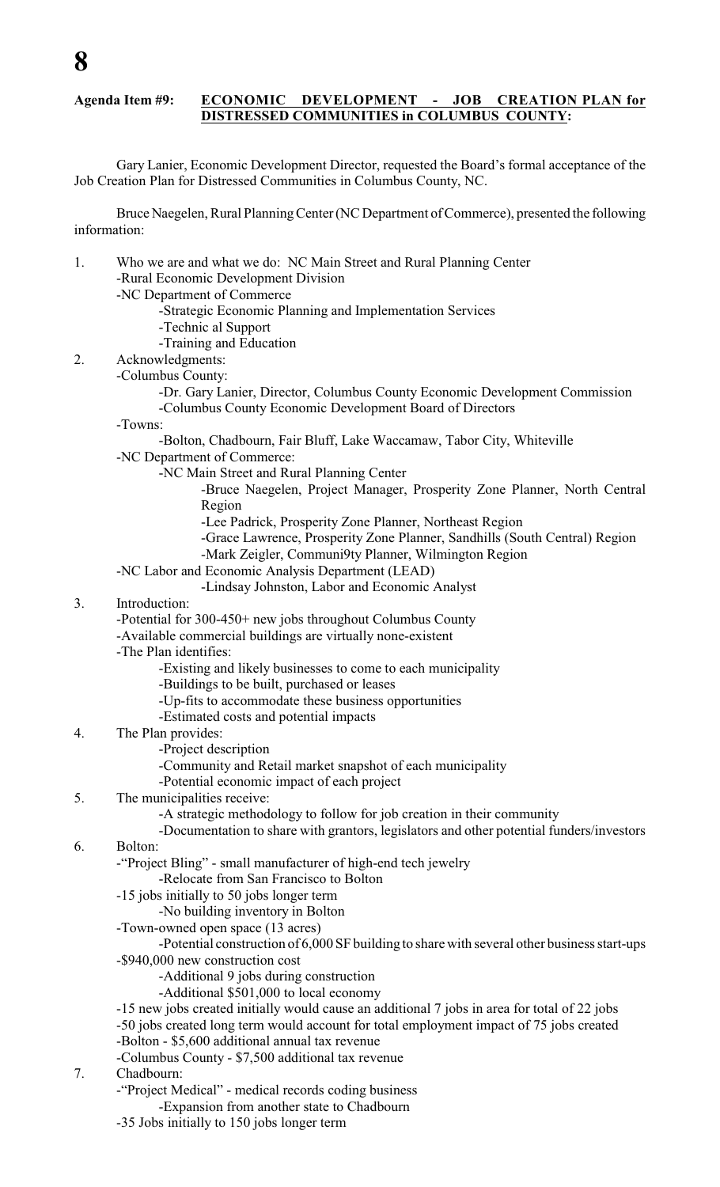# **Agenda Item #9: ECONOMIC DEVELOPMENT - JOB CREATION PLAN for DISTRESSED COMMUNITIES in COLUMBUS COUNTY:**

Gary Lanier, Economic Development Director, requested the Board's formal acceptance of the Job Creation Plan for Distressed Communities in Columbus County, NC.

Bruce Naegelen, Rural Planning Center (NC Department of Commerce), presented the following information:

- 1. Who we are and what we do: NC Main Street and Rural Planning Center -Rural Economic Development Division
	- -NC Department of Commerce
		- -Strategic Economic Planning and Implementation Services
		- -Technic al Support
		- -Training and Education

#### 2. Acknowledgments:

- -Columbus County:
	- -Dr. Gary Lanier, Director, Columbus County Economic Development Commission -Columbus County Economic Development Board of Directors

-Towns:

- -Bolton, Chadbourn, Fair Bluff, Lake Waccamaw, Tabor City, Whiteville
- -NC Department of Commerce:
	- -NC Main Street and Rural Planning Center
		- -Bruce Naegelen, Project Manager, Prosperity Zone Planner, North Central Region
		- -Lee Padrick, Prosperity Zone Planner, Northeast Region
		- -Grace Lawrence, Prosperity Zone Planner, Sandhills (South Central) Region
		- -Mark Zeigler, Communi9ty Planner, Wilmington Region
- -NC Labor and Economic Analysis Department (LEAD)
	- -Lindsay Johnston, Labor and Economic Analyst
- 3. Introduction:
	- -Potential for 300-450+ new jobs throughout Columbus County
	- -Available commercial buildings are virtually none-existent

-The Plan identifies:

- -Existing and likely businesses to come to each municipality
- -Buildings to be built, purchased or leases
	- -Up-fits to accommodate these business opportunities
	- -Estimated costs and potential impacts
- 4. The Plan provides:
	- -Project description
	- -Community and Retail market snapshot of each municipality
	- -Potential economic impact of each project
- 5. The municipalities receive:
	- -A strategic methodology to follow for job creation in their community
	- -Documentation to share with grantors, legislators and other potential funders/investors
- 6. Bolton:

-"Project Bling" - small manufacturer of high-end tech jewelry

-Relocate from San Francisco to Bolton

-15 jobs initially to 50 jobs longer term

-No building inventory in Bolton

- -Town-owned open space (13 acres)
- -Potential construction of 6,000 SF building to share with several other business start-ups -\$940,000 new construction cost
	- -Additional 9 jobs during construction
	- -Additional \$501,000 to local economy
- -15 new jobs created initially would cause an additional 7 jobs in area for total of 22 jobs
- -50 jobs created long term would account for total employment impact of 75 jobs created
- -Bolton \$5,600 additional annual tax revenue
	- -Columbus County \$7,500 additional tax revenue
- 7. Chadbourn:
	- -"Project Medical" medical records coding business
		- -Expansion from another state to Chadbourn
	- -35 Jobs initially to 150 jobs longer term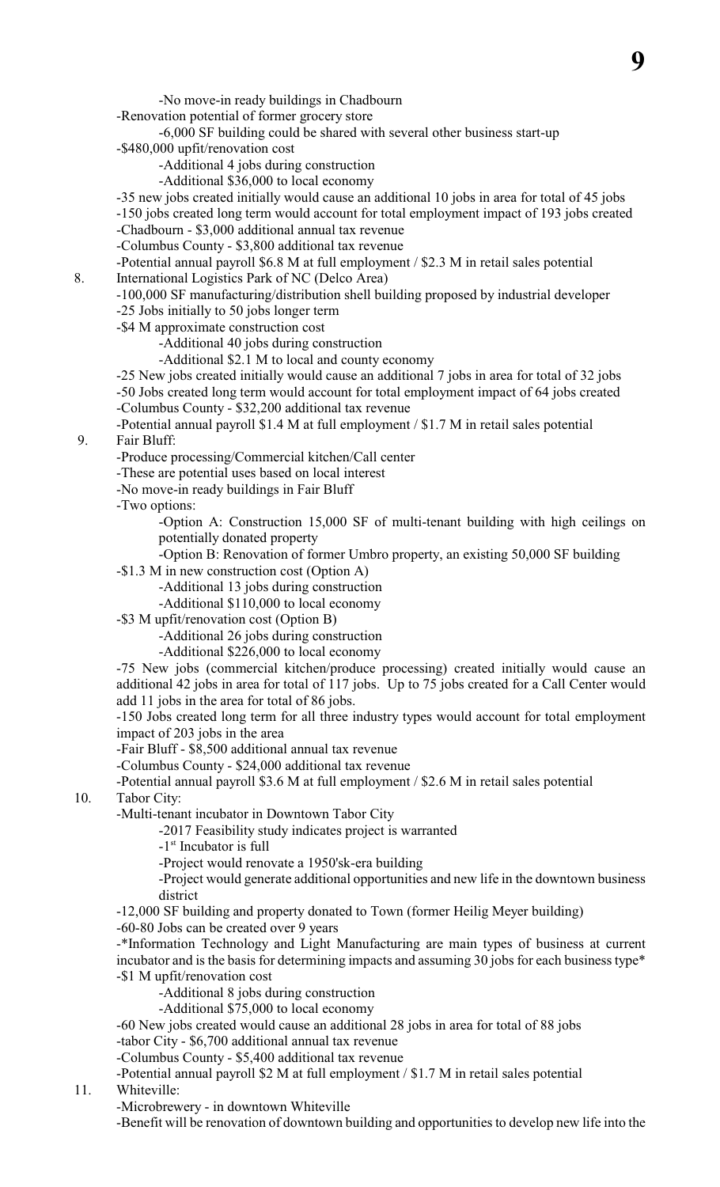-No move-in ready buildings in Chadbourn

-Renovation potential of former grocery store

-6,000 SF building could be shared with several other business start-up -\$480,000 upfit/renovation cost

-Additional 4 jobs during construction -Additional \$36,000 to local economy

-35 new jobs created initially would cause an additional 10 jobs in area for total of 45 jobs

-150 jobs created long term would account for total employment impact of 193 jobs created

-Chadbourn - \$3,000 additional annual tax revenue

-Columbus County - \$3,800 additional tax revenue

-Potential annual payroll \$6.8 M at full employment / \$2.3 M in retail sales potential

8. International Logistics Park of NC (Delco Area)

-100,000 SF manufacturing/distribution shell building proposed by industrial developer

-25 Jobs initially to 50 jobs longer term

-\$4 M approximate construction cost

-Additional 40 jobs during construction

-Additional \$2.1 M to local and county economy

-25 New jobs created initially would cause an additional 7 jobs in area for total of 32 jobs -50 Jobs created long term would account for total employment impact of 64 jobs created -Columbus County - \$32,200 additional tax revenue

-Potential annual payroll \$1.4 M at full employment / \$1.7 M in retail sales potential 9. Fair Bluff:

-Produce processing/Commercial kitchen/Call center

-These are potential uses based on local interest

-No move-in ready buildings in Fair Bluff

-Two options:

-Option A: Construction 15,000 SF of multi-tenant building with high ceilings on potentially donated property

-Option B: Renovation of former Umbro property, an existing 50,000 SF building

-\$1.3 M in new construction cost (Option A)

-Additional 13 jobs during construction

-Additional \$110,000 to local economy

-\$3 M upfit/renovation cost (Option B)

-Additional 26 jobs during construction

-Additional \$226,000 to local economy

-75 New jobs (commercial kitchen/produce processing) created initially would cause an additional 42 jobs in area for total of 117 jobs. Up to 75 jobs created for a Call Center would add 11 jobs in the area for total of 86 jobs.

-150 Jobs created long term for all three industry types would account for total employment impact of 203 jobs in the area

-Fair Bluff - \$8,500 additional annual tax revenue

-Columbus County - \$24,000 additional tax revenue

-Potential annual payroll \$3.6 M at full employment / \$2.6 M in retail sales potential

10. Tabor City:

-Multi-tenant incubator in Downtown Tabor City

-2017 Feasibility study indicates project is warranted

- $-1$ <sup>st</sup> Incubator is full
- -Project would renovate a 1950'sk-era building

-Project would generate additional opportunities and new life in the downtown business district

-12,000 SF building and property donated to Town (former Heilig Meyer building)

-60-80 Jobs can be created over 9 years

-\*Information Technology and Light Manufacturing are main types of business at current incubator and is the basis for determining impacts and assuming 30 jobs for each business type\* -\$1 M upfit/renovation cost

- -Additional 8 jobs during construction
	- -Additional \$75,000 to local economy

-60 New jobs created would cause an additional 28 jobs in area for total of 88 jobs -tabor City - \$6,700 additional annual tax revenue

-Columbus County - \$5,400 additional tax revenue

-Potential annual payroll \$2 M at full employment / \$1.7 M in retail sales potential

# 11. Whiteville:

-Microbrewery - in downtown Whiteville

-Benefit will be renovation of downtown building and opportunities to develop new life into the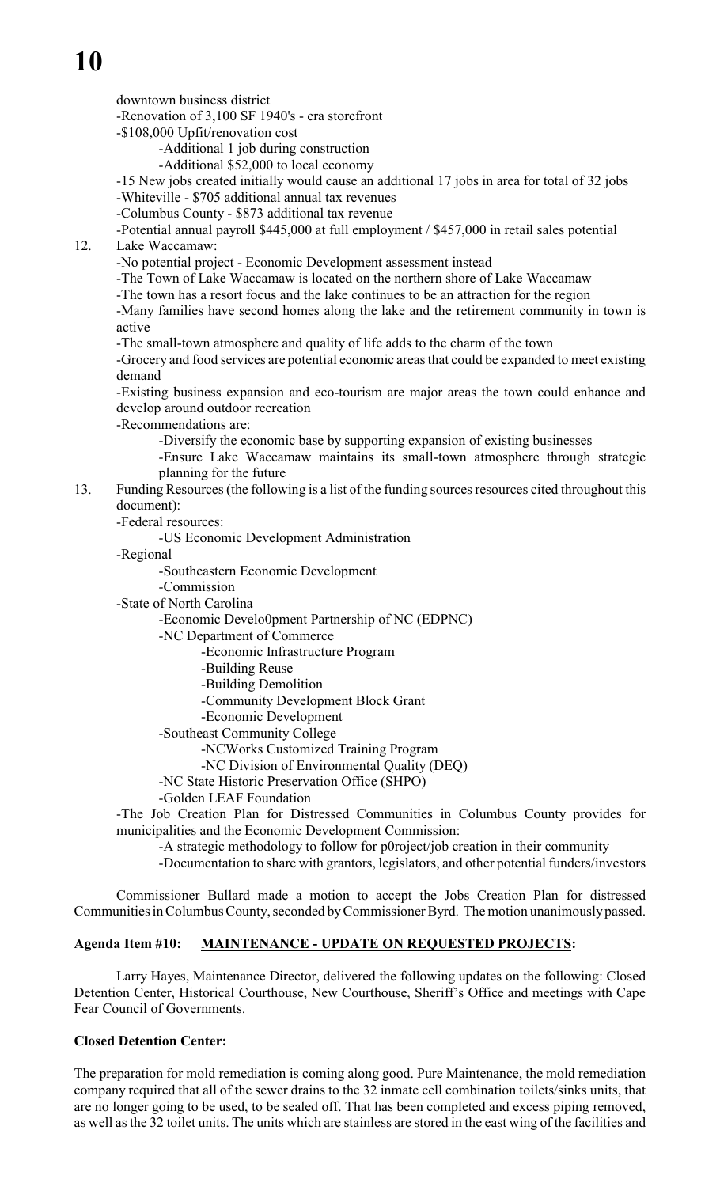downtown business district

-Renovation of 3,100 SF 1940's - era storefront

-\$108,000 Upfit/renovation cost

-Additional 1 job during construction

-Additional \$52,000 to local economy

-15 New jobs created initially would cause an additional 17 jobs in area for total of 32 jobs -Whiteville - \$705 additional annual tax revenues

-Columbus County - \$873 additional tax revenue

-Potential annual payroll \$445,000 at full employment / \$457,000 in retail sales potential 12. Lake Waccamaw:

-No potential project - Economic Development assessment instead

-The Town of Lake Waccamaw is located on the northern shore of Lake Waccamaw

-The town has a resort focus and the lake continues to be an attraction for the region

-Many families have second homes along the lake and the retirement community in town is active

-The small-town atmosphere and quality of life adds to the charm of the town

-Grocery and food services are potential economic areas that could be expanded to meet existing demand

-Existing business expansion and eco-tourism are major areas the town could enhance and develop around outdoor recreation

-Recommendations are:

-Diversify the economic base by supporting expansion of existing businesses

-Ensure Lake Waccamaw maintains its small-town atmosphere through strategic planning for the future

# 13. Funding Resources (the following is a list of the funding sources resources cited throughout this document):

-Federal resources:

-US Economic Development Administration

-Regional

-Southeastern Economic Development

-Commission

-State of North Carolina

-Economic Develo0pment Partnership of NC (EDPNC)

-NC Department of Commerce

-Economic Infrastructure Program

-Building Reuse

- -Building Demolition
- -Community Development Block Grant
- -Economic Development

-Southeast Community College

-NCWorks Customized Training Program

-NC Division of Environmental Quality (DEQ)

-NC State Historic Preservation Office (SHPO)

-Golden LEAF Foundation

-The Job Creation Plan for Distressed Communities in Columbus County provides for municipalities and the Economic Development Commission:

-A strategic methodology to follow for p0roject/job creation in their community

-Documentation to share with grantors, legislators, and other potential funders/investors

Commissioner Bullard made a motion to accept the Jobs Creation Plan for distressed Communities in Columbus County, seconded byCommissioner Byrd. The motion unanimously passed.

# **Agenda Item #10: MAINTENANCE - UPDATE ON REQUESTED PROJECTS:**

Larry Hayes, Maintenance Director, delivered the following updates on the following: Closed Detention Center, Historical Courthouse, New Courthouse, Sheriff's Office and meetings with Cape Fear Council of Governments.

# **Closed Detention Center:**

The preparation for mold remediation is coming along good. Pure Maintenance, the mold remediation company required that all of the sewer drains to the 32 inmate cell combination toilets/sinks units, that are no longer going to be used, to be sealed off. That has been completed and excess piping removed, as well as the 32 toilet units. The units which are stainless are stored in the east wing of the facilities and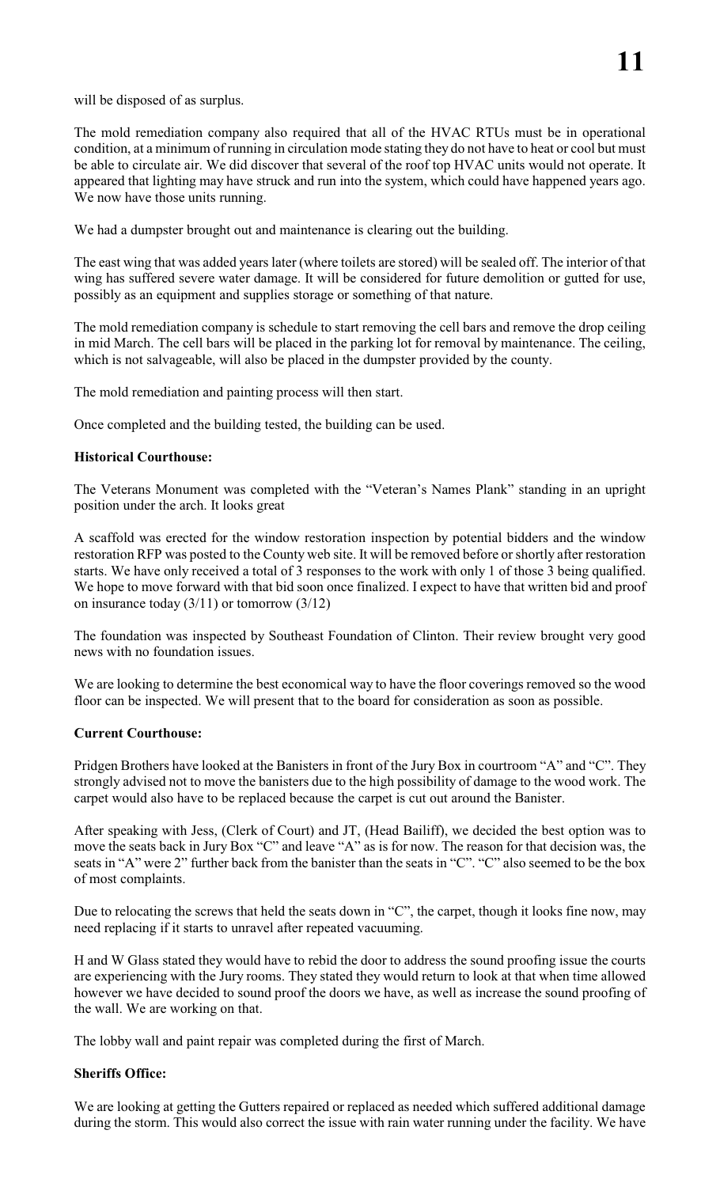will be disposed of as surplus.

The mold remediation company also required that all of the HVAC RTUs must be in operational condition, at a minimum of running in circulation mode stating they do not have to heat or cool but must be able to circulate air. We did discover that several of the roof top HVAC units would not operate. It appeared that lighting may have struck and run into the system, which could have happened years ago. We now have those units running.

We had a dumpster brought out and maintenance is clearing out the building.

The east wing that was added years later (where toilets are stored) will be sealed off. The interior of that wing has suffered severe water damage. It will be considered for future demolition or gutted for use, possibly as an equipment and supplies storage or something of that nature.

The mold remediation company is schedule to start removing the cell bars and remove the drop ceiling in mid March. The cell bars will be placed in the parking lot for removal by maintenance. The ceiling, which is not salvageable, will also be placed in the dumpster provided by the county.

The mold remediation and painting process will then start.

Once completed and the building tested, the building can be used.

## **Historical Courthouse:**

The Veterans Monument was completed with the "Veteran's Names Plank" standing in an upright position under the arch. It looks great

A scaffold was erected for the window restoration inspection by potential bidders and the window restoration RFP was posted to the County web site. It will be removed before or shortly after restoration starts. We have only received a total of 3 responses to the work with only 1 of those 3 being qualified. We hope to move forward with that bid soon once finalized. I expect to have that written bid and proof on insurance today  $(3/11)$  or tomorrow  $(3/12)$ 

The foundation was inspected by Southeast Foundation of Clinton. Their review brought very good news with no foundation issues.

We are looking to determine the best economical way to have the floor coverings removed so the wood floor can be inspected. We will present that to the board for consideration as soon as possible.

#### **Current Courthouse:**

Pridgen Brothers have looked at the Banisters in front of the Jury Box in courtroom "A" and "C". They strongly advised not to move the banisters due to the high possibility of damage to the wood work. The carpet would also have to be replaced because the carpet is cut out around the Banister.

After speaking with Jess, (Clerk of Court) and JT, (Head Bailiff), we decided the best option was to move the seats back in Jury Box "C" and leave "A" as is for now. The reason for that decision was, the seats in "A" were 2" further back from the banister than the seats in "C". "C" also seemed to be the box of most complaints.

Due to relocating the screws that held the seats down in "C", the carpet, though it looks fine now, may need replacing if it starts to unravel after repeated vacuuming.

H and W Glass stated they would have to rebid the door to address the sound proofing issue the courts are experiencing with the Jury rooms. They stated they would return to look at that when time allowed however we have decided to sound proof the doors we have, as well as increase the sound proofing of the wall. We are working on that.

The lobby wall and paint repair was completed during the first of March.

# **Sheriffs Office:**

We are looking at getting the Gutters repaired or replaced as needed which suffered additional damage during the storm. This would also correct the issue with rain water running under the facility. We have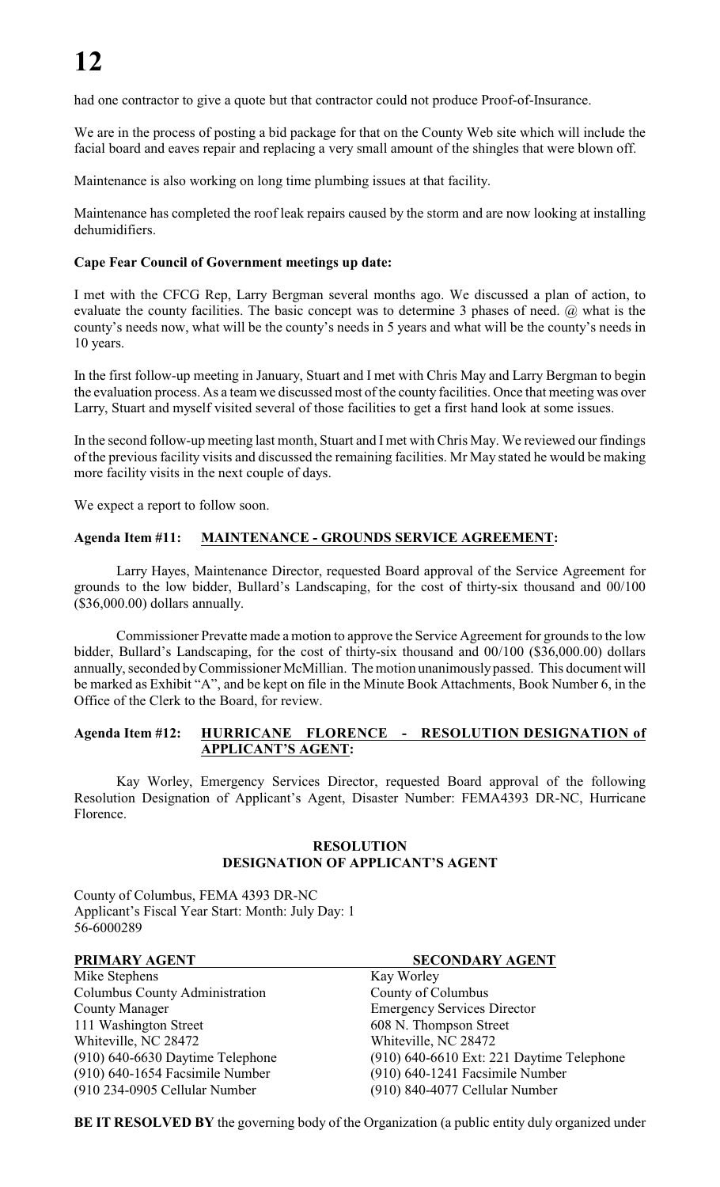had one contractor to give a quote but that contractor could not produce Proof-of-Insurance.

We are in the process of posting a bid package for that on the County Web site which will include the facial board and eaves repair and replacing a very small amount of the shingles that were blown off.

Maintenance is also working on long time plumbing issues at that facility.

Maintenance has completed the roof leak repairs caused by the storm and are now looking at installing dehumidifiers.

# **Cape Fear Council of Government meetings up date:**

I met with the CFCG Rep, Larry Bergman several months ago. We discussed a plan of action, to evaluate the county facilities. The basic concept was to determine 3 phases of need. @ what is the county's needs now, what will be the county's needs in 5 years and what will be the county's needs in 10 years.

In the first follow-up meeting in January, Stuart and I met with Chris May and Larry Bergman to begin the evaluation process. As a team we discussed most of the county facilities. Once that meeting was over Larry, Stuart and myself visited several of those facilities to get a first hand look at some issues.

In the second follow-up meeting last month, Stuart and I met with Chris May. We reviewed our findings of the previous facility visits and discussed the remaining facilities. Mr May stated he would be making more facility visits in the next couple of days.

We expect a report to follow soon.

# **Agenda Item #11: MAINTENANCE - GROUNDS SERVICE AGREEMENT:**

Larry Hayes, Maintenance Director, requested Board approval of the Service Agreement for grounds to the low bidder, Bullard's Landscaping, for the cost of thirty-six thousand and 00/100 (\$36,000.00) dollars annually.

Commissioner Prevatte made a motion to approve the Service Agreement for grounds to the low bidder, Bullard's Landscaping, for the cost of thirty-six thousand and 00/100 (\$36,000.00) dollars annually, seconded by Commissioner McMillian. The motion unanimously passed. This document will be marked as Exhibit "A", and be kept on file in the Minute Book Attachments, Book Number 6, in the Office of the Clerk to the Board, for review.

# **Agenda Item #12: HURRICANE FLORENCE - RESOLUTION DESIGNATION of APPLICANT'S AGENT:**

Kay Worley, Emergency Services Director, requested Board approval of the following Resolution Designation of Applicant's Agent, Disaster Number: FEMA4393 DR-NC, Hurricane Florence.

# **RESOLUTION DESIGNATION OF APPLICANT'S AGENT**

County of Columbus, FEMA 4393 DR-NC Applicant's Fiscal Year Start: Month: July Day: 1 56-6000289

Mike Stephens Kay Worley Columbus County Administration County of Columbus County Manager Emergency Services Director 111 Washington Street 608 N. Thompson Street Whiteville, NC 28472 Whiteville, NC 28472 (910) 640-1654 Facsimile Number (910) 640-1241 Facsimile Number (910 234-0905 Cellular Number (910) 840-4077 Cellular Number

#### **PRIMARY AGENT SECONDARY AGENT**

(910) 640-6630 Daytime Telephone (910) 640-6610 Ext: 221 Daytime Telephone

**BE IT RESOLVED BY** the governing body of the Organization (a public entity duly organized under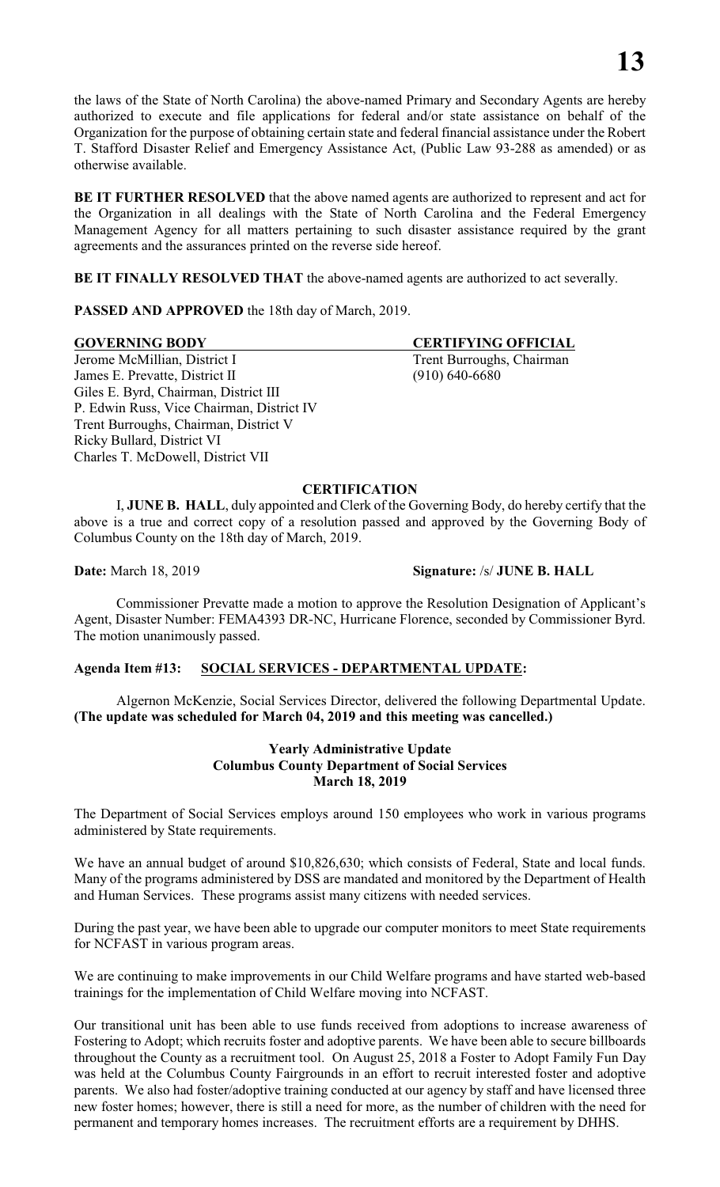the laws of the State of North Carolina) the above-named Primary and Secondary Agents are hereby authorized to execute and file applications for federal and/or state assistance on behalf of the Organization for the purpose of obtaining certain state and federal financial assistance under the Robert T. Stafford Disaster Relief and Emergency Assistance Act, (Public Law 93-288 as amended) or as otherwise available.

**BE IT FURTHER RESOLVED** that the above named agents are authorized to represent and act for the Organization in all dealings with the State of North Carolina and the Federal Emergency Management Agency for all matters pertaining to such disaster assistance required by the grant agreements and the assurances printed on the reverse side hereof.

**BE IT FINALLY RESOLVED THAT** the above-named agents are authorized to act severally.

**PASSED AND APPROVED** the 18th day of March, 2019.

#### **GOVERNING BODY CERTIFYING OFFICIAL**

Jerome McMillian, District I Trent Burroughs, Chairman James E. Prevatte, District II (910) 640-6680 Giles E. Byrd, Chairman, District III P. Edwin Russ, Vice Chairman, District IV Trent Burroughs, Chairman, District V Ricky Bullard, District VI Charles T. McDowell, District VII

**CERTIFICATION**

I, **JUNE B. HALL**, duly appointed and Clerk of the Governing Body, do hereby certify that the above is a true and correct copy of a resolution passed and approved by the Governing Body of Columbus County on the 18th day of March, 2019.

**Date:** March 18, 2019 **Signature:** /s/ **JUNE B. HALL**

Commissioner Prevatte made a motion to approve the Resolution Designation of Applicant's Agent, Disaster Number: FEMA4393 DR-NC, Hurricane Florence, seconded by Commissioner Byrd. The motion unanimously passed.

# **Agenda Item #13: SOCIAL SERVICES - DEPARTMENTAL UPDATE:**

Algernon McKenzie, Social Services Director, delivered the following Departmental Update. **(The update was scheduled for March 04, 2019 and this meeting was cancelled.)**

# **Yearly Administrative Update Columbus County Department of Social Services March 18, 2019**

The Department of Social Services employs around 150 employees who work in various programs administered by State requirements.

We have an annual budget of around \$10,826,630; which consists of Federal, State and local funds. Many of the programs administered by DSS are mandated and monitored by the Department of Health and Human Services. These programs assist many citizens with needed services.

During the past year, we have been able to upgrade our computer monitors to meet State requirements for NCFAST in various program areas.

We are continuing to make improvements in our Child Welfare programs and have started web-based trainings for the implementation of Child Welfare moving into NCFAST.

Our transitional unit has been able to use funds received from adoptions to increase awareness of Fostering to Adopt; which recruits foster and adoptive parents. We have been able to secure billboards throughout the County as a recruitment tool. On August 25, 2018 a Foster to Adopt Family Fun Day was held at the Columbus County Fairgrounds in an effort to recruit interested foster and adoptive parents. We also had foster/adoptive training conducted at our agency by staff and have licensed three new foster homes; however, there is still a need for more, as the number of children with the need for permanent and temporary homes increases. The recruitment efforts are a requirement by DHHS.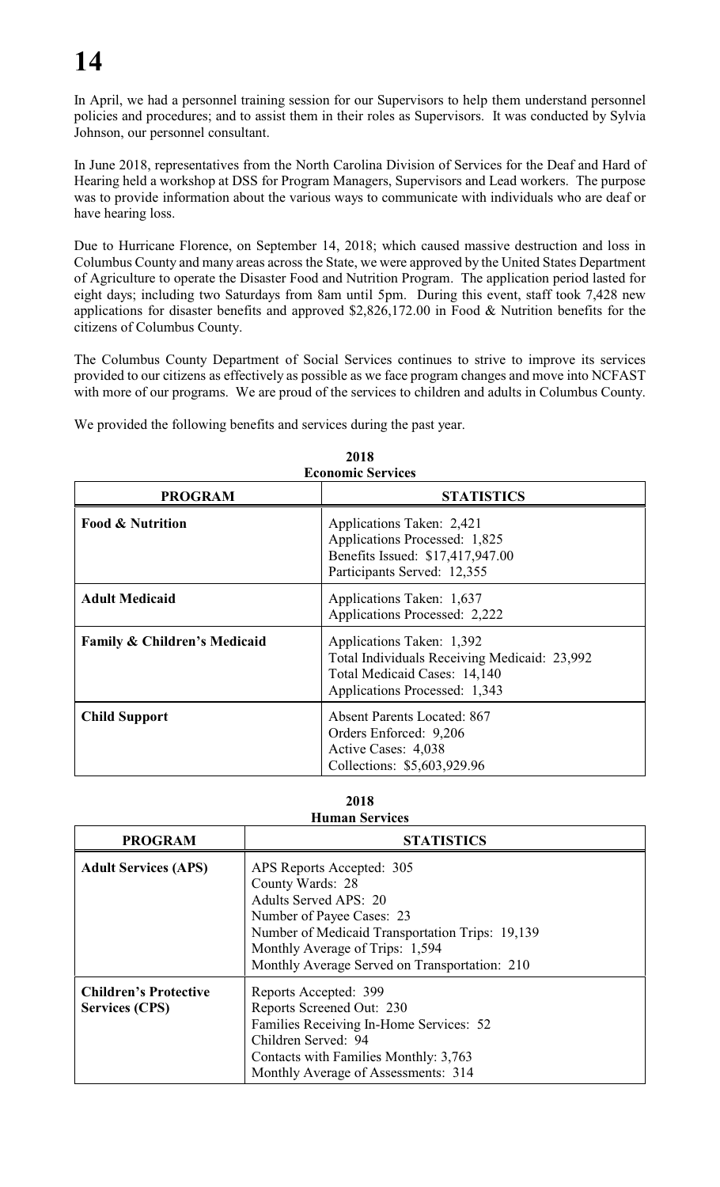In April, we had a personnel training session for our Supervisors to help them understand personnel policies and procedures; and to assist them in their roles as Supervisors. It was conducted by Sylvia Johnson, our personnel consultant.

In June 2018, representatives from the North Carolina Division of Services for the Deaf and Hard of Hearing held a workshop at DSS for Program Managers, Supervisors and Lead workers. The purpose was to provide information about the various ways to communicate with individuals who are deaf or have hearing loss.

Due to Hurricane Florence, on September 14, 2018; which caused massive destruction and loss in Columbus County and many areas across the State, we were approved by the United States Department of Agriculture to operate the Disaster Food and Nutrition Program. The application period lasted for eight days; including two Saturdays from 8am until 5pm. During this event, staff took 7,428 new applications for disaster benefits and approved \$2,826,172.00 in Food & Nutrition benefits for the citizens of Columbus County.

The Columbus County Department of Social Services continues to strive to improve its services provided to our citizens as effectively as possible as we face program changes and move into NCFAST with more of our programs. We are proud of the services to children and adults in Columbus County.

We provided the following benefits and services during the past year.

| <b>Economic Services</b>     |                                                                                                                                            |  |  |  |
|------------------------------|--------------------------------------------------------------------------------------------------------------------------------------------|--|--|--|
| <b>PROGRAM</b>               | <b>STATISTICS</b>                                                                                                                          |  |  |  |
| <b>Food &amp; Nutrition</b>  | Applications Taken: 2,421<br>Applications Processed: 1,825<br>Benefits Issued: \$17,417,947.00<br>Participants Served: 12,355              |  |  |  |
| <b>Adult Medicaid</b>        | Applications Taken: 1,637<br>Applications Processed: 2,222                                                                                 |  |  |  |
| Family & Children's Medicaid | Applications Taken: 1,392<br>Total Individuals Receiving Medicaid: 23,992<br>Total Medicaid Cases: 14,140<br>Applications Processed: 1,343 |  |  |  |
| <b>Child Support</b>         | <b>Absent Parents Located: 867</b><br>Orders Enforced: 9,206<br>Active Cases: 4,038<br>Collections: \$5,603,929.96                         |  |  |  |

| 2018                     |  |
|--------------------------|--|
| <b>Economic Services</b> |  |

#### **2018 Human Services**

| <b>PROGRAM</b>                                        | <b>STATISTICS</b>                                                                                                                                                                                                                                 |
|-------------------------------------------------------|---------------------------------------------------------------------------------------------------------------------------------------------------------------------------------------------------------------------------------------------------|
| <b>Adult Services (APS)</b>                           | APS Reports Accepted: 305<br>County Wards: 28<br><b>Adults Served APS: 20</b><br>Number of Payee Cases: 23<br>Number of Medicaid Transportation Trips: 19,139<br>Monthly Average of Trips: 1,594<br>Monthly Average Served on Transportation: 210 |
| <b>Children's Protective</b><br><b>Services (CPS)</b> | Reports Accepted: 399<br>Reports Screened Out: 230<br>Families Receiving In-Home Services: 52<br>Children Served: 94<br>Contacts with Families Monthly: 3,763<br>Monthly Average of Assessments: 314                                              |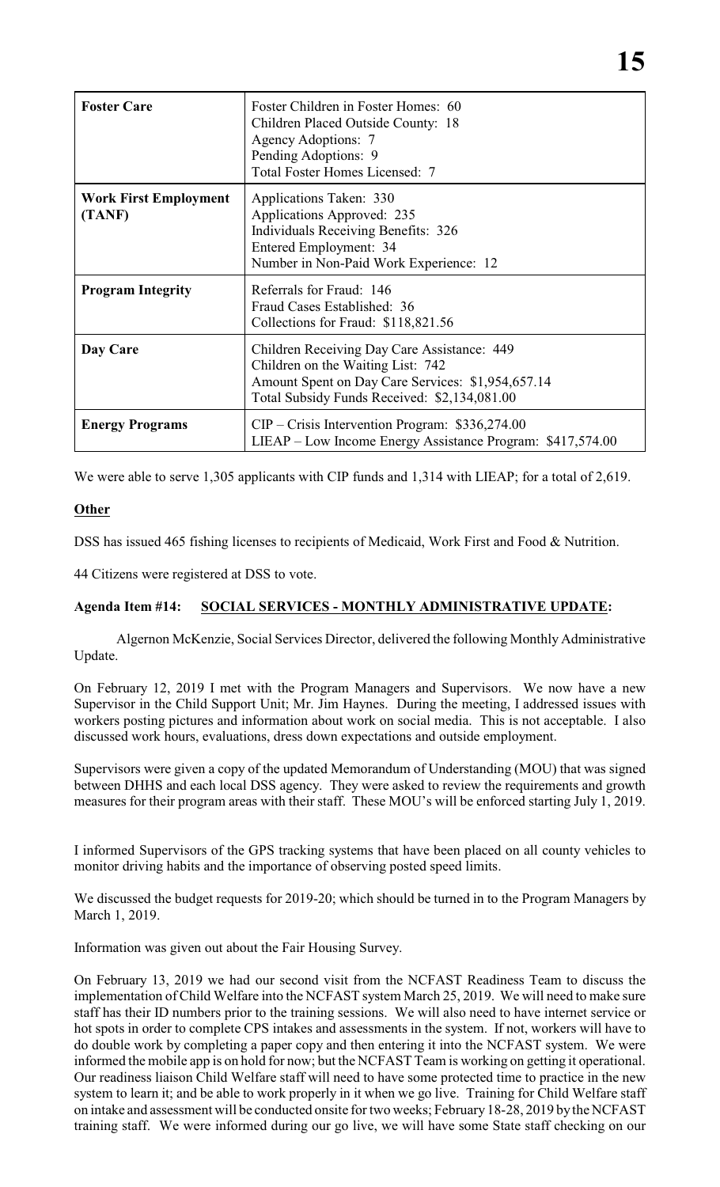| <b>Foster Care</b>                     | Foster Children in Foster Homes: 60<br>Children Placed Outside County: 18<br><b>Agency Adoptions: 7</b><br>Pending Adoptions: 9<br>Total Foster Homes Licensed: 7                     |
|----------------------------------------|---------------------------------------------------------------------------------------------------------------------------------------------------------------------------------------|
| <b>Work First Employment</b><br>(TANF) | Applications Taken: 330<br>Applications Approved: 235<br><b>Individuals Receiving Benefits: 326</b><br>Entered Employment: 34<br>Number in Non-Paid Work Experience: 12               |
| <b>Program Integrity</b>               | Referrals for Fraud: 146<br>Fraud Cases Established: 36<br>Collections for Fraud: \$118,821.56                                                                                        |
| Day Care                               | Children Receiving Day Care Assistance: 449<br>Children on the Waiting List: 742<br>Amount Spent on Day Care Services: \$1,954,657.14<br>Total Subsidy Funds Received: \$2,134,081.00 |
| <b>Energy Programs</b>                 | $CIP - Crisis$ Intervention Program: \$336,274.00<br>LIEAP – Low Income Energy Assistance Program: \$417,574.00                                                                       |

We were able to serve 1,305 applicants with CIP funds and 1,314 with LIEAP; for a total of 2,619.

# **Other**

DSS has issued 465 fishing licenses to recipients of Medicaid, Work First and Food & Nutrition.

44 Citizens were registered at DSS to vote.

# **Agenda Item #14: SOCIAL SERVICES - MONTHLY ADMINISTRATIVE UPDATE:**

Algernon McKenzie, Social Services Director, delivered the following Monthly Administrative Update.

On February 12, 2019 I met with the Program Managers and Supervisors. We now have a new Supervisor in the Child Support Unit; Mr. Jim Haynes. During the meeting, I addressed issues with workers posting pictures and information about work on social media. This is not acceptable. I also discussed work hours, evaluations, dress down expectations and outside employment.

Supervisors were given a copy of the updated Memorandum of Understanding (MOU) that was signed between DHHS and each local DSS agency. They were asked to review the requirements and growth measures for their program areas with their staff. These MOU's will be enforced starting July 1, 2019.

I informed Supervisors of the GPS tracking systems that have been placed on all county vehicles to monitor driving habits and the importance of observing posted speed limits.

We discussed the budget requests for 2019-20; which should be turned in to the Program Managers by March 1, 2019.

Information was given out about the Fair Housing Survey.

On February 13, 2019 we had our second visit from the NCFAST Readiness Team to discuss the implementation of Child Welfare into the NCFAST system March 25, 2019. We will need to make sure staff has their ID numbers prior to the training sessions. We will also need to have internet service or hot spots in order to complete CPS intakes and assessments in the system. If not, workers will have to do double work by completing a paper copy and then entering it into the NCFAST system. We were informed the mobile app is on hold for now; but the NCFAST Team is working on getting it operational. Our readiness liaison Child Welfare staff will need to have some protected time to practice in the new system to learn it; and be able to work properly in it when we go live. Training for Child Welfare staff on intake and assessment will be conducted onsite for two weeks; February 18-28, 2019 by the NCFAST training staff. We were informed during our go live, we will have some State staff checking on our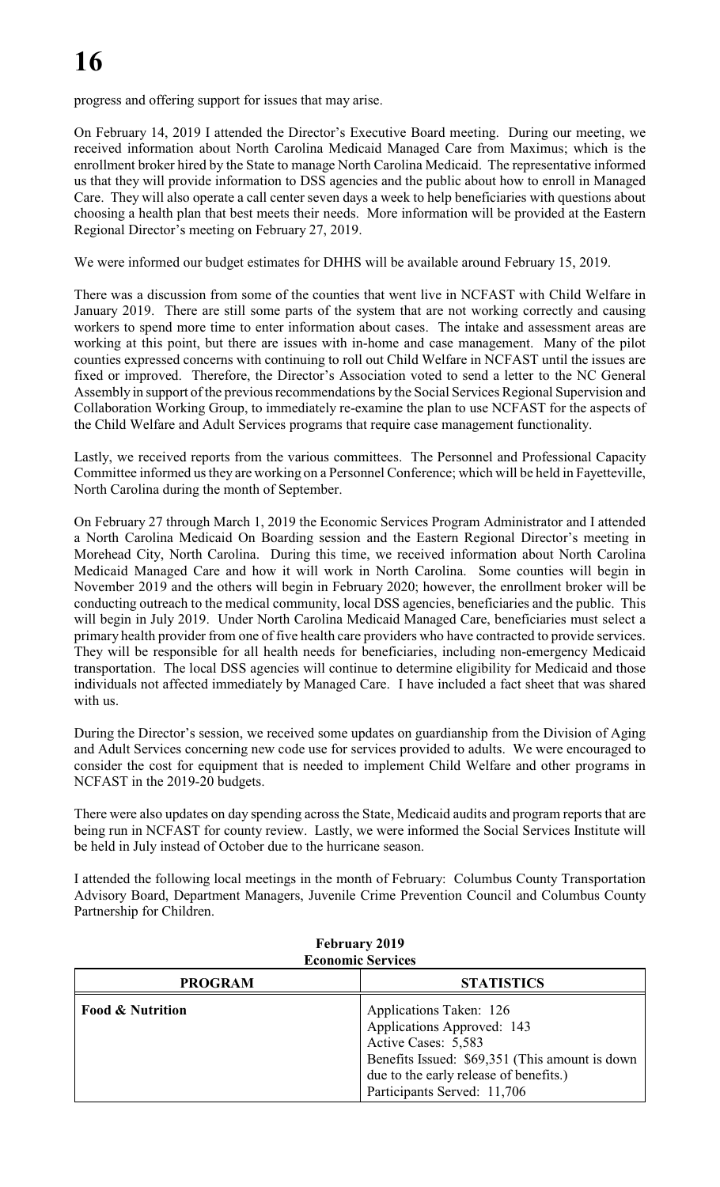progress and offering support for issues that may arise.

On February 14, 2019 I attended the Director's Executive Board meeting. During our meeting, we received information about North Carolina Medicaid Managed Care from Maximus; which is the enrollment broker hired by the State to manage North Carolina Medicaid. The representative informed us that they will provide information to DSS agencies and the public about how to enroll in Managed Care. They will also operate a call center seven days a week to help beneficiaries with questions about choosing a health plan that best meets their needs. More information will be provided at the Eastern Regional Director's meeting on February 27, 2019.

We were informed our budget estimates for DHHS will be available around February 15, 2019.

There was a discussion from some of the counties that went live in NCFAST with Child Welfare in January 2019. There are still some parts of the system that are not working correctly and causing workers to spend more time to enter information about cases. The intake and assessment areas are working at this point, but there are issues with in-home and case management. Many of the pilot counties expressed concerns with continuing to roll out Child Welfare in NCFAST until the issues are fixed or improved. Therefore, the Director's Association voted to send a letter to the NC General Assembly in support of the previous recommendations by the Social Services Regional Supervision and Collaboration Working Group, to immediately re-examine the plan to use NCFAST for the aspects of the Child Welfare and Adult Services programs that require case management functionality.

Lastly, we received reports from the various committees. The Personnel and Professional Capacity Committee informed us they are working on a Personnel Conference; which will be held in Fayetteville, North Carolina during the month of September.

On February 27 through March 1, 2019 the Economic Services Program Administrator and I attended a North Carolina Medicaid On Boarding session and the Eastern Regional Director's meeting in Morehead City, North Carolina. During this time, we received information about North Carolina Medicaid Managed Care and how it will work in North Carolina. Some counties will begin in November 2019 and the others will begin in February 2020; however, the enrollment broker will be conducting outreach to the medical community, local DSS agencies, beneficiaries and the public. This will begin in July 2019. Under North Carolina Medicaid Managed Care, beneficiaries must select a primary health provider from one of five health care providers who have contracted to provide services. They will be responsible for all health needs for beneficiaries, including non-emergency Medicaid transportation. The local DSS agencies will continue to determine eligibility for Medicaid and those individuals not affected immediately by Managed Care. I have included a fact sheet that was shared with us.

During the Director's session, we received some updates on guardianship from the Division of Aging and Adult Services concerning new code use for services provided to adults. We were encouraged to consider the cost for equipment that is needed to implement Child Welfare and other programs in NCFAST in the 2019-20 budgets.

There were also updates on day spending across the State, Medicaid audits and program reports that are being run in NCFAST for county review. Lastly, we were informed the Social Services Institute will be held in July instead of October due to the hurricane season.

I attended the following local meetings in the month of February: Columbus County Transportation Advisory Board, Department Managers, Juvenile Crime Prevention Council and Columbus County Partnership for Children.

| есопонне эсі тіссэ          |                                                                                                                                                                                                         |  |  |
|-----------------------------|---------------------------------------------------------------------------------------------------------------------------------------------------------------------------------------------------------|--|--|
| <b>PROGRAM</b>              | <b>STATISTICS</b>                                                                                                                                                                                       |  |  |
| <b>Food &amp; Nutrition</b> | Applications Taken: 126<br>Applications Approved: 143<br>Active Cases: 5,583<br>Benefits Issued: \$69,351 (This amount is down<br>due to the early release of benefits.)<br>Participants Served: 11,706 |  |  |

**February 2019 Economic Services**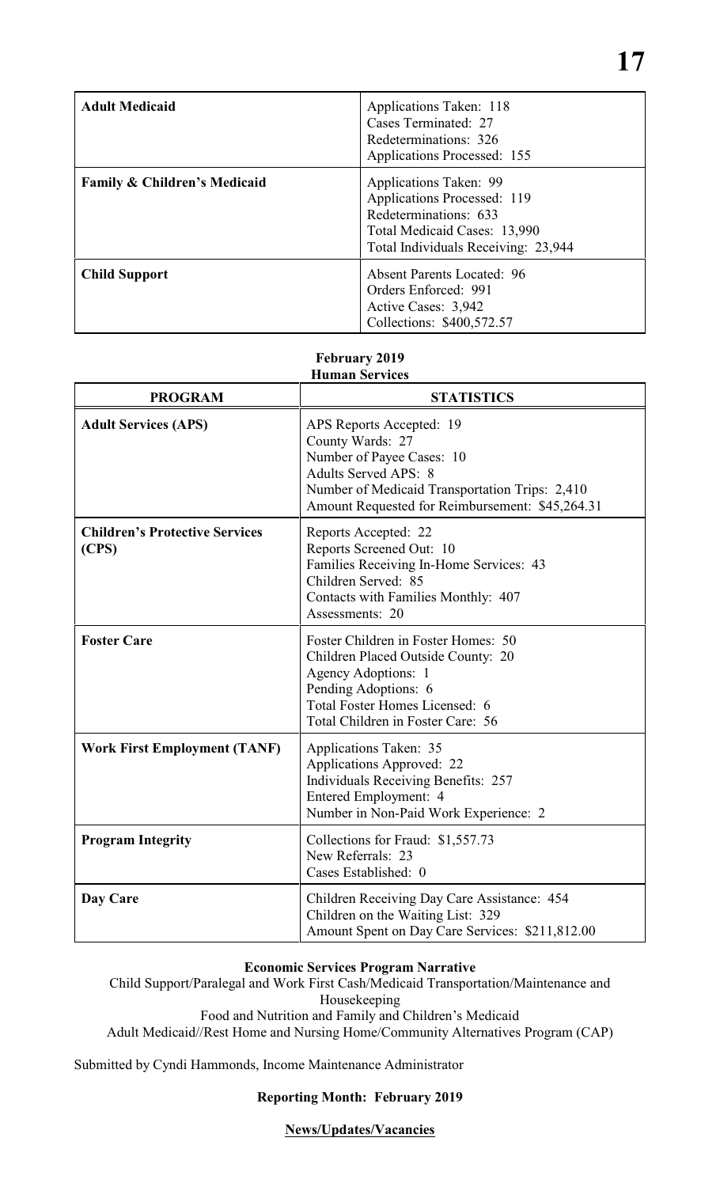| <b>Adult Medicaid</b>                   | Applications Taken: 118<br>Cases Terminated: 27<br>Redeterminations: 326<br><b>Applications Processed: 155</b>                                        |
|-----------------------------------------|-------------------------------------------------------------------------------------------------------------------------------------------------------|
| <b>Family &amp; Children's Medicaid</b> | Applications Taken: 99<br>Applications Processed: 119<br>Redeterminations: 633<br>Total Medicaid Cases: 13,990<br>Total Individuals Receiving: 23,944 |
| <b>Child Support</b>                    | <b>Absent Parents Located: 96</b><br>Orders Enforced: 991<br>Active Cases: 3,942<br>Collections: \$400,572.57                                         |

#### **February 2019 Human Services**

| <b>PROGRAM</b>                                 | <b>STATISTICS</b>                                                                                                                                                                                             |
|------------------------------------------------|---------------------------------------------------------------------------------------------------------------------------------------------------------------------------------------------------------------|
| <b>Adult Services (APS)</b>                    | APS Reports Accepted: 19<br>County Wards: 27<br>Number of Payee Cases: 10<br><b>Adults Served APS: 8</b><br>Number of Medicaid Transportation Trips: 2,410<br>Amount Requested for Reimbursement: \$45,264.31 |
| <b>Children's Protective Services</b><br>(CPS) | Reports Accepted: 22<br>Reports Screened Out: 10<br>Families Receiving In-Home Services: 43<br>Children Served: 85<br>Contacts with Families Monthly: 407<br>Assessments: 20                                  |
| <b>Foster Care</b>                             | Foster Children in Foster Homes: 50<br>Children Placed Outside County: 20<br>Agency Adoptions: 1<br>Pending Adoptions: 6<br>Total Foster Homes Licensed: 6<br>Total Children in Foster Care: 56               |
| <b>Work First Employment (TANF)</b>            | Applications Taken: 35<br><b>Applications Approved: 22</b><br><b>Individuals Receiving Benefits: 257</b><br>Entered Employment: 4<br>Number in Non-Paid Work Experience: 2                                    |
| <b>Program Integrity</b>                       | Collections for Fraud: \$1,557.73<br>New Referrals: 23<br>Cases Established: 0                                                                                                                                |
| Day Care                                       | Children Receiving Day Care Assistance: 454<br>Children on the Waiting List: 329<br>Amount Spent on Day Care Services: \$211,812.00                                                                           |

# **Economic Services Program Narrative**

Child Support/Paralegal and Work First Cash/Medicaid Transportation/Maintenance and Housekeeping Food and Nutrition and Family and Children's Medicaid Adult Medicaid//Rest Home and Nursing Home/Community Alternatives Program (CAP)

Submitted by Cyndi Hammonds, Income Maintenance Administrator

# **Reporting Month: February 2019**

**News/Updates/Vacancies**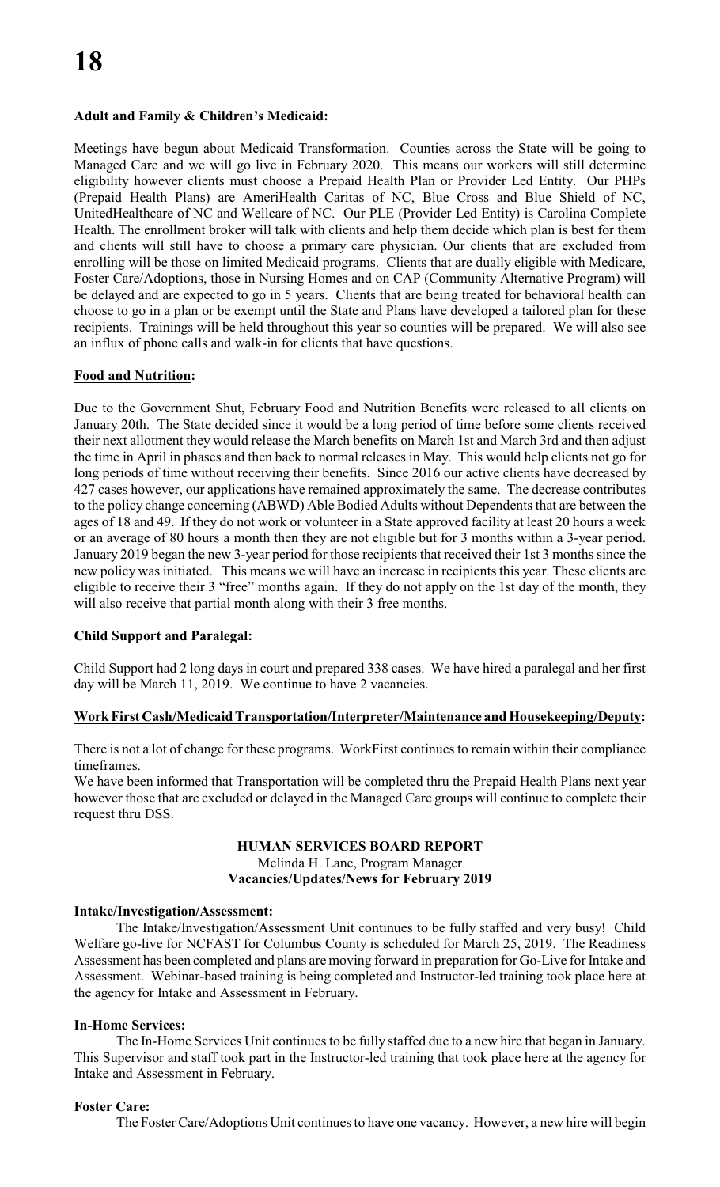# **Adult and Family & Children's Medicaid:**

Meetings have begun about Medicaid Transformation. Counties across the State will be going to Managed Care and we will go live in February 2020. This means our workers will still determine eligibility however clients must choose a Prepaid Health Plan or Provider Led Entity. Our PHPs (Prepaid Health Plans) are AmeriHealth Caritas of NC, Blue Cross and Blue Shield of NC, UnitedHealthcare of NC and Wellcare of NC. Our PLE (Provider Led Entity) is Carolina Complete Health. The enrollment broker will talk with clients and help them decide which plan is best for them and clients will still have to choose a primary care physician. Our clients that are excluded from enrolling will be those on limited Medicaid programs. Clients that are dually eligible with Medicare, Foster Care/Adoptions, those in Nursing Homes and on CAP (Community Alternative Program) will be delayed and are expected to go in 5 years. Clients that are being treated for behavioral health can choose to go in a plan or be exempt until the State and Plans have developed a tailored plan for these recipients. Trainings will be held throughout this year so counties will be prepared. We will also see an influx of phone calls and walk-in for clients that have questions.

# **Food and Nutrition:**

Due to the Government Shut, February Food and Nutrition Benefits were released to all clients on January 20th. The State decided since it would be a long period of time before some clients received their next allotment they would release the March benefits on March 1st and March 3rd and then adjust the time in April in phases and then back to normal releases in May. This would help clients not go for long periods of time without receiving their benefits. Since 2016 our active clients have decreased by 427 cases however, our applications have remained approximately the same. The decrease contributes to the policy change concerning (ABWD) Able Bodied Adults without Dependents that are between the ages of 18 and 49. If they do not work or volunteer in a State approved facility at least 20 hours a week or an average of 80 hours a month then they are not eligible but for 3 months within a 3-year period. January 2019 began the new 3-year period for those recipients that received their 1st 3 months since the new policy was initiated. This means we will have an increase in recipients this year. These clients are eligible to receive their 3 "free" months again. If they do not apply on the 1st day of the month, they will also receive that partial month along with their 3 free months.

# **Child Support and Paralegal:**

Child Support had 2 long days in court and prepared 338 cases. We have hired a paralegal and her first day will be March 11, 2019. We continue to have 2 vacancies.

# **Work First Cash/Medicaid Transportation/Interpreter/Maintenance and Housekeeping/Deputy:**

There is not a lot of change for these programs. WorkFirst continues to remain within their compliance timeframes.

We have been informed that Transportation will be completed thru the Prepaid Health Plans next year however those that are excluded or delayed in the Managed Care groups will continue to complete their request thru DSS.

# **HUMAN SERVICES BOARD REPORT** Melinda H. Lane, Program Manager **Vacancies/Updates/News for February 2019**

# **Intake/Investigation/Assessment:**

The Intake/Investigation/Assessment Unit continues to be fully staffed and very busy! Child Welfare go-live for NCFAST for Columbus County is scheduled for March 25, 2019. The Readiness Assessment has been completed and plans are moving forward in preparation for Go-Live for Intake and Assessment. Webinar-based training is being completed and Instructor-led training took place here at the agency for Intake and Assessment in February.

# **In-Home Services:**

The In-Home Services Unit continues to be fully staffed due to a new hire that began in January. This Supervisor and staff took part in the Instructor-led training that took place here at the agency for Intake and Assessment in February.

# **Foster Care:**

The Foster Care/Adoptions Unit continues to have one vacancy. However, a new hire will begin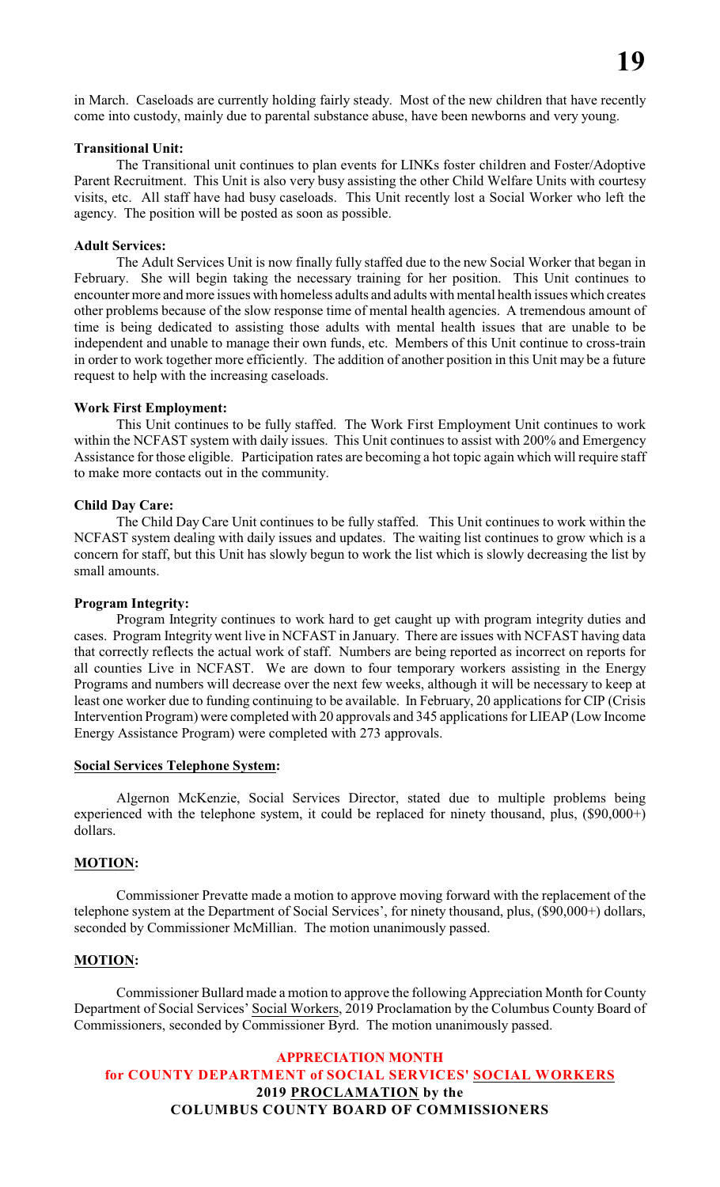in March. Caseloads are currently holding fairly steady. Most of the new children that have recently come into custody, mainly due to parental substance abuse, have been newborns and very young.

### **Transitional Unit:**

The Transitional unit continues to plan events for LINKs foster children and Foster/Adoptive Parent Recruitment. This Unit is also very busy assisting the other Child Welfare Units with courtesy visits, etc. All staff have had busy caseloads. This Unit recently lost a Social Worker who left the agency. The position will be posted as soon as possible.

#### **Adult Services:**

The Adult Services Unit is now finally fully staffed due to the new Social Worker that began in February. She will begin taking the necessary training for her position. This Unit continues to encounter more and more issues with homeless adults and adults with mental health issues which creates other problems because of the slow response time of mental health agencies. A tremendous amount of time is being dedicated to assisting those adults with mental health issues that are unable to be independent and unable to manage their own funds, etc. Members of this Unit continue to cross-train in order to work together more efficiently. The addition of another position in this Unit may be a future request to help with the increasing caseloads.

#### **Work First Employment:**

This Unit continues to be fully staffed. The Work First Employment Unit continues to work within the NCFAST system with daily issues. This Unit continues to assist with 200% and Emergency Assistance for those eligible. Participation rates are becoming a hot topic again which will require staff to make more contacts out in the community.

#### **Child Day Care:**

The Child Day Care Unit continues to be fully staffed. This Unit continues to work within the NCFAST system dealing with daily issues and updates. The waiting list continues to grow which is a concern for staff, but this Unit has slowly begun to work the list which is slowly decreasing the list by small amounts.

#### **Program Integrity:**

Program Integrity continues to work hard to get caught up with program integrity duties and cases. Program Integrity went live in NCFAST in January. There are issues with NCFAST having data that correctly reflects the actual work of staff. Numbers are being reported as incorrect on reports for all counties Live in NCFAST. We are down to four temporary workers assisting in the Energy Programs and numbers will decrease over the next few weeks, although it will be necessary to keep at least one worker due to funding continuing to be available. In February, 20 applications for CIP (Crisis Intervention Program) were completed with 20 approvals and 345 applications for LIEAP (Low Income Energy Assistance Program) were completed with 273 approvals.

#### **Social Services Telephone System:**

Algernon McKenzie, Social Services Director, stated due to multiple problems being experienced with the telephone system, it could be replaced for ninety thousand, plus, (\$90,000+) dollars.

#### **MOTION:**

Commissioner Prevatte made a motion to approve moving forward with the replacement of the telephone system at the Department of Social Services', for ninety thousand, plus, (\$90,000+) dollars, seconded by Commissioner McMillian. The motion unanimously passed.

#### **MOTION:**

Commissioner Bullard made a motion to approve the following Appreciation Month for County Department of Social Services' Social Workers, 2019 Proclamation by the Columbus County Board of Commissioners, seconded by Commissioner Byrd. The motion unanimously passed.

# **APPRECIATION MONTH for COUNTY DEPARTMENT of SOCIAL SERVICES' SOCIAL WORKERS 2019 PROCLAMATION by the COLUMBUS COUNTY BOARD OF COMMISSIONERS**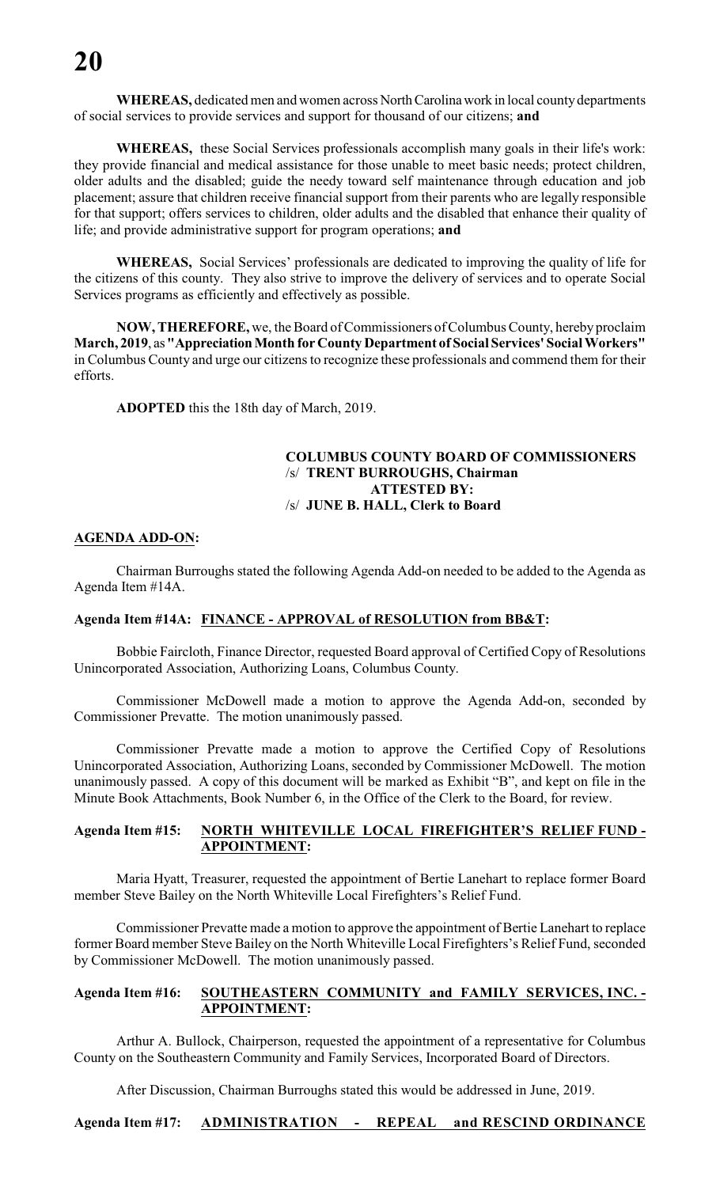**WHEREAS,** dedicated men and women across North Carolina work in local county departments of social services to provide services and support for thousand of our citizens; **and**

**WHEREAS,** these Social Services professionals accomplish many goals in their life's work: they provide financial and medical assistance for those unable to meet basic needs; protect children, older adults and the disabled; guide the needy toward self maintenance through education and job placement; assure that children receive financial support from their parents who are legally responsible for that support; offers services to children, older adults and the disabled that enhance their quality of life; and provide administrative support for program operations; **and**

**WHEREAS,** Social Services' professionals are dedicated to improving the quality of life for the citizens of this county. They also strive to improve the delivery of services and to operate Social Services programs as efficiently and effectively as possible.

**NOW, THEREFORE,** we, the Board of Commissioners ofColumbus County, hereby proclaim **March, 2019**, as **"Appreciation Month for County Department of Social Services' Social Workers"** in Columbus County and urge our citizens to recognize these professionals and commend them for their efforts.

**ADOPTED** this the 18th day of March, 2019.

# **COLUMBUS COUNTY BOARD OF COMMISSIONERS** /s/ **TRENT BURROUGHS, Chairman ATTESTED BY:** /s/ **JUNE B. HALL, Clerk to Board**

## **AGENDA ADD-ON:**

Chairman Burroughs stated the following Agenda Add-on needed to be added to the Agenda as Agenda Item #14A.

## **Agenda Item #14A: FINANCE - APPROVAL of RESOLUTION from BB&T:**

Bobbie Faircloth, Finance Director, requested Board approval of Certified Copy of Resolutions Unincorporated Association, Authorizing Loans, Columbus County.

Commissioner McDowell made a motion to approve the Agenda Add-on, seconded by Commissioner Prevatte. The motion unanimously passed.

Commissioner Prevatte made a motion to approve the Certified Copy of Resolutions Unincorporated Association, Authorizing Loans, seconded by Commissioner McDowell. The motion unanimously passed. A copy of this document will be marked as Exhibit "B", and kept on file in the Minute Book Attachments, Book Number 6, in the Office of the Clerk to the Board, for review.

## **Agenda Item #15: NORTH WHITEVILLE LOCAL FIREFIGHTER'S RELIEF FUND - APPOINTMENT:**

Maria Hyatt, Treasurer, requested the appointment of Bertie Lanehart to replace former Board member Steve Bailey on the North Whiteville Local Firefighters's Relief Fund.

Commissioner Prevatte made a motion to approve the appointment of Bertie Lanehart to replace former Board member Steve Bailey on the North Whiteville Local Firefighters's Relief Fund, seconded by Commissioner McDowell. The motion unanimously passed.

## **Agenda Item #16: SOUTHEASTERN COMMUNITY and FAMILY SERVICES, INC. - APPOINTMENT:**

Arthur A. Bullock, Chairperson, requested the appointment of a representative for Columbus County on the Southeastern Community and Family Services, Incorporated Board of Directors.

After Discussion, Chairman Burroughs stated this would be addressed in June, 2019.

**Agenda Item #17: ADMINISTRATION - REPEAL and RESCIND ORDINANCE**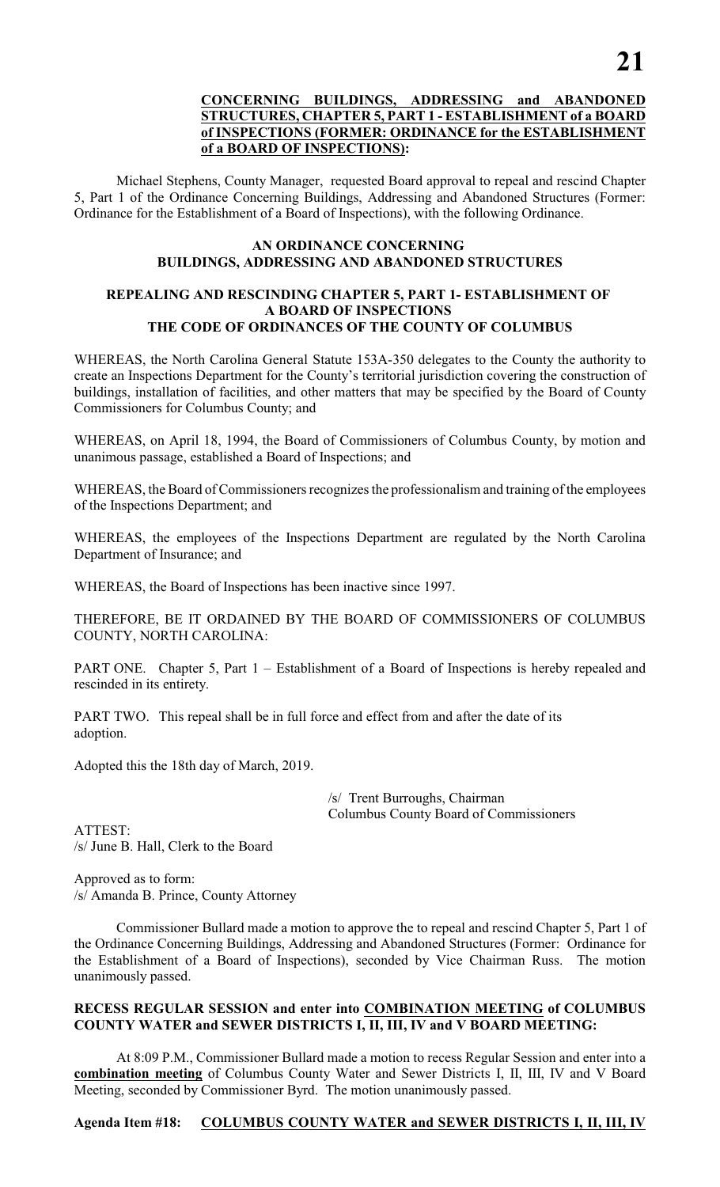# **CONCERNING BUILDINGS, ADDRESSING and ABANDONED STRUCTURES, CHAPTER 5, PART 1 - ESTABLISHMENT of a BOARD of INSPECTIONS (FORMER: ORDINANCE for the ESTABLISHMENT of a BOARD OF INSPECTIONS):**

Michael Stephens, County Manager, requested Board approval to repeal and rescind Chapter 5, Part 1 of the Ordinance Concerning Buildings, Addressing and Abandoned Structures (Former: Ordinance for the Establishment of a Board of Inspections), with the following Ordinance.

# **AN ORDINANCE CONCERNING BUILDINGS, ADDRESSING AND ABANDONED STRUCTURES**

# **REPEALING AND RESCINDING CHAPTER 5, PART 1- ESTABLISHMENT OF A BOARD OF INSPECTIONS THE CODE OF ORDINANCES OF THE COUNTY OF COLUMBUS**

WHEREAS, the North Carolina General Statute 153A-350 delegates to the County the authority to create an Inspections Department for the County's territorial jurisdiction covering the construction of buildings, installation of facilities, and other matters that may be specified by the Board of County Commissioners for Columbus County; and

WHEREAS, on April 18, 1994, the Board of Commissioners of Columbus County, by motion and unanimous passage, established a Board of Inspections; and

WHEREAS, the Board of Commissioners recognizes the professionalism and training of the employees of the Inspections Department; and

WHEREAS, the employees of the Inspections Department are regulated by the North Carolina Department of Insurance; and

WHEREAS, the Board of Inspections has been inactive since 1997.

THEREFORE, BE IT ORDAINED BY THE BOARD OF COMMISSIONERS OF COLUMBUS COUNTY, NORTH CAROLINA:

PART ONE. Chapter 5, Part 1 – Establishment of a Board of Inspections is hereby repealed and rescinded in its entirety.

PART TWO. This repeal shall be in full force and effect from and after the date of its adoption.

Adopted this the 18th day of March, 2019.

/s/ Trent Burroughs, Chairman Columbus County Board of Commissioners

ATTEST: /s/ June B. Hall, Clerk to the Board

Approved as to form: /s/ Amanda B. Prince, County Attorney

Commissioner Bullard made a motion to approve the to repeal and rescind Chapter 5, Part 1 of the Ordinance Concerning Buildings, Addressing and Abandoned Structures (Former: Ordinance for the Establishment of a Board of Inspections), seconded by Vice Chairman Russ. The motion unanimously passed.

# **RECESS REGULAR SESSION and enter into COMBINATION MEETING of COLUMBUS COUNTY WATER and SEWER DISTRICTS I, II, III, IV and V BOARD MEETING:**

At 8:09 P.M., Commissioner Bullard made a motion to recess Regular Session and enter into a **combination meeting** of Columbus County Water and Sewer Districts I, II, III, IV and V Board Meeting, seconded by Commissioner Byrd. The motion unanimously passed.

# **Agenda Item #18: COLUMBUS COUNTY WATER and SEWER DISTRICTS I, II, III, IV**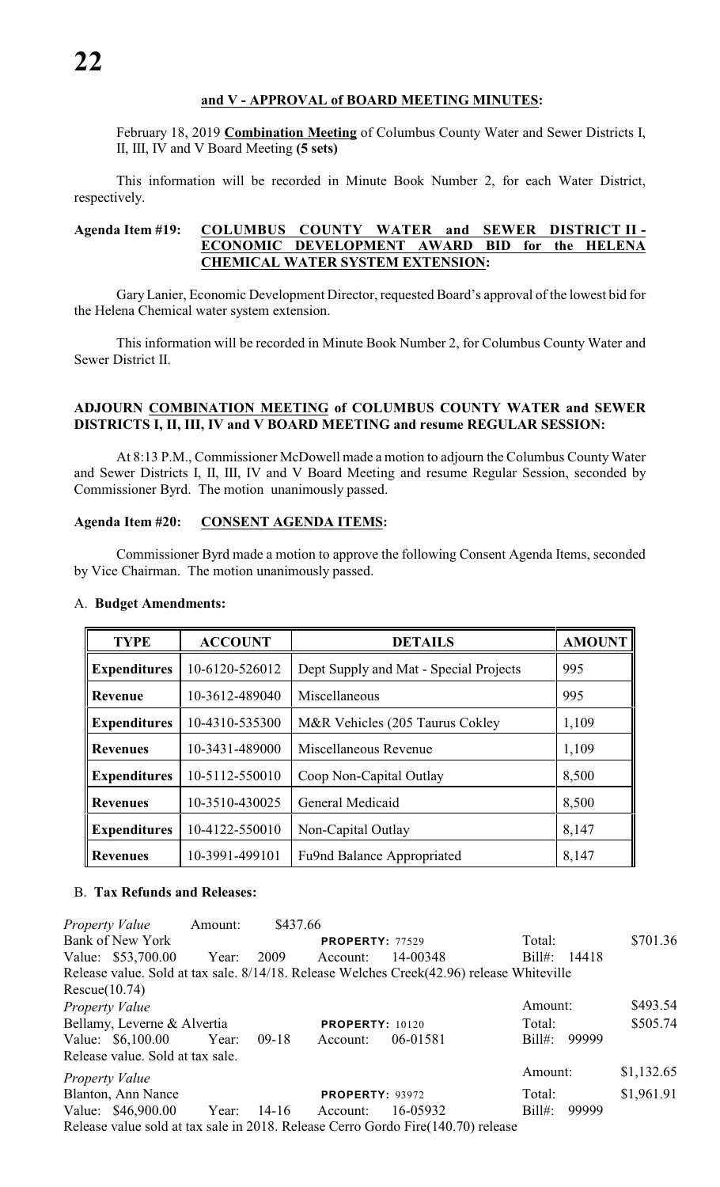## **and V - APPROVAL of BOARD MEETING MINUTES:**

February 18, 2019 **Combination Meeting** of Columbus County Water and Sewer Districts I, II, III, IV and V Board Meeting **(5 sets)**

This information will be recorded in Minute Book Number 2, for each Water District, respectively.

# **Agenda Item #19: COLUMBUS COUNTY WATER and SEWER DISTRICT II - ECONOMIC DEVELOPMENT AWARD BID for the HELENA CHEMICAL WATER SYSTEM EXTENSION:**

Gary Lanier, Economic Development Director, requested Board's approval of the lowest bid for the Helena Chemical water system extension.

This information will be recorded in Minute Book Number 2, for Columbus County Water and Sewer District II.

# **ADJOURN COMBINATION MEETING of COLUMBUS COUNTY WATER and SEWER DISTRICTS I, II, III, IV and V BOARD MEETING and resume REGULAR SESSION:**

At 8:13 P.M., Commissioner McDowell made a motion to adjourn the Columbus County Water and Sewer Districts I, II, III, IV and V Board Meeting and resume Regular Session, seconded by Commissioner Byrd. The motion unanimously passed.

#### **Agenda Item #20: CONSENT AGENDA ITEMS:**

Commissioner Byrd made a motion to approve the following Consent Agenda Items, seconded by Vice Chairman. The motion unanimously passed.

| <b>TYPE</b>         | <b>ACCOUNT</b> | <b>DETAILS</b>                         | <b>AMOUNT</b> |
|---------------------|----------------|----------------------------------------|---------------|
| <b>Expenditures</b> | 10-6120-526012 | Dept Supply and Mat - Special Projects | 995           |
| Revenue             | 10-3612-489040 | Miscellaneous                          | 995           |
| <b>Expenditures</b> | 10-4310-535300 | M&R Vehicles (205 Taurus Cokley        | 1,109         |
| <b>Revenues</b>     | 10-3431-489000 | Miscellaneous Revenue                  | 1,109         |
| <b>Expenditures</b> | 10-5112-550010 | Coop Non-Capital Outlay                | 8,500         |
| <b>Revenues</b>     | 10-3510-430025 | General Medicaid                       | 8,500         |
| <b>Expenditures</b> | 10-4122-550010 | Non-Capital Outlay                     | 8,147         |
| <b>Revenues</b>     | 10-3991-499101 | Fu9nd Balance Appropriated             | 8,147         |

#### A. **Budget Amendments:**

# B. **Tax Refunds and Releases:**

| <b>Property Value</b> | Amount:                          | \$437.66 |                        |                                                                                           |              |            |
|-----------------------|----------------------------------|----------|------------------------|-------------------------------------------------------------------------------------------|--------------|------------|
| Bank of New York      |                                  |          | <b>PROPERTY: 77529</b> |                                                                                           | Total:       | \$701.36   |
| Value: \$53,700.00    | Year:                            | 2009     | Account:               | 14-00348                                                                                  | Bill#: 14418 |            |
|                       |                                  |          |                        | Release value. Sold at tax sale. 8/14/18. Release Welches Creek(42.96) release Whiteville |              |            |
| Rescue(10.74)         |                                  |          |                        |                                                                                           |              |            |
| Property Value        |                                  |          |                        |                                                                                           | Amount:      | \$493.54   |
|                       | Bellamy, Leverne & Alvertia      |          | <b>PROPERTY: 10120</b> |                                                                                           | Total:       | \$505.74   |
| Value: \$6,100.00     | Year:                            | $09-18$  | Account:               | 06-01581                                                                                  | $Bill#$ :    | 99999      |
|                       | Release value. Sold at tax sale. |          |                        |                                                                                           |              |            |
| <i>Property Value</i> |                                  |          |                        |                                                                                           | Amount:      | \$1,132.65 |
| Blanton, Ann Nance    |                                  |          | <b>PROPERTY: 93972</b> |                                                                                           | Total:       | \$1,961.91 |
| Value: \$46,900.00    | Year:                            | 14-16    | Account:               | 16-05932                                                                                  | $Bill#$ :    | 99999      |
|                       |                                  |          |                        | Release value sold at tax sale in 2018. Release Cerro Gordo Fire(140.70) release          |              |            |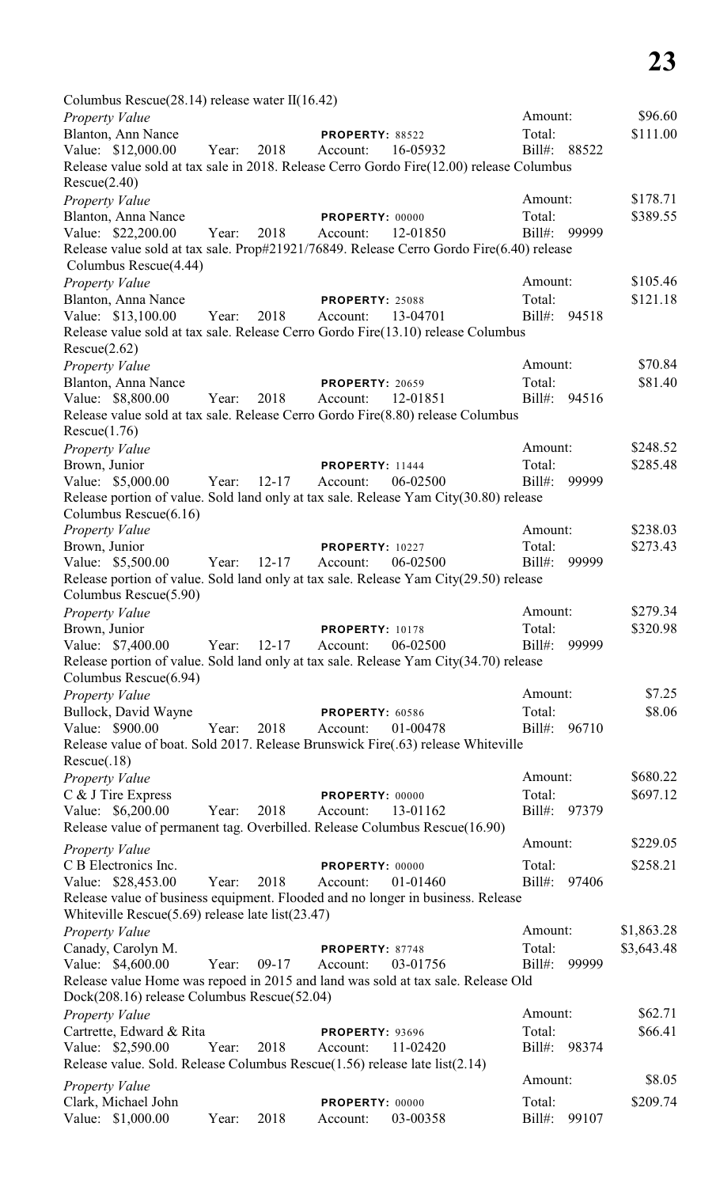| Columbus Rescue $(28.14)$ release water II $(16.42)$                                                                                       |       |           |                        |          |              |       |            |
|--------------------------------------------------------------------------------------------------------------------------------------------|-------|-----------|------------------------|----------|--------------|-------|------------|
| <b>Property Value</b>                                                                                                                      |       |           |                        |          | Amount:      |       | \$96.60    |
| Blanton, Ann Nance                                                                                                                         |       |           | PROPERTY: 88522        |          | Total:       |       | \$111.00   |
| Value: \$12,000.00                                                                                                                         | Year: | 2018      | Account:               | 16-05932 | Bill#: 88522 |       |            |
| Release value sold at tax sale in 2018. Release Cerro Gordo Fire(12.00) release Columbus<br>Rescue(2.40)                                   |       |           |                        |          |              |       |            |
| <b>Property Value</b>                                                                                                                      |       |           |                        |          | Amount:      |       | \$178.71   |
| Blanton, Anna Nance                                                                                                                        |       |           | PROPERTY: 00000        |          | Total:       |       | \$389.55   |
| Value: \$22,200.00                                                                                                                         | Year: | 2018      | Account:               | 12-01850 | $Bill#$ :    | 99999 |            |
| Release value sold at tax sale. Prop#21921/76849. Release Cerro Gordo Fire(6.40) release<br>Columbus Rescue(4.44)                          |       |           |                        |          |              |       |            |
| <b>Property Value</b>                                                                                                                      |       |           |                        |          | Amount:      |       | \$105.46   |
| Blanton, Anna Nance                                                                                                                        |       |           | <b>PROPERTY: 25088</b> |          | Total:       |       | \$121.18   |
| Value: \$13,100.00<br>Release value sold at tax sale. Release Cerro Gordo Fire(13.10) release Columbus                                     | Year: | 2018      | Account:               | 13-04701 | $Bill#$ :    | 94518 |            |
| Rescue(2.62)                                                                                                                               |       |           |                        |          |              |       |            |
| <b>Property Value</b>                                                                                                                      |       |           |                        |          | Amount:      |       | \$70.84    |
| Blanton, Anna Nance                                                                                                                        |       |           | <b>PROPERTY: 20659</b> |          | Total:       |       | \$81.40    |
| Value: \$8,800.00<br>Release value sold at tax sale. Release Cerro Gordo Fire(8.80) release Columbus                                       | Year: | 2018      | Account:               | 12-01851 | Bill#:       | 94516 |            |
| Rescue(1.76)                                                                                                                               |       |           |                        |          |              |       |            |
| Property Value                                                                                                                             |       |           |                        |          | Amount:      |       | \$248.52   |
| Brown, Junior                                                                                                                              |       |           | <b>PROPERTY: 11444</b> |          | Total:       |       | \$285.48   |
| Value: \$5,000.00                                                                                                                          | Year: | $12 - 17$ | Account:               | 06-02500 | $Bill#$ :    | 99999 |            |
| Release portion of value. Sold land only at tax sale. Release Yam City(30.80) release                                                      |       |           |                        |          |              |       |            |
| Columbus Rescue(6.16)<br>Property Value                                                                                                    |       |           |                        |          | Amount:      |       | \$238.03   |
| Brown, Junior                                                                                                                              |       |           | <b>PROPERTY: 10227</b> |          | Total:       |       | \$273.43   |
| Value: \$5,500.00                                                                                                                          | Year: | $12 - 17$ | Account:               | 06-02500 | $Bill#$ :    | 99999 |            |
| Release portion of value. Sold land only at tax sale. Release Yam City(29.50) release                                                      |       |           |                        |          |              |       |            |
| Columbus Rescue(5.90)                                                                                                                      |       |           |                        |          |              |       |            |
| Property Value                                                                                                                             |       |           |                        |          | Amount:      |       | \$279.34   |
| Brown, Junior                                                                                                                              |       |           | PROPERTY: 10178        |          | Total:       |       | \$320.98   |
| Value: \$7,400.00                                                                                                                          | Year: | $12 - 17$ | Account:               | 06-02500 | $Bill#$ :    | 99999 |            |
| Release portion of value. Sold land only at tax sale. Release Yam City(34.70) release                                                      |       |           |                        |          |              |       |            |
| Columbus Rescue(6.94)                                                                                                                      |       |           |                        |          |              |       |            |
| <b>Property Value</b>                                                                                                                      |       |           |                        |          | Amount:      |       | \$7.25     |
| Bullock, David Wayne                                                                                                                       |       |           | PROPERTY: 60586        |          | Total:       |       | \$8.06     |
| Value: \$900.00                                                                                                                            | Year: | 2018      | Account:               | 01-00478 | $Bill#$ :    | 96710 |            |
| Release value of boat. Sold 2017. Release Brunswick Fire(.63) release Whiteville<br>Resource(.18)                                          |       |           |                        |          |              |       |            |
| <b>Property Value</b>                                                                                                                      |       |           |                        |          | Amount:      |       | \$680.22   |
| C & J Tire Express                                                                                                                         |       |           | <b>PROPERTY: 00000</b> |          | Total:       |       | \$697.12   |
| Value: \$6,200.00                                                                                                                          | Year: | 2018      | Account:               | 13-01162 | Bill#: 97379 |       |            |
| Release value of permanent tag. Overbilled. Release Columbus Rescue(16.90)                                                                 |       |           |                        |          |              |       | \$229.05   |
| <b>Property Value</b>                                                                                                                      |       |           |                        |          | Amount:      |       |            |
| C B Electronics Inc.                                                                                                                       |       |           | PROPERTY: 00000        |          | Total:       |       | \$258.21   |
| Value: \$28,453.00                                                                                                                         | Year: | 2018      | Account:               | 01-01460 | Bill#:       | 97406 |            |
| Release value of business equipment. Flooded and no longer in business. Release<br>White ville Rescue $(5.69)$ release late list $(23.47)$ |       |           |                        |          |              |       |            |
| <b>Property Value</b>                                                                                                                      |       |           |                        |          | Amount:      |       | \$1,863.28 |
| Canady, Carolyn M.                                                                                                                         |       |           | PROPERTY: 87748        |          | Total:       |       | \$3,643.48 |
| Value: \$4,600.00                                                                                                                          | Year: | $09-17$   | Account:               | 03-01756 | $Bill#$ :    | 99999 |            |
| Release value Home was repoed in 2015 and land was sold at tax sale. Release Old<br>Dock(208.16) release Columbus Rescue(52.04)            |       |           |                        |          |              |       |            |
| <b>Property Value</b>                                                                                                                      |       |           |                        |          | Amount:      |       | \$62.71    |
| Cartrette, Edward & Rita                                                                                                                   |       |           | <b>PROPERTY: 93696</b> |          | Total:       |       | \$66.41    |
| Value: \$2,590.00                                                                                                                          | Year: | 2018      | Account:               | 11-02420 | Bill#:       | 98374 |            |
| Release value. Sold. Release Columbus Rescue(1.56) release late list(2.14)                                                                 |       |           |                        |          |              |       |            |
| <b>Property Value</b>                                                                                                                      |       |           |                        |          | Amount:      |       | \$8.05     |
| Clark, Michael John                                                                                                                        |       |           | PROPERTY: 00000        |          | Total:       |       | \$209.74   |
| \$1,000.00<br>Value:                                                                                                                       | Year: | 2018      | Account:               | 03-00358 | $Bill#$ :    | 99107 |            |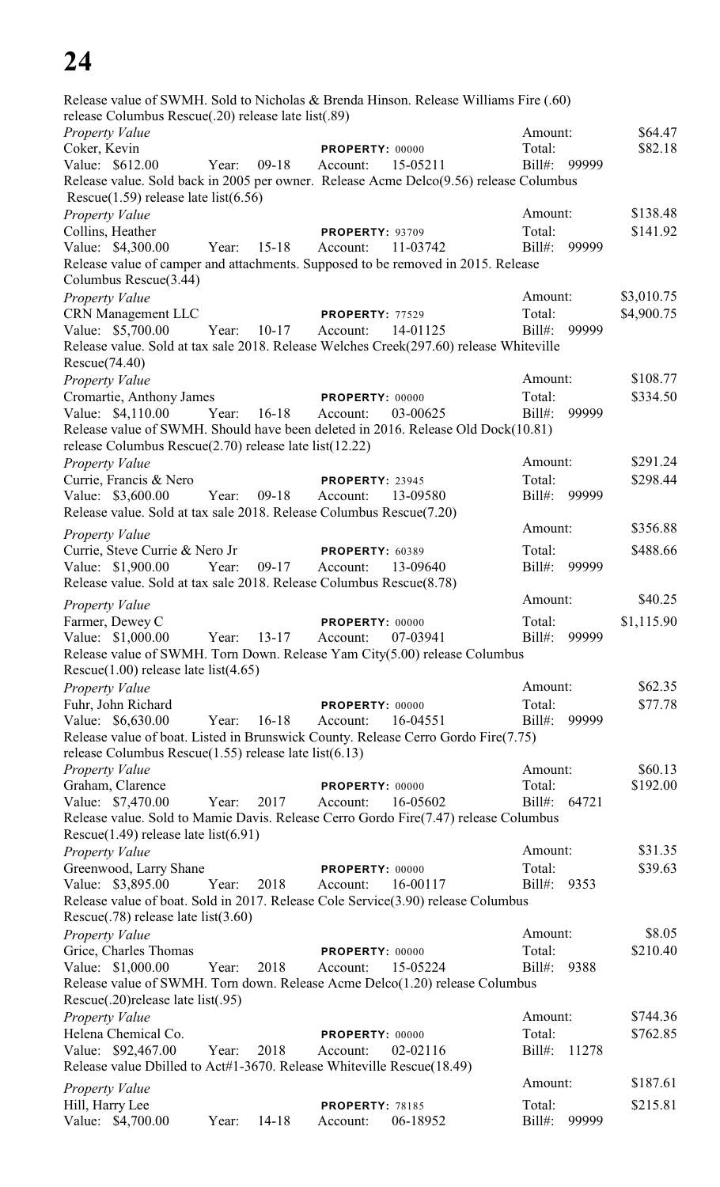| Release value of SWMH. Sold to Nicholas & Brenda Hinson. Release Williams Fire (.60)   |             |           |                             |          |                   |       |            |
|----------------------------------------------------------------------------------------|-------------|-----------|-----------------------------|----------|-------------------|-------|------------|
| release Columbus Rescue(.20) release late list(.89)                                    |             |           |                             |          |                   |       |            |
| Property Value                                                                         |             |           |                             |          | Amount:<br>Total: |       | \$64.47    |
| Coker, Kevin<br>Value: \$612.00                                                        | Year:       | $09-18$   | PROPERTY: 00000<br>Account: | 15-05211 | Bill#: 99999      |       | \$82.18    |
| Release value. Sold back in 2005 per owner. Release Acme Delco(9.56) release Columbus  |             |           |                             |          |                   |       |            |
| Rescue $(1.59)$ release late list $(6.56)$                                             |             |           |                             |          |                   |       |            |
| Property Value                                                                         |             |           |                             |          | Amount:           |       | \$138.48   |
| Collins, Heather                                                                       |             |           | <b>PROPERTY: 93709</b>      |          | Total:            |       | \$141.92   |
| Value: \$4,300.00                                                                      | Year: 15-18 |           | Account:                    | 11-03742 | $Bill#$ :         | 99999 |            |
| Release value of camper and attachments. Supposed to be removed in 2015. Release       |             |           |                             |          |                   |       |            |
| Columbus Rescue(3.44)                                                                  |             |           |                             |          |                   |       |            |
| <b>Property Value</b>                                                                  |             |           |                             |          | Amount:           |       | \$3,010.75 |
| <b>CRN</b> Management LLC                                                              |             |           | PROPERTY: 77529             |          | Total:            |       | \$4,900.75 |
| Value: \$5,700.00                                                                      | Year:       | $10-17$   | Account:                    | 14-01125 | Bill#: 99999      |       |            |
| Release value. Sold at tax sale 2018. Release Welches Creek(297.60) release Whiteville |             |           |                             |          |                   |       |            |
| Rescue(74.40)                                                                          |             |           |                             |          |                   |       |            |
| Property Value                                                                         |             |           |                             |          | Amount:           |       | \$108.77   |
| Cromartie, Anthony James                                                               |             |           | PROPERTY: 00000             |          | Total:            |       | \$334.50   |
| Value: \$4,110.00                                                                      | Year:       | 16-18     | Account:                    | 03-00625 | $Bill#$ :         | 99999 |            |
| Release value of SWMH. Should have been deleted in 2016. Release Old Dock(10.81)       |             |           |                             |          |                   |       |            |
| release Columbus Rescue $(2.70)$ release late list $(12.22)$                           |             |           |                             |          |                   |       |            |
| Property Value                                                                         |             |           |                             |          | Amount:           |       | \$291.24   |
| Currie, Francis & Nero                                                                 |             |           | PROPERTY: 23945             |          | Total:            |       | \$298.44   |
| Value: \$3,600.00                                                                      | Year:       | $09-18$   | Account:                    | 13-09580 | Bill#: 99999      |       |            |
| Release value. Sold at tax sale 2018. Release Columbus Rescue(7.20)                    |             |           |                             |          |                   |       |            |
| Property Value                                                                         |             |           |                             |          | Amount:           |       | \$356.88   |
| Currie, Steve Currie & Nero Jr                                                         |             |           | PROPERTY: 60389             |          | Total:            |       | \$488.66   |
| Value: \$1,900.00                                                                      | Year:       | $09-17$   | Account:                    | 13-09640 | Bill#: 99999      |       |            |
| Release value. Sold at tax sale 2018. Release Columbus Rescue(8.78)                    |             |           |                             |          |                   |       |            |
|                                                                                        |             |           |                             |          | Amount:           |       | \$40.25    |
| <b>Property Value</b><br>Farmer, Dewey C                                               |             |           | PROPERTY: 00000             |          | Total:            |       | \$1,115.90 |
| Value: \$1,000.00                                                                      | Year:       | $13-17$   | Account:                    | 07-03941 | Bill#:            | 99999 |            |
| Release value of SWMH. Torn Down. Release Yam City(5.00) release Columbus              |             |           |                             |          |                   |       |            |
| Rescue $(1.00)$ release late list $(4.65)$                                             |             |           |                             |          |                   |       |            |
| <b>Property Value</b>                                                                  |             |           |                             |          | Amount:           |       | \$62.35    |
| Fuhr, John Richard                                                                     |             |           | PROPERTY: 00000             |          | Total:            |       | \$77.78    |
| Value: \$6,630.00                                                                      | Year:       | $16-18$   | Account:                    | 16-04551 | Bill#:            | 99999 |            |
| Release value of boat. Listed in Brunswick County. Release Cerro Gordo Fire(7.75)      |             |           |                             |          |                   |       |            |
| release Columbus Rescue $(1.55)$ release late list $(6.13)$                            |             |           |                             |          |                   |       |            |
| <b>Property Value</b>                                                                  |             |           |                             |          | Amount:           |       | \$60.13    |
| Graham, Clarence                                                                       |             |           | <b>PROPERTY: 00000</b>      |          | Total:            |       | \$192.00   |
| Value: \$7,470.00                                                                      | Year:       | 2017      | Account:                    | 16-05602 | Bill#:            | 64721 |            |
| Release value. Sold to Mamie Davis. Release Cerro Gordo Fire(7.47) release Columbus    |             |           |                             |          |                   |       |            |
| Rescue $(1.49)$ release late list $(6.91)$                                             |             |           |                             |          |                   |       |            |
| <b>Property Value</b>                                                                  |             |           |                             |          | Amount:           |       | \$31.35    |
| Greenwood, Larry Shane                                                                 |             |           | PROPERTY: 00000             |          | Total:            |       | \$39.63    |
| Value: \$3,895.00                                                                      | Year:       | 2018      | Account:                    | 16-00117 | Bill#:            | 9353  |            |
| Release value of boat. Sold in 2017. Release Cole Service(3.90) release Columbus       |             |           |                             |          |                   |       |            |
| Rescue $(.78)$ release late list $(3.60)$                                              |             |           |                             |          |                   |       |            |
| <b>Property Value</b>                                                                  |             |           |                             |          | Amount:           |       | \$8.05     |
| Grice, Charles Thomas                                                                  |             |           | PROPERTY: 00000             |          | Total:            |       | \$210.40   |
| Value: \$1,000.00                                                                      | Year:       | 2018      | Account:                    | 15-05224 | Bill#:            | 9388  |            |
| Release value of SWMH. Torn down. Release Acme Delco(1.20) release Columbus            |             |           |                             |          |                   |       |            |
| Rescue(.20) release late list(.95)                                                     |             |           |                             |          |                   |       |            |
| <b>Property Value</b>                                                                  |             |           |                             |          | Amount:           |       | \$744.36   |
| Helena Chemical Co.                                                                    |             |           | PROPERTY: 00000             |          | Total:            |       | \$762.85   |
| Value: \$92,467.00                                                                     | Year:       | 2018      | Account:                    | 02-02116 | Bill#:            | 11278 |            |
| Release value Dbilled to Act#1-3670. Release Whiteville Rescue(18.49)                  |             |           |                             |          |                   |       |            |
| <b>Property Value</b>                                                                  |             |           |                             |          | Amount:           |       | \$187.61   |
| Hill, Harry Lee                                                                        |             |           | PROPERTY: 78185             |          | Total:            |       | \$215.81   |
| Value: \$4,700.00                                                                      | Year:       | $14 - 18$ | Account:                    | 06-18952 | Bill#:            | 99999 |            |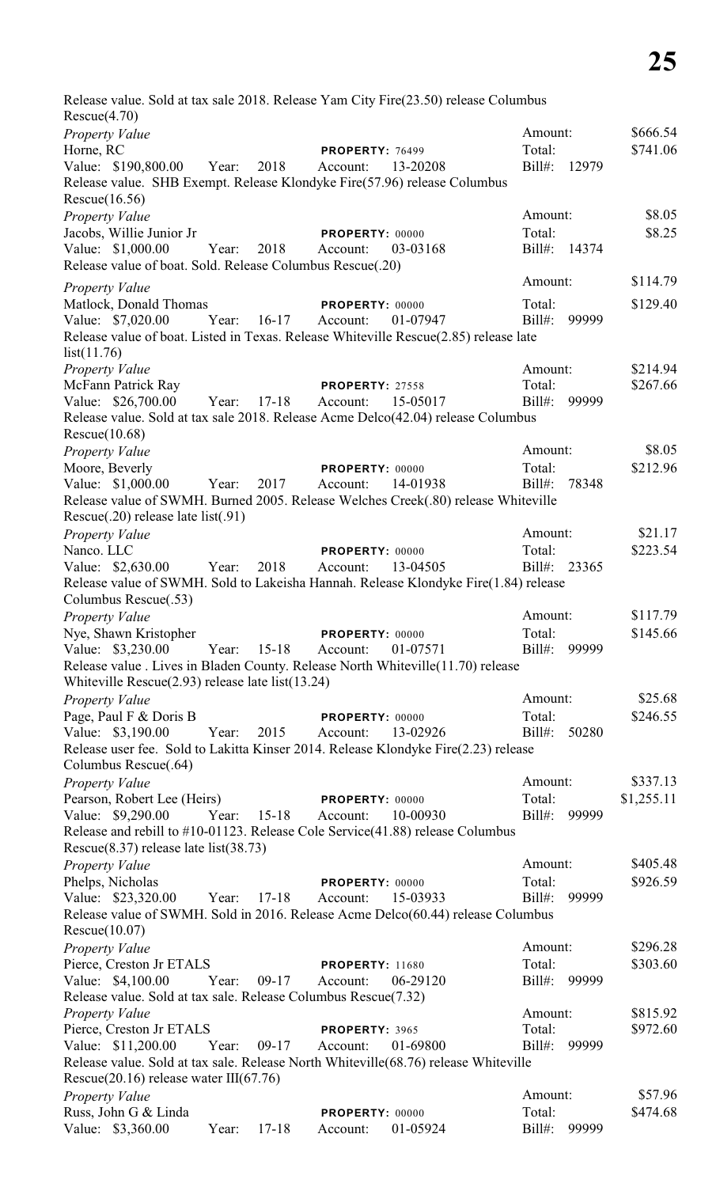Release value. Sold at tax sale 2018. Release Yam City Fire(23.50) release Columbus Rescue(4.70) *Property Value* \$666.54 Horne, RC **PROPERTY**: 76499 Total: \$741.06 Value: \$190,800.00 Year: 2018 Account: 13-20208 Bill#: 12979 Release value. SHB Exempt. Release Klondyke Fire(57.96) release Columbus Rescue(16.56) *Property Value* \$8.05 Jacobs, Willie Junior Jr **PROPERTY:** 00000 Total: \$8.25 Value: \$1,000.00 Year: 2018 Account: 03-03168 Bill#: 14374 Release value of boat. Sold. Release Columbus Rescue(.20) *Property Value* \$114.79 Matlock, Donald Thomas **PROPERTY:** 00000 Total: \$129.40 Value: \$7,020.00 Year: 16-17 Account: 01-07947 Bill#: 99999 Release value of boat. Listed in Texas. Release Whiteville Rescue(2.85) release late list(11.76) *Property Value* \$214.94 McFann Patrick Ray **PROPERTY:** 27558 Total: \$267.66 Value: \$26,700.00 Year: 17-18 Account: 15-05017 Bill#: 99999 Release value. Sold at tax sale 2018. Release Acme Delco(42.04) release Columbus Rescue(10.68) *Property Value* \$8.05 Moore, Beverly **PROPERTY:** 00000 Total: \$212.96 Value: \$1,000.00 Year: 2017 Account: 14-01938 Bill#: 78348 Release value of SWMH. Burned 2005. Release Welches Creek(.80) release Whiteville Rescue(.20) release late list(.91) *Property Value* \$21.17 Nanco. LLC **PROPERTY:** 00000 Total: \$223.54 Value: \$2,630.00 Year: 2018 Account: 13-04505 Bill#: 23365 Release value of SWMH. Sold to Lakeisha Hannah. Release Klondyke Fire(1.84) release Columbus Rescue(.53) *Property Value* \$117.79 Nye, Shawn Kristopher **PROPERTY:** 00000 Total: \$145.66 Value: \$3,230.00 Year: 15-18 Account: 01-07571 Bill#: 99999 Release value . Lives in Bladen County. Release North Whiteville(11.70) release Whiteville Rescue(2.93) release late list(13.24) *Property Value* \$25.68 Page, Paul F & Doris B **PROPERTY:** 00000 Total: \$246.55 Value: \$3,190.00 Year: 2015 Account: 13-02926 Bill#: 50280 Release user fee. Sold to Lakitta Kinser 2014. Release Klondyke Fire(2.23) release Columbus Rescue(.64) *Property Value* \$337.13 Pearson, Robert Lee (Heirs) **PROPERTY**: 00000 Total: \$1,255.11 Value: \$9,290.00 Year: 15-18 Account: 10-00930 Bill#: 99999 Release and rebill to #10-01123. Release Cole Service(41.88) release Columbus Rescue(8.37) release late list(38.73) *Property Value* \$405.48 Phelps, Nicholas **PROPERTY**: 00000 Total: \$926.59 Value: \$23,320.00 Year: 17-18 Account: 15-03933 Bill#: 99999 Release value of SWMH. Sold in 2016. Release Acme Delco(60.44) release Columbus Rescue(10.07) *Property Value* \$296.28 Pierce, Creston Jr ETALS **PROPERTY:** 11680 Total: \$303.60 Value: \$4,100.00 Year: 09-17 Account: 06-29120 Bill#: 99999 Release value. Sold at tax sale. Release Columbus Rescue(7.32) *Property Value* \$815.92 Pierce, Creston Jr ETALS **PROPERTY**: 3965 Total: \$972.60 Value: \$11,200.00 Year: 09-17 Account: 01-69800 Bill#: 99999 Release value. Sold at tax sale. Release North Whiteville(68.76) release Whiteville Rescue(20.16) release water III(67.76) *Property Value* \$57.96 Russ, John G & Linda<br> **PROPERTY:** 00000 Total: \$474.68<br>
Value: \$3,360.00 Year: 17-18 Account: 01-05924 Bill#: 99999 Value: \$3,360.00 Year: 17-18 Account: 01-05924 Bill#: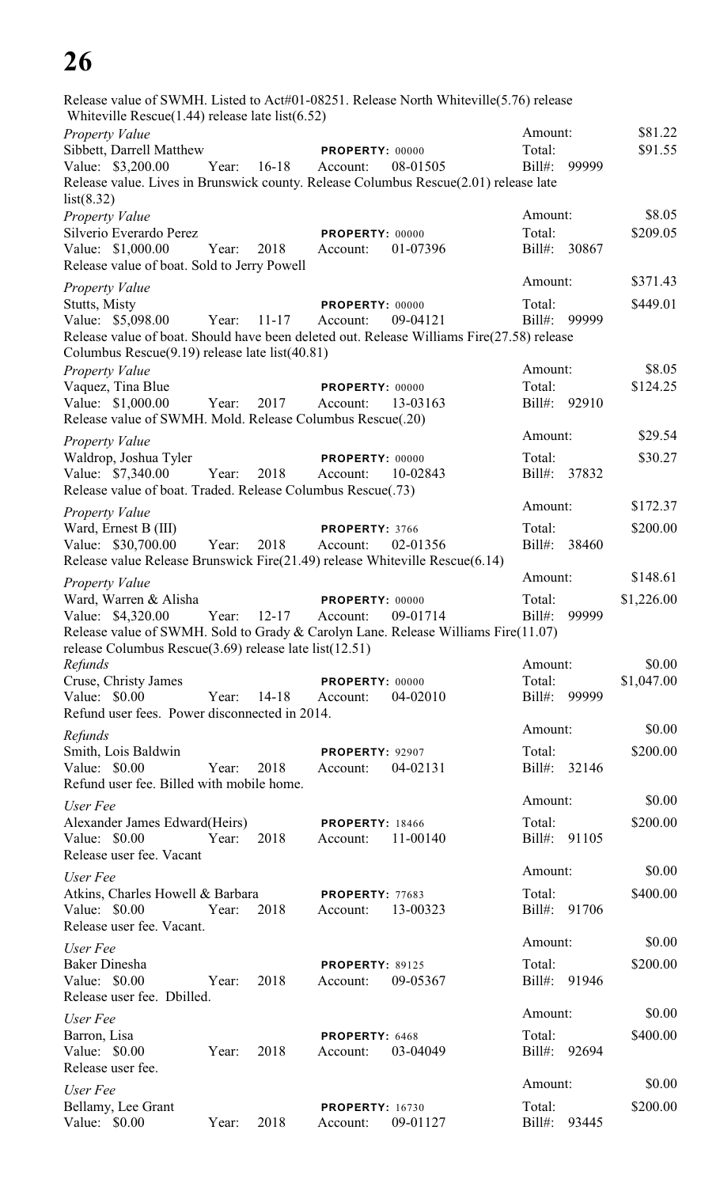| Release value of SWMH. Listed to Act#01-08251. Release North Whiteville(5.76) release                                                             |       |           |                                    |          |                     |       |            |
|---------------------------------------------------------------------------------------------------------------------------------------------------|-------|-----------|------------------------------------|----------|---------------------|-------|------------|
| Whiteville Rescue $(1.44)$ release late list $(6.52)$<br>Property Value                                                                           |       |           |                                    |          | Amount:             |       | \$81.22    |
| Sibbett, Darrell Matthew                                                                                                                          |       |           | PROPERTY: 00000                    |          | Total:              |       | \$91.55    |
| Value: \$3,200.00                                                                                                                                 | Year: | $16-18$   | Account:                           | 08-01505 | $Bill#$ :           | 99999 |            |
| Release value. Lives in Brunswick county. Release Columbus Rescue(2.01) release late                                                              |       |           |                                    |          |                     |       |            |
| list(8.32)                                                                                                                                        |       |           |                                    |          |                     |       | \$8.05     |
| Property Value                                                                                                                                    |       |           |                                    |          | Amount:             |       |            |
| Silverio Everardo Perez                                                                                                                           | Year: | 2018      | PROPERTY: 00000<br>Account:        |          | Total:<br>$Bill#$ : | 30867 | \$209.05   |
| Value: \$1,000.00<br>Release value of boat. Sold to Jerry Powell                                                                                  |       |           |                                    | 01-07396 |                     |       |            |
| Property Value                                                                                                                                    |       |           |                                    |          | Amount:             |       | \$371.43   |
| <b>Stutts, Misty</b>                                                                                                                              |       |           | PROPERTY: 00000                    |          | Total:              |       | \$449.01   |
| Value: \$5,098.00                                                                                                                                 | Year: | $11 - 17$ | Account:                           | 09-04121 | $Bill#$ :           | 99999 |            |
| Release value of boat. Should have been deleted out. Release Williams Fire(27.58) release<br>Columbus Rescue(9.19) release late list(40.81)       |       |           |                                    |          |                     |       |            |
| Property Value                                                                                                                                    |       |           |                                    |          | Amount:             |       | \$8.05     |
| Vaquez, Tina Blue                                                                                                                                 |       |           | PROPERTY: 00000                    |          | Total:              |       | \$124.25   |
| Value: \$1,000.00                                                                                                                                 | Year: | 2017      | Account:                           | 13-03163 | Bill#: 92910        |       |            |
| Release value of SWMH. Mold. Release Columbus Rescue(.20)                                                                                         |       |           |                                    |          | Amount:             |       | \$29.54    |
| Property Value                                                                                                                                    |       |           |                                    |          | Total:              |       | \$30.27    |
| Waldrop, Joshua Tyler<br>Value: \$7,340.00                                                                                                        | Year: | 2018      | PROPERTY: 00000<br>Account:        | 10-02843 | $Bill#$ :           | 37832 |            |
| Release value of boat. Traded. Release Columbus Rescue(.73)                                                                                       |       |           |                                    |          |                     |       |            |
| Property Value                                                                                                                                    |       |           |                                    |          | Amount:             |       | \$172.37   |
| Ward, Ernest B (III)                                                                                                                              |       |           | PROPERTY: 3766                     |          | Total:              |       | \$200.00   |
| Value: \$30,700.00                                                                                                                                | Year: | 2018      | Account:                           | 02-01356 | $Bill#$ :           | 38460 |            |
| Release value Release Brunswick Fire(21.49) release Whiteville Rescue(6.14)                                                                       |       |           |                                    |          |                     |       |            |
| Property Value                                                                                                                                    |       |           |                                    |          | Amount:             |       | \$148.61   |
| Ward, Warren & Alisha                                                                                                                             |       |           | PROPERTY: 00000                    |          | Total:              |       | \$1,226.00 |
| Value: \$4,320.00                                                                                                                                 | Year: | $12 - 17$ | Account:                           | 09-01714 | $Bill#$ :           | 99999 |            |
| Release value of SWMH. Sold to Grady & Carolyn Lane. Release Williams Fire(11.07)<br>release Columbus Rescue $(3.69)$ release late list $(12.51)$ |       |           |                                    |          |                     |       |            |
| Refunds                                                                                                                                           |       |           |                                    |          | Amount:             |       | \$0.00     |
| Cruse, Christy James                                                                                                                              |       |           | PROPERTY: 00000                    |          | Total:              |       | \$1,047.00 |
| Value: \$0.00                                                                                                                                     | Year: | $14 - 18$ | Account:                           | 04-02010 | $Bill#$ :           | 99999 |            |
| Refund user fees. Power disconnected in 2014.                                                                                                     |       |           |                                    |          |                     |       |            |
| Refunds                                                                                                                                           |       |           |                                    |          | Amount:             |       | \$0.00     |
| Smith, Lois Baldwin                                                                                                                               |       |           | PROPERTY: 92907                    |          | Total:              |       | \$200.00   |
| Value: \$0.00                                                                                                                                     | Year: | 2018      | Account:                           | 04-02131 | $Bill#$ :           | 32146 |            |
| Refund user fee. Billed with mobile home.                                                                                                         |       |           |                                    |          | Amount:             |       | \$0.00     |
| User Fee                                                                                                                                          |       |           |                                    |          |                     |       |            |
| Alexander James Edward (Heirs)<br>Value: \$0.00                                                                                                   | Year: | 2018      | <b>PROPERTY: 18466</b><br>Account: | 11-00140 | Total:<br>$Bill#$ : | 91105 | \$200.00   |
| Release user fee. Vacant                                                                                                                          |       |           |                                    |          |                     |       |            |
| User Fee                                                                                                                                          |       |           |                                    |          | Amount:             |       | \$0.00     |
| Atkins, Charles Howell & Barbara                                                                                                                  |       |           | PROPERTY: 77683                    |          | Total:              |       | \$400.00   |
| Value: \$0.00<br>Release user fee. Vacant.                                                                                                        | Year: | 2018      | Account:                           | 13-00323 | Bill#:              | 91706 |            |
| User Fee                                                                                                                                          |       |           |                                    |          | Amount:             |       | \$0.00     |
| <b>Baker Dinesha</b>                                                                                                                              |       |           | <b>PROPERTY: 89125</b>             |          | Total:              |       | \$200.00   |
| Value: \$0.00                                                                                                                                     | Year: | 2018      | Account:                           | 09-05367 | $Bill#$ :           | 91946 |            |
| Release user fee. Dbilled.                                                                                                                        |       |           |                                    |          |                     |       |            |
| User Fee                                                                                                                                          |       |           |                                    |          | Amount:             |       | \$0.00     |
| Barron, Lisa                                                                                                                                      |       |           | PROPERTY: 6468                     |          | Total:              |       | \$400.00   |
| Value: \$0.00<br>Release user fee.                                                                                                                | Year: | 2018      | Account:                           | 03-04049 | $Bill#$ :           | 92694 |            |
|                                                                                                                                                   |       |           |                                    |          | Amount:             |       | \$0.00     |
| User Fee<br>Bellamy, Lee Grant                                                                                                                    |       |           |                                    |          | Total:              |       | \$200.00   |
| Value: \$0.00                                                                                                                                     | Year: | 2018      | <b>PROPERTY: 16730</b><br>Account: | 09-01127 | $Bill#$ :           | 93445 |            |
|                                                                                                                                                   |       |           |                                    |          |                     |       |            |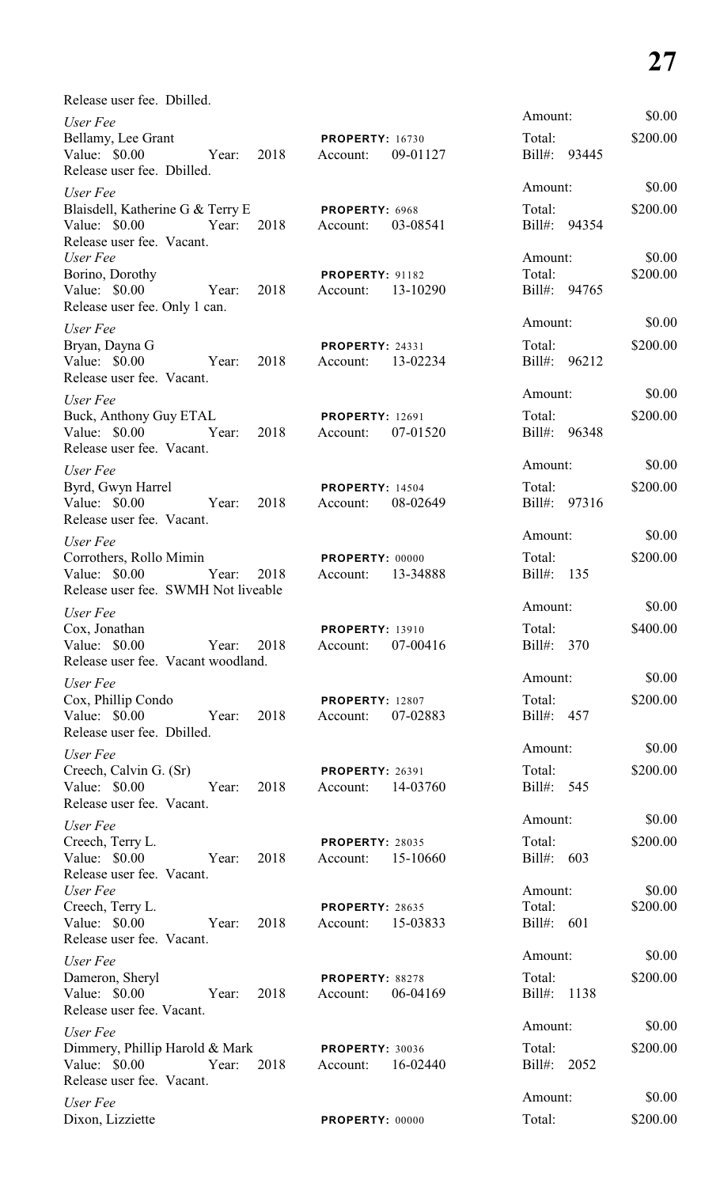| Release user fee. Dbilled.                 |       |      |                        |          |                    |          |
|--------------------------------------------|-------|------|------------------------|----------|--------------------|----------|
| User Fee                                   |       |      |                        |          | Amount:            | \$0.00   |
| Bellamy, Lee Grant                         |       |      | <b>PROPERTY: 16730</b> |          | Total:             | \$200.00 |
| Value: \$0.00                              | Year: | 2018 | Account:               | 09-01127 | Bill#: 93445       |          |
| Release user fee. Dbilled.                 |       |      |                        |          |                    |          |
| User Fee                                   |       |      |                        |          | Amount:            | \$0.00   |
| Blaisdell, Katherine G & Terry E           |       |      | PROPERTY: 6968         |          | Total:             | \$200.00 |
| Value: \$0.00<br>Release user fee. Vacant. | Year: | 2018 | Account:               | 03-08541 | Bill#: 94354       |          |
| User Fee                                   |       |      |                        |          | Amount:            | \$0.00   |
| Borino, Dorothy                            |       |      | <b>PROPERTY: 91182</b> |          | Total:             | \$200.00 |
| Value: \$0.00                              | Year: | 2018 | Account:               | 13-10290 | Bill#: 94765       |          |
| Release user fee. Only 1 can.              |       |      |                        |          |                    |          |
| User Fee                                   |       |      |                        |          | Amount:            | \$0.00   |
| Bryan, Dayna G                             |       |      | <b>PROPERTY: 24331</b> |          | Total:             | \$200.00 |
| Value: \$0.00                              | Year: | 2018 | Account:               | 13-02234 | Bill#: 96212       |          |
| Release user fee. Vacant.                  |       |      |                        |          |                    |          |
| User Fee                                   |       |      |                        |          | Amount:            | \$0.00   |
| Buck, Anthony Guy ETAL                     |       |      | <b>PROPERTY: 12691</b> |          | Total:             | \$200.00 |
| Value: \$0.00                              | Year: | 2018 | Account:               | 07-01520 | Bill#:<br>96348    |          |
| Release user fee. Vacant.                  |       |      |                        |          | Amount:            | \$0.00   |
| User Fee                                   |       |      |                        |          |                    |          |
| Byrd, Gwyn Harrel                          |       |      | <b>PROPERTY: 14504</b> |          | Total:             | \$200.00 |
| Value: \$0.00<br>Release user fee. Vacant. | Year: | 2018 | Account:               | 08-02649 | $Bill#$ :<br>97316 |          |
|                                            |       |      |                        |          | Amount:            | \$0.00   |
| User Fee<br>Corrothers, Rollo Mimin        |       |      | <b>PROPERTY: 00000</b> |          | Total:             | \$200.00 |
| Value: \$0.00                              | Year: | 2018 | Account:               | 13-34888 | $Bill#$ :<br>135   |          |
| Release user fee. SWMH Not liveable        |       |      |                        |          |                    |          |
| User Fee                                   |       |      |                        |          | Amount:            | \$0.00   |
| Cox, Jonathan                              |       |      | <b>PROPERTY: 13910</b> |          | Total:             | \$400.00 |
| Value: $$0.00$                             | Year: | 2018 | Account:               | 07-00416 | Bill#: 370         |          |
| Release user fee. Vacant woodland.         |       |      |                        |          |                    |          |
| User Fee                                   |       |      |                        |          | Amount:            | \$0.00   |
| Cox, Phillip Condo                         |       |      | <b>PROPERTY: 12807</b> |          | Total:             | \$200.00 |
| Value: \$0.00                              | Year: | 2018 | Account:               | 07-02883 | Bill#: 457         |          |
| Release user fee. Dbilled.                 |       |      |                        |          |                    |          |
| User Fee                                   |       |      |                        |          | Amount:            | \$0.00   |
| Creech, Calvin G. (Sr)                     |       |      | <b>PROPERTY: 26391</b> |          | Total:             | \$200.00 |
| Value: \$0.00                              | Year: | 2018 | Account:               | 14-03760 | Bill#: 545         |          |
| Release user fee. Vacant.                  |       |      |                        |          |                    |          |
| User Fee                                   |       |      |                        |          | Amount:            | \$0.00   |
| Creech, Terry L.                           |       |      | <b>PROPERTY: 28035</b> |          | Total:             | \$200.00 |
| Value: \$0.00<br>Release user fee. Vacant. | Year: | 2018 | Account:               | 15-10660 | Bill#: 603         |          |
| User Fee                                   |       |      |                        |          | Amount:            | \$0.00   |
| Creech, Terry L.                           |       |      | PROPERTY: 28635        |          | Total:             | \$200.00 |
| Value: \$0.00                              | Year: | 2018 | Account:               | 15-03833 | Bill#: $601$       |          |
| Release user fee. Vacant.                  |       |      |                        |          |                    |          |
| User Fee                                   |       |      |                        |          | Amount:            | \$0.00   |
| Dameron, Sheryl                            |       |      | PROPERTY: 88278        |          | Total:             | \$200.00 |
| Value: \$0.00                              | Year: | 2018 | Account:               | 06-04169 | Bill#: 1138        |          |
| Release user fee. Vacant.                  |       |      |                        |          |                    |          |
| User Fee                                   |       |      |                        |          | Amount:            | \$0.00   |
| Dimmery, Phillip Harold & Mark             |       |      | <b>PROPERTY: 30036</b> |          | Total:             | \$200.00 |
| Value: \$0.00                              | Year: | 2018 | Account:               | 16-02440 | Bill#: 2052        |          |
| Release user fee. Vacant.                  |       |      |                        |          |                    |          |
| User Fee                                   |       |      |                        |          | Amount:            | \$0.00   |
| Dixon, Lizziette                           |       |      | PROPERTY: 00000        |          | Total:             | \$200.00 |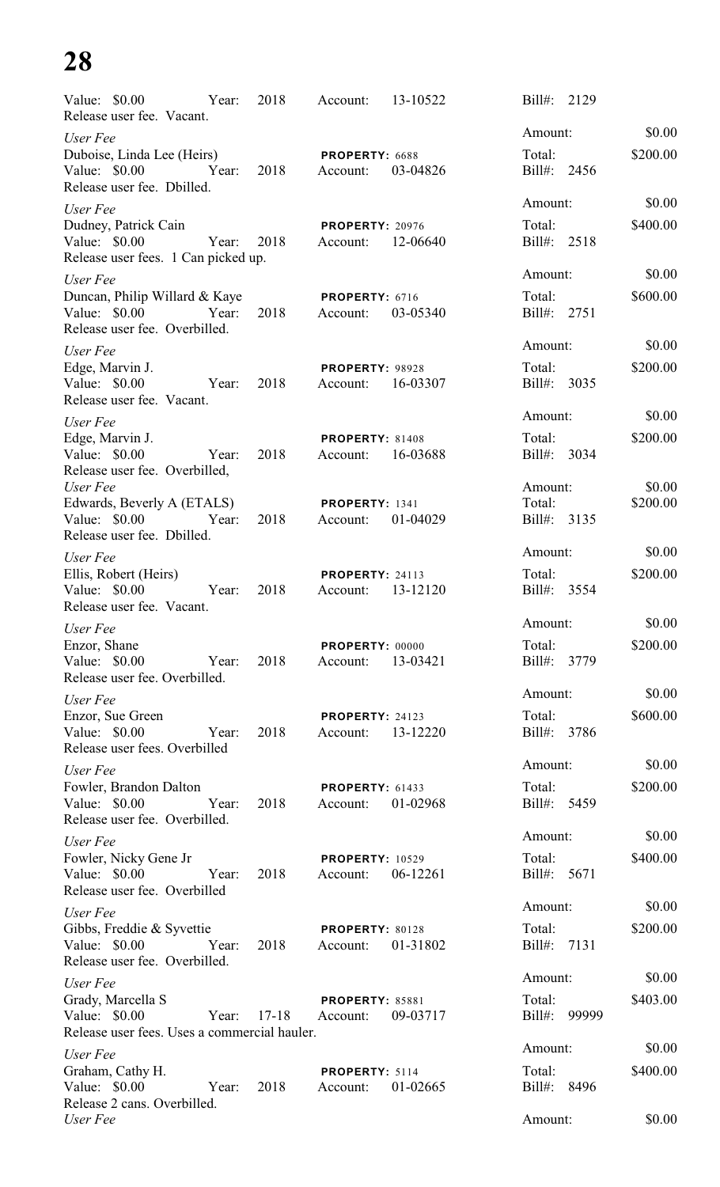| Value: \$0.00<br>Year:<br>Release user fee. Vacant.                                          | 2018      | Account:                           | 13-10522 | 2129<br>$Bill#$ :                |                    |
|----------------------------------------------------------------------------------------------|-----------|------------------------------------|----------|----------------------------------|--------------------|
| User Fee                                                                                     |           |                                    |          | Amount:                          | \$0.00             |
| Duboise, Linda Lee (Heirs)<br>Value: \$0.00<br>Year:<br>Release user fee. Dbilled.           | 2018      | PROPERTY: 6688<br>Account:         | 03-04826 | Total:<br>Bill#: 2456            | \$200.00           |
| User Fee                                                                                     |           |                                    |          | Amount:                          | \$0.00             |
| Dudney, Patrick Cain<br>Value: \$0.00<br>Year:<br>Release user fees. 1 Can picked up.        | 2018      | <b>PROPERTY: 20976</b><br>Account: | 12-06640 | Total:<br>Bill#: 2518            | \$400.00           |
| User Fee                                                                                     |           |                                    |          | Amount:                          | \$0.00             |
| Duncan, Philip Willard & Kaye<br>Value: \$0.00<br>Year:<br>Release user fee. Overbilled.     | 2018      | PROPERTY: 6716<br>Account:         | 03-05340 | Total:<br>Bill#: 2751            | \$600.00           |
| User Fee                                                                                     |           |                                    |          | Amount:                          | \$0.00             |
| Edge, Marvin J.<br>Value: \$0.00<br>Year:<br>Release user fee. Vacant.                       | 2018      | <b>PROPERTY: 98928</b><br>Account: | 16-03307 | Total:<br>Bill#: 3035            | \$200.00           |
| User Fee                                                                                     |           |                                    |          | Amount:                          | \$0.00             |
| Edge, Marvin J.<br>Value: \$0.00<br>Year:<br>Release user fee. Overbilled,                   | 2018      | PROPERTY: 81408<br>Account:        | 16-03688 | Total:<br>Bill#: 3034            | \$200.00           |
| User Fee<br>Edwards, Beverly A (ETALS)<br>Value: $$0.00$<br>Year:                            | 2018      | PROPERTY: 1341<br>Account:         | 01-04029 | Amount:<br>Total:<br>Bill#: 3135 | \$0.00<br>\$200.00 |
| Release user fee. Dbilled.                                                                   |           |                                    |          | Amount:                          | \$0.00             |
| User Fee<br>Ellis, Robert (Heirs)<br>Value: \$0.00<br>Year:                                  | 2018      | <b>PROPERTY: 24113</b><br>Account: | 13-12120 | Total:<br>Bill#: 3554            | \$200.00           |
| Release user fee. Vacant.                                                                    |           |                                    |          | Amount:                          | \$0.00             |
| User Fee<br>Enzor, Shane<br>Value: \$0.00<br>Year:<br>Release user fee. Overbilled.          | 2018      | PROPERTY: 00000<br>Account:        | 13-03421 | Total:<br>Bill#:<br>3779         | \$200.00           |
| User Fee                                                                                     |           |                                    |          | Amount:                          | \$0.00             |
| Enzor, Sue Green<br>Value: \$0.00<br>Year:<br>Release user fees. Overbilled                  | 2018      | PROPERTY: 24123<br>Account:        | 13-12220 | Total:<br>Bill#: 3786            | \$600.00           |
| User Fee                                                                                     |           |                                    |          | Amount:                          | \$0.00             |
| Fowler, Brandon Dalton<br>Value: \$0.00<br>Year:<br>Release user fee. Overbilled.            | 2018      | PROPERTY: 61433<br>Account:        | 01-02968 | Total:<br>Bill#: 5459            | \$200.00           |
| User Fee                                                                                     |           |                                    |          | Amount:                          | \$0.00             |
| Fowler, Nicky Gene Jr<br>Value: $$0.00$<br>Year:<br>Release user fee. Overbilled             | 2018      | <b>PROPERTY: 10529</b><br>Account: | 06-12261 | Total:<br>Bill#: 5671            | \$400.00           |
| User Fee                                                                                     |           |                                    |          | Amount:                          | \$0.00             |
| Gibbs, Freddie & Syvettie<br>Value: \$0.00<br>Year:<br>Release user fee. Overbilled.         | 2018      | PROPERTY: 80128<br>Account:        | 01-31802 | Total:<br>7131<br>Bill#:         | \$200.00           |
| User Fee                                                                                     |           |                                    |          | Amount:                          | \$0.00             |
| Grady, Marcella S<br>Value: $$0.00$<br>Year:<br>Release user fees. Uses a commercial hauler. | $17 - 18$ | <b>PROPERTY: 85881</b><br>Account: | 09-03717 | Total:<br>Bill#:<br>99999        | \$403.00           |
| User Fee                                                                                     |           |                                    |          | Amount:                          | \$0.00             |
| Graham, Cathy H.<br>Value: \$0.00<br>Year:<br>Release 2 cans. Overbilled.                    | 2018      | PROPERTY: 5114<br>Account:         | 01-02665 | Total:<br>Bill#:<br>8496         | \$400.00           |
| User Fee                                                                                     |           |                                    |          | Amount:                          | \$0.00             |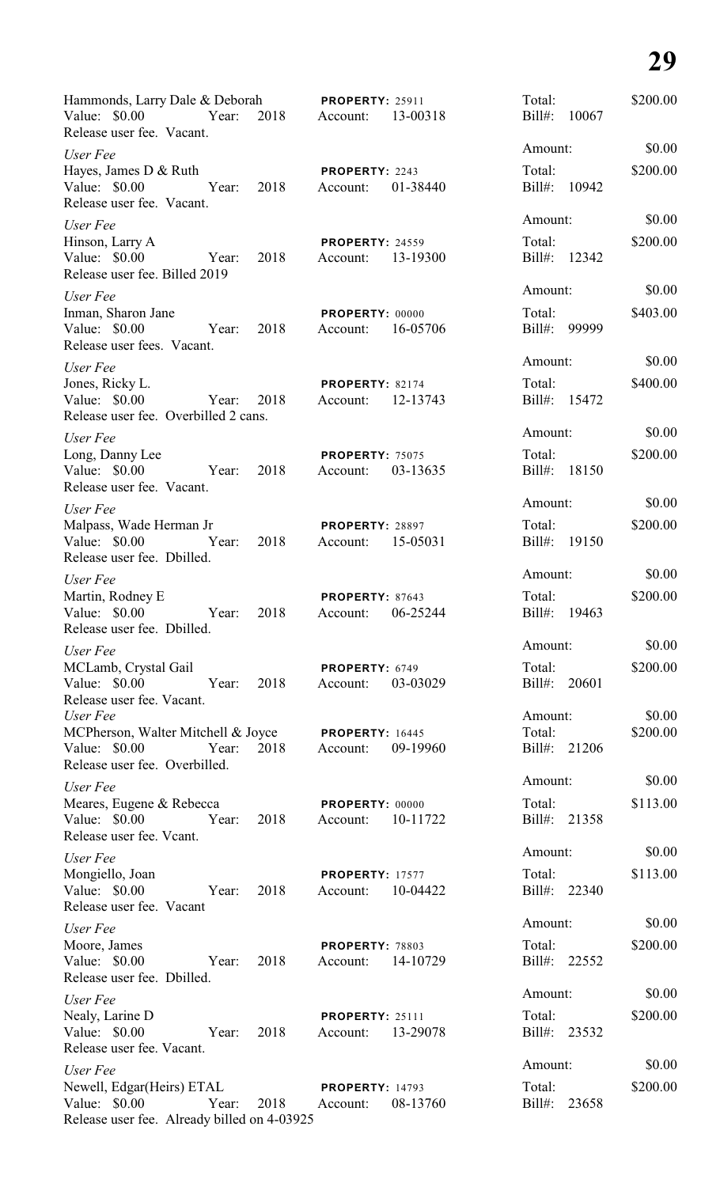| Hammonds, Larry Dale & Deborah<br>Value: \$0.00<br>Year:                                           | 2018 | <b>PROPERTY: 25911</b><br>Account: | 13-00318 | Total:<br>Bill#:       | \$200.00<br>10067 |
|----------------------------------------------------------------------------------------------------|------|------------------------------------|----------|------------------------|-------------------|
| Release user fee. Vacant.                                                                          |      |                                    |          | Amount:                | \$0.00            |
| User Fee<br>Hayes, James D & Ruth<br>Value: \$0.00<br>Year:                                        | 2018 | PROPERTY: 2243<br>Account:         | 01-38440 | Total:<br>Bill#: 10942 | \$200.00          |
| Release user fee. Vacant.                                                                          |      |                                    |          | Amount:                | \$0.00            |
| User Fee<br>Hinson, Larry A<br>Value: \$0.00<br>Year:<br>Release user fee. Billed 2019             | 2018 | <b>PROPERTY: 24559</b><br>Account: | 13-19300 | Total:<br>Bill#: 12342 | \$200.00          |
| User Fee                                                                                           |      |                                    |          | Amount:                | \$0.00            |
| Inman, Sharon Jane<br>Value: \$0.00<br>Year:<br>Release user fees. Vacant.                         | 2018 | PROPERTY: 00000<br>Account:        | 16-05706 | Total:<br>Bill#: 99999 | \$403.00          |
| User Fee                                                                                           |      |                                    |          | Amount:                | \$0.00            |
| Jones, Ricky L.<br>Value: \$0.00<br>Year:<br>Release user fee. Overbilled 2 cans.                  | 2018 | PROPERTY: 82174<br>Account:        | 12-13743 | Total:<br>Bill#: 15472 | \$400.00          |
| User Fee                                                                                           |      |                                    |          | Amount:                | \$0.00            |
| Long, Danny Lee<br>Value: \$0.00<br>Year:<br>Release user fee. Vacant.                             | 2018 | <b>PROPERTY: 75075</b><br>Account: | 03-13635 | Total:<br>Bill#: 18150 | \$200.00          |
| User Fee                                                                                           |      |                                    |          | Amount:                | \$0.00            |
| Malpass, Wade Herman Jr<br>Value: \$0.00<br>Year:<br>Release user fee. Dbilled.                    | 2018 | PROPERTY: 28897<br>Account:        | 15-05031 | Total:<br>Bill#: 19150 | \$200.00          |
| User Fee                                                                                           |      |                                    |          | Amount:                | \$0.00            |
| Martin, Rodney E<br>Value: \$0.00<br>Year:<br>Release user fee. Dbilled.                           | 2018 | PROPERTY: 87643<br>Account:        | 06-25244 | Total:<br>Bill#:       | \$200.00<br>19463 |
| User Fee                                                                                           |      |                                    |          | Amount:                | \$0.00            |
| MCLamb, Crystal Gail<br>Value: \$0.00<br>Year:<br>Release user fee. Vacant.                        | 2018 | PROPERTY: 6749<br>Account:         | 03-03029 | Total:<br>Bill#: 20601 | \$200.00          |
| User Fee                                                                                           |      |                                    |          | Amount:                | \$0.00            |
| MCPherson, Walter Mitchell & Joyce<br>Value: \$0.00<br>Year:<br>Release user fee. Overbilled.      | 2018 | <b>PROPERTY: 16445</b><br>Account: | 09-19960 | Total:<br>Bill#: 21206 | \$200.00          |
| User Fee                                                                                           |      |                                    |          | Amount:                | \$0.00            |
| Meares, Eugene & Rebecca<br>Value: \$0.00<br>Year:<br>Release user fee. Vcant.                     | 2018 | PROPERTY: 00000<br>Account:        | 10-11722 | Total:<br>Bill#: 21358 | \$113.00          |
| User Fee                                                                                           |      |                                    |          | Amount:                | \$0.00            |
| Mongiello, Joan<br>Value: $$0.00$<br>Year:<br>Release user fee. Vacant                             | 2018 | <b>PROPERTY: 17577</b><br>Account: | 10-04422 | Total:<br>Bill#: 22340 | \$113.00          |
| User Fee                                                                                           |      |                                    |          | Amount:                | \$0.00            |
| Moore, James<br>Value: \$0.00<br>Year:<br>Release user fee. Dbilled.                               | 2018 | PROPERTY: 78803<br>Account:        | 14-10729 | Total:<br>Bill#: 22552 | \$200.00          |
| User Fee                                                                                           |      |                                    |          | Amount:                | \$0.00            |
| Nealy, Larine D<br>Value: \$0.00<br>Year:<br>Release user fee. Vacant.                             | 2018 | <b>PROPERTY: 25111</b><br>Account: | 13-29078 | Total:<br>Bill#: 23532 | \$200.00          |
| User Fee                                                                                           |      |                                    |          | Amount:                | \$0.00            |
| Newell, Edgar(Heirs) ETAL<br>Value: \$0.00<br>Year:<br>Release user fee. Already billed on 4-03925 | 2018 | <b>PROPERTY: 14793</b><br>Account: | 08-13760 | Total:<br>Bill#: 23658 | \$200.00          |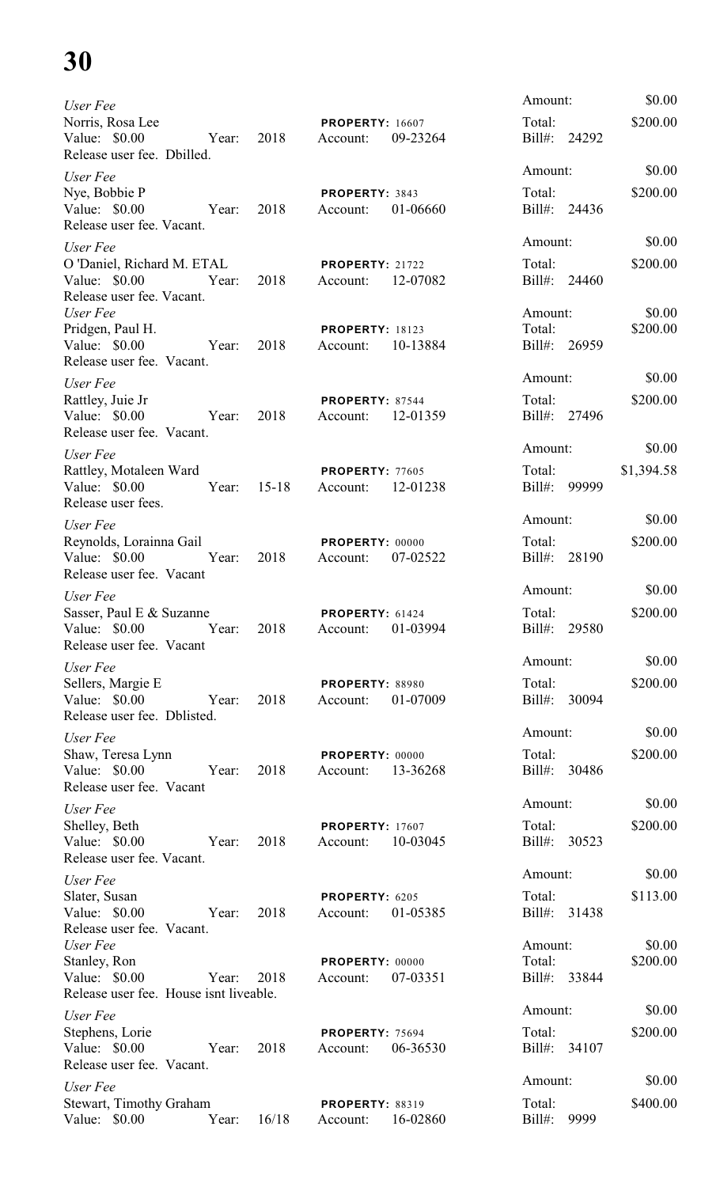| User Fee                                                                                  |           |                                                | Amount:                           | \$0.00              |
|-------------------------------------------------------------------------------------------|-----------|------------------------------------------------|-----------------------------------|---------------------|
| Norris, Rosa Lee<br>Value: $$0.00$<br>Year:                                               | 2018      | <b>PROPERTY: 16607</b><br>09-23264<br>Account: | Total:<br>Bill#: 24292            | \$200.00            |
| Release user fee. Dbilled.                                                                |           |                                                | Amount:                           | \$0.00              |
| User Fee<br>Nye, Bobbie P<br>Value: \$0.00<br>Year:<br>Release user fee. Vacant.          | 2018      | PROPERTY: 3843<br>01-06660<br>Account:         | Total:<br>Bill#: 24436            | \$200.00            |
| User Fee                                                                                  |           |                                                | Amount:                           | \$0.00              |
| O 'Daniel, Richard M. ETAL<br>Value: \$0.00<br>Year:<br>Release user fee. Vacant.         | 2018      | <b>PROPERTY: 21722</b><br>12-07082<br>Account: | Total:<br>Bill#: 24460            | \$200.00            |
| User Fee<br>Pridgen, Paul H.<br>Value: $$0.00$<br>Year:<br>Release user fee. Vacant.      | 2018      | <b>PROPERTY: 18123</b><br>10-13884<br>Account: | Amount:<br>Total:<br>Bill#: 26959 | \$0.00<br>\$200.00  |
| User Fee                                                                                  |           |                                                | Amount:                           | \$0.00              |
| Rattley, Juie Jr<br>Value: $$0.00$<br>Year:<br>Release user fee. Vacant.                  | 2018      | PROPERTY: 87544<br>12-01359<br>Account:        | Total:<br>Bill#: 27496            | \$200.00            |
| User Fee                                                                                  |           |                                                | Amount:                           | \$0.00              |
| Rattley, Motaleen Ward<br>Value: \$0.00<br>Year:<br>Release user fees.                    | $15 - 18$ | PROPERTY: 77605<br>12-01238<br>Account:        | Total:<br>$Bill#$ :               | \$1,394.58<br>99999 |
| User Fee                                                                                  |           |                                                | Amount:                           | \$0.00              |
| Reynolds, Lorainna Gail<br>Value: \$0.00<br>Year:<br>Release user fee. Vacant             | 2018      | PROPERTY: 00000<br>Account:<br>07-02522        | Total:<br>Bill#: 28190            | \$200.00            |
| User Fee                                                                                  |           |                                                | Amount:                           | \$0.00              |
| Sasser, Paul E & Suzanne<br>Value: \$0.00 Year: 2018 Account:<br>Release user fee. Vacant |           | <b>PROPERTY: 61424</b><br>01-03994             | Total:<br>Bill#: 29580            | \$200.00            |
| User Fee                                                                                  |           |                                                | Amount:                           | \$0.00              |
| Sellers, Margie E<br>Year: 2018<br>Value: \$0.00<br>Release user fee. Dblisted.           |           | <b>PROPERTY: 88980</b><br>01-07009<br>Account: | Total:<br>Bill#: 30094            | \$200.00            |
| User Fee                                                                                  |           |                                                | Amount:                           | \$0.00              |
| Shaw, Teresa Lynn<br>Value: \$0.00 Year: 2018<br>Release user fee. Vacant                 |           | <b>PROPERTY: 00000</b><br>Account: 13-36268    | Total:<br>Bill#: 30486            | \$200.00            |
| User Fee                                                                                  |           |                                                | Amount:                           | \$0.00              |
| Shelley, Beth<br>Value: \$0.00 Year:<br>Release user fee. Vacant.                         | 2018      | <b>PROPERTY: 17607</b><br>Account: 10-03045    | Total:<br>Bill#: 30523            | \$200.00            |
| User Fee                                                                                  |           |                                                | Amount:                           | \$0.00              |
| Slater, Susan<br>Value: \$0.00 Year:<br>Release user fee. Vacant.                         | 2018      | PROPERTY: 6205<br>Account: 01-05385            | Total:<br>Bill#: 31438            | \$113.00            |
| User Fee                                                                                  |           |                                                | Amount:                           | \$0.00              |
| Stanley, Ron<br>Value: \$0.00<br>Year: 2018<br>Release user fee. House isnt liveable.     |           | PROPERTY: 00000<br>07-03351<br>Account:        | Total:<br>Bill#: 33844            | \$200.00            |
| User Fee                                                                                  |           |                                                | Amount:                           | \$0.00              |
| Stephens, Lorie<br>Value: \$0.00<br>Year:<br>Release user fee. Vacant.                    | 2018      | <b>PROPERTY: 75694</b><br>06-36530<br>Account: | Total:<br>Bill#: 34107            | \$200.00            |
| User Fee                                                                                  |           |                                                | Amount:                           | \$0.00              |
| Stewart, Timothy Graham<br>Value: \$0.00<br>Year:                                         | 16/18     | <b>PROPERTY: 88319</b><br>16-02860<br>Account: | Total:<br>Bill#:                  | \$400.00<br>9999    |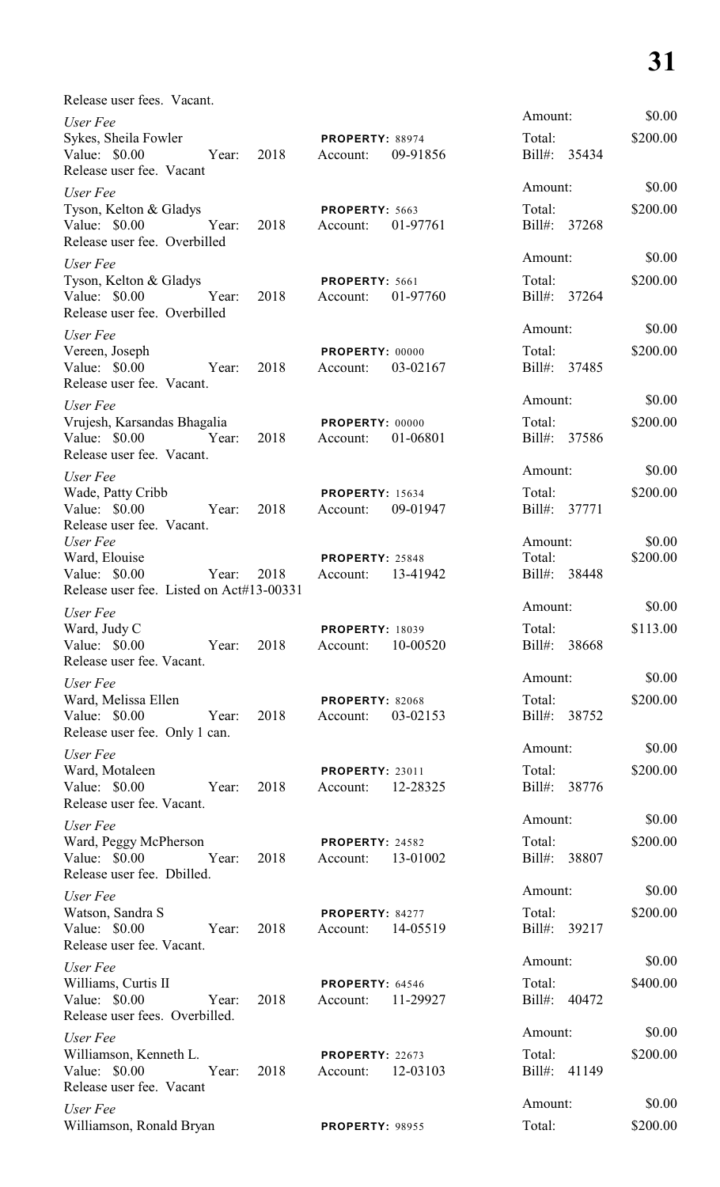| Release user fees. Vacant.                                                                  |                                                |                              |          |
|---------------------------------------------------------------------------------------------|------------------------------------------------|------------------------------|----------|
| User Fee                                                                                    |                                                | Amount:                      | \$0.00   |
| Sykes, Sheila Fowler<br>Value: \$0.00<br>Year:<br>2018<br>Release user fee. Vacant          | PROPERTY: 88974<br>09-91856<br>Account:        | Total:<br>Bill#: 35434       | \$200.00 |
| User Fee                                                                                    |                                                | Amount:                      | \$0.00   |
| Tyson, Kelton & Gladys<br>Value: \$0.00<br>2018<br>Year:<br>Release user fee. Overbilled    | PROPERTY: 5663<br>01-97761<br>Account:         | Total:<br>Bill#: 37268       | \$200.00 |
| User Fee                                                                                    |                                                | Amount:                      | \$0.00   |
| Tyson, Kelton & Gladys<br>Value: \$0.00<br>Year:<br>2018<br>Release user fee. Overbilled    | PROPERTY: 5661<br>01-97760<br>Account:         | Total:<br>Bill#: 37264       | \$200.00 |
| User Fee                                                                                    |                                                | Amount:                      | \$0.00   |
| Vereen, Joseph<br>Value: $$0.00$<br>2018<br>Year:<br>Release user fee. Vacant.              | PROPERTY: 00000<br>03-02167<br>Account:        | Total:<br>Bill#: 37485       | \$200.00 |
| User Fee                                                                                    |                                                | Amount:                      | \$0.00   |
| Vrujesh, Karsandas Bhagalia<br>2018<br>Value: \$0.00<br>Year:<br>Release user fee. Vacant.  | PROPERTY: 00000<br>01-06801<br>Account:        | Total:<br>Bill#: 37586       | \$200.00 |
| User Fee                                                                                    |                                                | Amount:                      | \$0.00   |
| Wade, Patty Cribb<br>Value: \$0.00<br>2018<br>Year:<br>Release user fee. Vacant.            | <b>PROPERTY: 15634</b><br>09-01947<br>Account: | Total:<br>$Bill#$ :<br>37771 | \$200.00 |
| User Fee                                                                                    |                                                | Amount:                      | \$0.00   |
| Ward, Elouise<br>Value: \$0.00<br>Year:<br>2018<br>Release user fee. Listed on Act#13-00331 | PROPERTY: 25848<br>13-41942<br>Account:        | Total:<br>Bill#: 38448       | \$200.00 |
| User Fee                                                                                    |                                                | Amount:                      | \$0.00   |
| Ward, Judy C<br>Value: \$0.00<br>2018<br>Year:<br>Release user fee. Vacant.                 | <b>PROPERTY: 18039</b><br>10-00520<br>Account: | Total:<br>Bill#:<br>38668    | \$113.00 |
| User Fee                                                                                    |                                                | Amount:                      | \$0.00   |
| Ward, Melissa Ellen<br>Value: \$0.00<br>Year:<br>2018<br>Release user fee. Only 1 can.      | PROPERTY: 82068<br>03-02153<br>Account:        | Total:<br>Bill#: 38752       | \$200.00 |
| User Fee                                                                                    |                                                | Amount:                      | \$0.00   |
| Ward, Motaleen<br>Value: \$0.00<br>2018<br>Year:<br>Release user fee. Vacant.               | <b>PROPERTY: 23011</b><br>12-28325<br>Account: | Total:<br>Bill#: 38776       | \$200.00 |
| User Fee                                                                                    |                                                | Amount:                      | \$0.00   |
| Ward, Peggy McPherson<br>Value: \$0.00<br>Year:<br>2018<br>Release user fee. Dbilled.       | <b>PROPERTY: 24582</b><br>13-01002<br>Account: | Total:<br>Bill#: 38807       | \$200.00 |
| User Fee                                                                                    |                                                | Amount:                      | \$0.00   |
| Watson, Sandra S<br>Value: \$0.00<br>Year:<br>2018<br>Release user fee. Vacant.             | PROPERTY: 84277<br>14-05519<br>Account:        | Total:<br>Bill#: 39217       | \$200.00 |
| User Fee                                                                                    |                                                | Amount:                      | \$0.00   |
| Williams, Curtis II<br>Value: \$0.00<br>Year:<br>2018<br>Release user fees. Overbilled.     | <b>PROPERTY: 64546</b><br>11-29927<br>Account: | Total:<br>Bill#: 40472       | \$400.00 |
| User Fee                                                                                    |                                                | Amount:                      | \$0.00   |
| Williamson, Kenneth L.<br>Value: \$0.00<br>Year:<br>2018<br>Release user fee. Vacant        | PROPERTY: 22673<br>12-03103<br>Account:        | Total:<br>Bill#: 41149       | \$200.00 |
| User Fee                                                                                    |                                                | Amount:                      | \$0.00   |
| Williamson, Ronald Bryan                                                                    | <b>PROPERTY: 98955</b>                         | Total:                       | \$200.00 |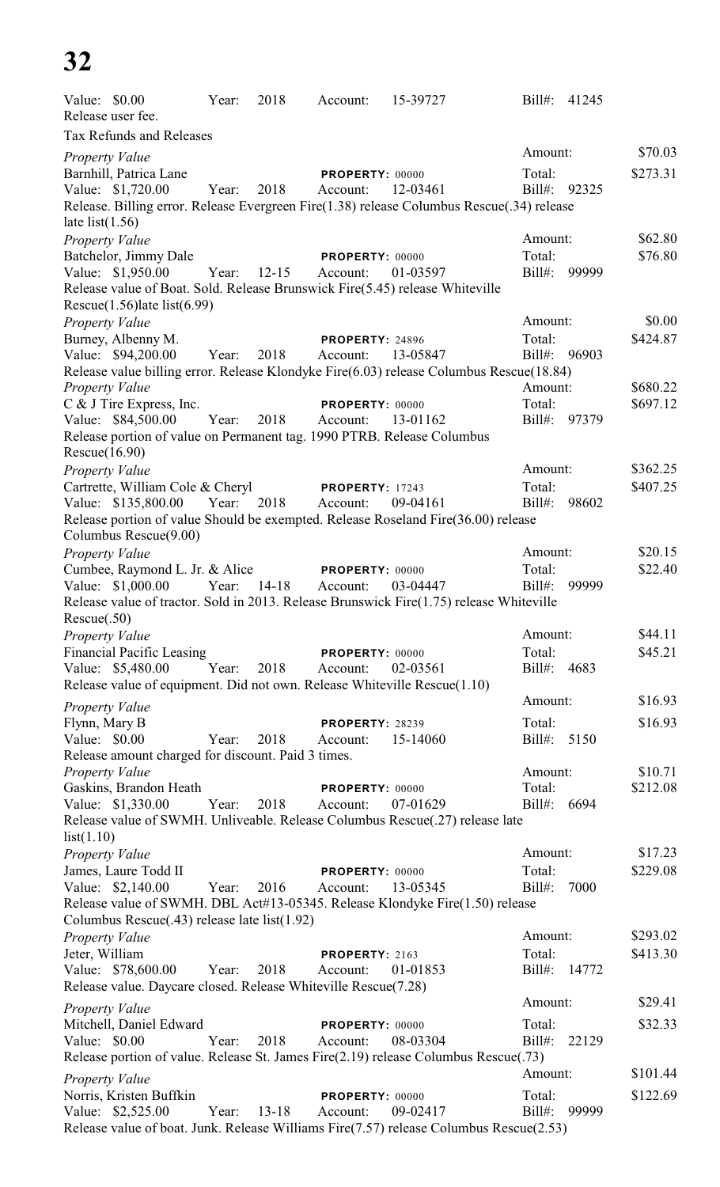| Value: \$0.00         |                                                                | Year:       | 2018      | Account:                    | 15-39727                                                                                  | Bill#:              | 41245 |          |
|-----------------------|----------------------------------------------------------------|-------------|-----------|-----------------------------|-------------------------------------------------------------------------------------------|---------------------|-------|----------|
|                       | Release user fee.                                              |             |           |                             |                                                                                           |                     |       |          |
|                       | Tax Refunds and Releases                                       |             |           |                             |                                                                                           |                     |       |          |
| <b>Property Value</b> |                                                                |             |           |                             |                                                                                           | Amount:             |       | \$70.03  |
|                       | Barnhill, Patrica Lane                                         |             |           | PROPERTY: 00000             |                                                                                           | Total:              |       | \$273.31 |
|                       | Value: \$1,720.00                                              | Year:       | 2018      | Account:                    | 12-03461                                                                                  | Bill#: 92325        |       |          |
| late list $(1.56)$    |                                                                |             |           |                             | Release. Billing error. Release Evergreen Fire(1.38) release Columbus Rescue(.34) release |                     |       |          |
| Property Value        |                                                                |             |           |                             |                                                                                           | Amount:             |       | \$62.80  |
|                       | Batchelor, Jimmy Dale                                          |             |           | PROPERTY: 00000             |                                                                                           | Total:              |       | \$76.80  |
|                       | Value: \$1,950.00                                              | Year: 12-15 |           | Account:                    | 01-03597                                                                                  | $Bill#$ :           | 99999 |          |
|                       |                                                                |             |           |                             | Release value of Boat. Sold. Release Brunswick Fire(5.45) release Whiteville              |                     |       |          |
|                       | Rescue $(1.56)$ late list $(6.99)$                             |             |           |                             |                                                                                           |                     |       |          |
| <b>Property Value</b> |                                                                |             |           |                             |                                                                                           | Amount:             |       | \$0.00   |
|                       | Burney, Albenny M.                                             |             |           | PROPERTY: 24896             |                                                                                           | Total:              |       | \$424.87 |
|                       | Value: \$94,200.00                                             | Year:       | 2018      | Account:                    | 13-05847                                                                                  | Bill#: 96903        |       |          |
| Property Value        |                                                                |             |           |                             | Release value billing error. Release Klondyke Fire(6.03) release Columbus Rescue(18.84)   | Amount:             |       | \$680.22 |
|                       | C & J Tire Express, Inc.                                       |             |           | PROPERTY: 00000             |                                                                                           | Total:              |       | \$697.12 |
|                       | Value: \$84,500.00                                             | Year:       | 2018      | Account:                    | 13-01162                                                                                  | Bill#: 97379        |       |          |
|                       |                                                                |             |           |                             | Release portion of value on Permanent tag. 1990 PTRB. Release Columbus                    |                     |       |          |
| Rescue(16.90)         |                                                                |             |           |                             |                                                                                           |                     |       |          |
| <b>Property Value</b> |                                                                |             |           |                             |                                                                                           | Amount:             |       | \$362.25 |
|                       | Cartrette, William Cole & Cheryl                               |             |           | <b>PROPERTY: 17243</b>      |                                                                                           | Total:              |       | \$407.25 |
|                       | Value: \$135,800.00                                            | Year:       | 2018      | Account:                    | 09-04161                                                                                  | Bill#:              | 98602 |          |
|                       |                                                                |             |           |                             | Release portion of value Should be exempted. Release Roseland Fire(36.00) release         |                     |       |          |
|                       | Columbus Rescue(9.00)                                          |             |           |                             |                                                                                           |                     |       |          |
| Property Value        |                                                                |             |           |                             |                                                                                           | Amount:             |       | \$20.15  |
|                       | Cumbee, Raymond L. Jr. & Alice<br>Value: \$1,000.00            | Year:       | 14-18     | PROPERTY: 00000<br>Account: | 03-04447                                                                                  | Total:<br>$Bill#$ : | 99999 | \$22.40  |
|                       |                                                                |             |           |                             | Release value of tractor. Sold in 2013. Release Brunswick Fire(1.75) release Whiteville   |                     |       |          |
| Rescue(.50)           |                                                                |             |           |                             |                                                                                           |                     |       |          |
| <b>Property Value</b> |                                                                |             |           |                             |                                                                                           | Amount:             |       | \$44.11  |
|                       | <b>Financial Pacific Leasing</b>                               |             |           | PROPERTY: 00000             |                                                                                           | Total:              |       | \$45.21  |
|                       | Value: \$5,480.00                                              | Year:       | 2018      | Account:                    | 02-03561                                                                                  | Bill#: 4683         |       |          |
|                       |                                                                |             |           |                             | Release value of equipment. Did not own. Release Whiteville Rescue(1.10)                  |                     |       |          |
| Property Value        |                                                                |             |           |                             |                                                                                           | Amount:             |       | \$16.93  |
| Flynn, Mary B         |                                                                |             |           | <b>PROPERTY: 28239</b>      |                                                                                           | Total:              |       | \$16.93  |
| Value: \$0.00         |                                                                | Year:       | 2018      | Account:                    | 15-14060                                                                                  | Bill#: 5150         |       |          |
|                       | Release amount charged for discount. Paid 3 times.             |             |           |                             |                                                                                           |                     |       |          |
| <b>Property Value</b> |                                                                |             |           |                             |                                                                                           | Amount:             |       | \$10.71  |
|                       | Gaskins, Brandon Heath                                         |             |           | PROPERTY: 00000             |                                                                                           | Total:              |       | \$212.08 |
|                       | Value: \$1,330.00                                              | Year:       | 2018      | Account:                    | 07-01629                                                                                  | $Bill#$ :           | 6694  |          |
| list(1.10)            |                                                                |             |           |                             | Release value of SWMH. Unliveable. Release Columbus Rescue(.27) release late              |                     |       |          |
| Property Value        |                                                                |             |           |                             |                                                                                           | Amount:             |       | \$17.23  |
|                       | James, Laure Todd II                                           |             |           | PROPERTY: 00000             |                                                                                           | Total:              |       | \$229.08 |
|                       | Value: \$2,140.00                                              | Year:       | 2016      | Account:                    | 13-05345                                                                                  | $Bill#$ :           | 7000  |          |
|                       |                                                                |             |           |                             | Release value of SWMH. DBL Act#13-05345. Release Klondyke Fire(1.50) release              |                     |       |          |
|                       | Columbus Rescue(.43) release late list(1.92)                   |             |           |                             |                                                                                           |                     |       |          |
| <b>Property Value</b> |                                                                |             |           |                             |                                                                                           | Amount:             |       | \$293.02 |
| Jeter, William        |                                                                |             |           | PROPERTY: 2163              |                                                                                           | Total:              |       | \$413.30 |
|                       | Value: \$78,600.00                                             | Year:       | 2018      | Account:                    | 01-01853                                                                                  | Bill#: 14772        |       |          |
|                       | Release value. Daycare closed. Release Whiteville Rescue(7.28) |             |           |                             |                                                                                           |                     |       |          |
| Property Value        |                                                                |             |           |                             |                                                                                           | Amount:             |       | \$29.41  |
|                       | Mitchell, Daniel Edward                                        |             |           | PROPERTY: 00000             |                                                                                           | Total:              |       | \$32.33  |
| Value: \$0.00         |                                                                | Year:       | 2018      | Account:                    | 08-03304                                                                                  | $Bill#$ :           | 22129 |          |
|                       |                                                                |             |           |                             | Release portion of value. Release St. James Fire(2.19) release Columbus Rescue(.73)       |                     |       |          |
| <b>Property Value</b> |                                                                |             |           |                             |                                                                                           | Amount:             |       | \$101.44 |
|                       | Norris, Kristen Buffkin                                        |             |           | PROPERTY: 00000             |                                                                                           | Total:              |       | \$122.69 |
|                       | Value: \$2,525.00                                              | Year:       | $13 - 18$ | Account:                    | 09-02417                                                                                  | $Bill#$ :           | 99999 |          |
|                       |                                                                |             |           |                             | Release value of boat. Junk. Release Williams Fire(7.57) release Columbus Rescue(2.53)    |                     |       |          |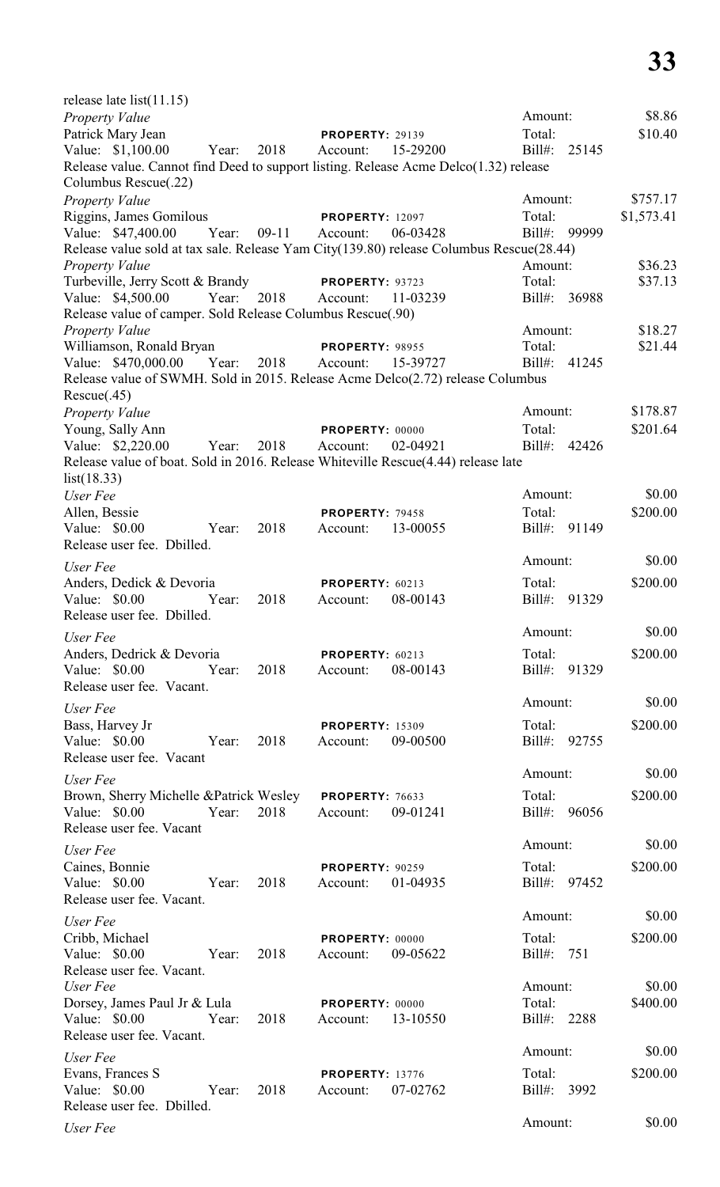| release late list $(11.15)$                                                                                  |       |         |                             |          |                   |       |            |
|--------------------------------------------------------------------------------------------------------------|-------|---------|-----------------------------|----------|-------------------|-------|------------|
| <b>Property Value</b>                                                                                        |       |         |                             |          | Amount:           |       | \$8.86     |
| Patrick Mary Jean                                                                                            |       |         | <b>PROPERTY: 29139</b>      |          | Total:            |       | \$10.40    |
| Value: \$1,100.00                                                                                            | Year: | 2018    | Account:                    | 15-29200 | Bill#:            | 25145 |            |
| Release value. Cannot find Deed to support listing. Release Acme Delco(1.32) release<br>Columbus Rescue(.22) |       |         |                             |          |                   |       |            |
| Property Value                                                                                               |       |         |                             |          | Amount:           |       | \$757.17   |
| Riggins, James Gomilous                                                                                      |       |         | <b>PROPERTY: 12097</b>      |          | Total:            |       | \$1,573.41 |
| Value: \$47,400.00                                                                                           | Year: | $09-11$ | Account:                    | 06-03428 | Bill#: 99999      |       |            |
| Release value sold at tax sale. Release Yam City(139.80) release Columbus Rescue(28.44)                      |       |         |                             |          |                   |       |            |
| <b>Property Value</b>                                                                                        |       |         |                             |          | Amount:<br>Total: |       | \$36.23    |
| Turbeville, Jerry Scott & Brandy<br>Value: \$4,500.00                                                        | Year: | 2018    | PROPERTY: 93723<br>Account: | 11-03239 | Bill#: 36988      |       | \$37.13    |
| Release value of camper. Sold Release Columbus Rescue(.90)                                                   |       |         |                             |          |                   |       |            |
| Property Value                                                                                               |       |         |                             |          | Amount:           |       | \$18.27    |
| Williamson, Ronald Bryan                                                                                     |       |         | PROPERTY: 98955             |          | Total:            |       | \$21.44    |
| Value: \$470,000.00                                                                                          | Year: | 2018    | Account:                    | 15-39727 | $Bill#$ :         | 41245 |            |
| Release value of SWMH. Sold in 2015. Release Acme Delco(2.72) release Columbus                               |       |         |                             |          |                   |       |            |
| Rescue(.45)                                                                                                  |       |         |                             |          |                   |       |            |
| Property Value                                                                                               |       |         |                             |          | Amount:           |       | \$178.87   |
| Young, Sally Ann                                                                                             |       |         | PROPERTY: 00000             |          | Total:            |       | \$201.64   |
| Value: \$2,220.00                                                                                            | Year: | 2018    | Account:                    | 02-04921 | Bill#: 42426      |       |            |
| Release value of boat. Sold in 2016. Release Whiteville Rescue(4.44) release late                            |       |         |                             |          |                   |       |            |
| list(18.33)                                                                                                  |       |         |                             |          |                   |       |            |
| User Fee                                                                                                     |       |         |                             |          | Amount:           |       | \$0.00     |
| Allen, Bessie                                                                                                |       |         | PROPERTY: 79458             |          | Total:            |       | \$200.00   |
| Value: \$0.00                                                                                                | Year: | 2018    | Account:                    | 13-00055 | Bill#: 91149      |       |            |
| Release user fee. Dbilled.                                                                                   |       |         |                             |          |                   |       |            |
| User Fee                                                                                                     |       |         |                             |          | Amount:           |       | \$0.00     |
| Anders, Dedick & Devoria                                                                                     |       |         | PROPERTY: 60213             |          | Total:            |       | \$200.00   |
| Value: \$0.00                                                                                                | Year: | 2018    | Account:                    | 08-00143 | $Bill#$ :         | 91329 |            |
| Release user fee. Dbilled.                                                                                   |       |         |                             |          |                   |       |            |
| User Fee                                                                                                     |       |         |                             |          | Amount:           |       | \$0.00     |
| Anders, Dedrick & Devoria                                                                                    |       |         | PROPERTY: 60213             |          | Total:            |       | \$200.00   |
| Value: \$0.00                                                                                                | Year: | 2018    | Account:                    | 08-00143 | Bill#: 91329      |       |            |
| Release user fee. Vacant.                                                                                    |       |         |                             |          |                   |       |            |
| User Fee                                                                                                     |       |         |                             |          | Amount:           |       | \$0.00     |
| Bass, Harvey Jr                                                                                              |       |         | <b>PROPERTY: 15309</b>      |          | Total:            |       | \$200.00   |
| Value: \$0.00                                                                                                | Year: | 2018    | Account:                    | 09-00500 | Bill#: 92755      |       |            |
| Release user fee. Vacant                                                                                     |       |         |                             |          |                   |       |            |
| User Fee                                                                                                     |       |         |                             |          | Amount:           |       | \$0.00     |
| Brown, Sherry Michelle & Patrick Wesley                                                                      |       |         | PROPERTY: 76633             |          | Total:            |       | \$200.00   |
| Value: \$0.00                                                                                                | Year: | 2018    | Account:                    | 09-01241 | Bill#: 96056      |       |            |
| Release user fee. Vacant                                                                                     |       |         |                             |          |                   |       |            |
| User Fee                                                                                                     |       |         |                             |          | Amount:           |       | \$0.00     |
| Caines, Bonnie                                                                                               |       |         | <b>PROPERTY: 90259</b>      |          | Total:            |       | \$200.00   |
| Value: \$0.00                                                                                                | Year: | 2018    | Account:                    | 01-04935 | Bill#: 97452      |       |            |
| Release user fee. Vacant.                                                                                    |       |         |                             |          |                   |       |            |
| User Fee                                                                                                     |       |         |                             |          | Amount:           |       | \$0.00     |
| Cribb, Michael                                                                                               |       |         | PROPERTY: 00000             |          | Total:            |       | \$200.00   |
| Value: \$0.00                                                                                                | Year: | 2018    | Account:                    | 09-05622 | Bill#:            | 751   |            |
| Release user fee. Vacant.                                                                                    |       |         |                             |          |                   |       |            |
| User Fee                                                                                                     |       |         |                             |          | Amount:           |       | \$0.00     |
| Dorsey, James Paul Jr & Lula                                                                                 |       |         | PROPERTY: 00000             |          | Total:            |       | \$400.00   |
| Value: $$0.00$                                                                                               | Year: | 2018    | Account:                    | 13-10550 | $Bill#$ :         | 2288  |            |
| Release user fee. Vacant.                                                                                    |       |         |                             |          |                   |       |            |
| User Fee                                                                                                     |       |         |                             |          | Amount:           |       | \$0.00     |
| Evans, Frances S                                                                                             |       |         | <b>PROPERTY: 13776</b>      |          | Total:            |       | \$200.00   |
| Value: \$0.00                                                                                                | Year: | 2018    | Account:                    | 07-02762 | Bill#:            | 3992  |            |
| Release user fee. Dbilled.                                                                                   |       |         |                             |          |                   |       |            |
| User Fee                                                                                                     |       |         |                             |          | Amount:           |       | \$0.00     |
|                                                                                                              |       |         |                             |          |                   |       |            |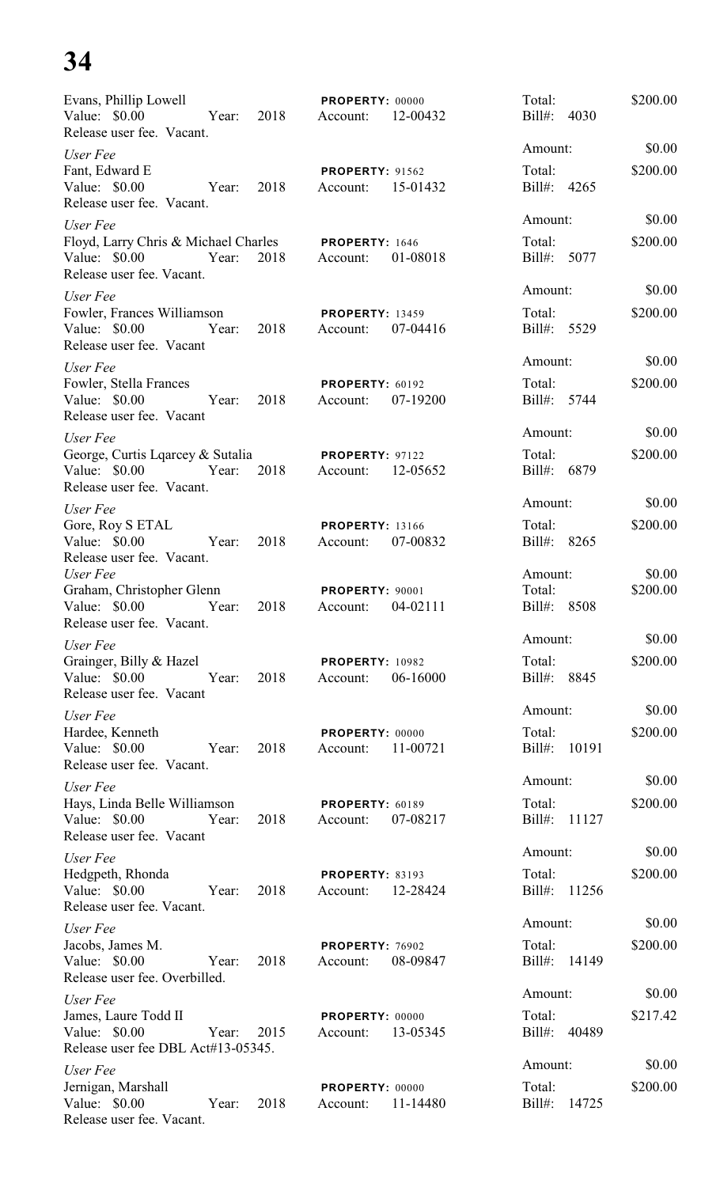| Evans, Phillip Lowell<br>Value: \$0.00<br>Year:<br>Release user fee. Vacant.                  | 2018 | PROPERTY: 00000<br>12-00432<br>Account:        | Total:<br>Bill#: 4030               | \$200.00           |
|-----------------------------------------------------------------------------------------------|------|------------------------------------------------|-------------------------------------|--------------------|
| User Fee                                                                                      |      |                                                | Amount:                             | \$0.00             |
| Fant, Edward E<br>Value: \$0.00<br>Year:<br>Release user fee. Vacant.                         | 2018 | <b>PROPERTY: 91562</b><br>15-01432<br>Account: | Total:<br>Bill#: 4265               | \$200.00           |
| User Fee                                                                                      |      |                                                | Amount:                             | \$0.00             |
| Floyd, Larry Chris & Michael Charles<br>Value: \$0.00<br>Year:<br>Release user fee. Vacant.   | 2018 | PROPERTY: 1646<br>01-08018<br>Account:         | Total:<br>Bill#: 5077               | \$200.00           |
| User Fee                                                                                      |      |                                                | Amount:                             | \$0.00             |
| Fowler, Frances Williamson<br>Value: \$0.00<br>Year:<br>Release user fee. Vacant              | 2018 | <b>PROPERTY: 13459</b><br>Account:<br>07-04416 | Total:<br>Bill#: 5529               | \$200.00           |
| User Fee                                                                                      |      |                                                | Amount:                             | \$0.00             |
| Fowler, Stella Frances<br>Value: \$0.00<br>Year:<br>Release user fee. Vacant                  | 2018 | PROPERTY: 60192<br>07-19200<br>Account:        | Total:<br>Bill#: 5744               | \$200.00           |
| User Fee                                                                                      |      |                                                | Amount:                             | \$0.00             |
| George, Curtis Lqarcey & Sutalia<br>Value: $$0.00$<br>Year:<br>Release user fee. Vacant.      | 2018 | <b>PROPERTY: 97122</b><br>12-05652<br>Account: | Total:<br>Bill#: 6879               | \$200.00           |
| User Fee                                                                                      |      |                                                | Amount:                             | \$0.00             |
| Gore, Roy S ETAL<br>Value: \$0.00<br>Year:<br>Release user fee. Vacant.                       | 2018 | <b>PROPERTY: 13166</b><br>07-00832<br>Account: | Total:<br>Bill#:<br>8265            | \$200.00           |
| User Fee<br>Graham, Christopher Glenn<br>Value: $$0.00$<br>Year:<br>Release user fee. Vacant. | 2018 | <b>PROPERTY: 90001</b><br>04-02111<br>Account: | Amount:<br>Total:<br>Bill#:<br>8508 | \$0.00<br>\$200.00 |
| User Fee                                                                                      |      |                                                | Amount:                             | \$0.00             |
| Grainger, Billy & Hazel<br>Value: \$0.00<br>Year:<br>Release user fee. Vacant                 | 2018 | PROPERTY: 10982<br>06-16000<br>Account:        | Total:<br>Bill#: 8845               | \$200.00           |
| User Fee                                                                                      |      |                                                | Amount:                             | \$0.00             |
| Hardee, Kenneth<br>Value: \$0.00<br>Year:<br>Release user fee. Vacant.                        | 2018 | PROPERTY: 00000<br>11-00721<br>Account:        | Total:<br>Bill#: 10191              | \$200.00           |
| User Fee                                                                                      |      |                                                | Amount:                             | \$0.00             |
| Hays, Linda Belle Williamson<br>Value: $$0.00$<br>Year:<br>Release user fee. Vacant           | 2018 | PROPERTY: 60189<br>07-08217<br>Account:        | Total:<br>Bill#: 11127              | \$200.00           |
| User Fee                                                                                      |      |                                                | Amount:                             | \$0.00             |
| Hedgpeth, Rhonda<br>Value: \$0.00<br>Year:<br>Release user fee. Vacant.                       | 2018 | <b>PROPERTY: 83193</b><br>12-28424<br>Account: | Total:<br>Bill#: 11256              | \$200.00           |
| User Fee                                                                                      |      |                                                | Amount:                             | \$0.00             |
| Jacobs, James M.<br>Value: \$0.00<br>Year:<br>Release user fee. Overbilled.                   | 2018 | PROPERTY: 76902<br>08-09847<br>Account:        | Total:<br>Bill#: 14149              | \$200.00           |
| User Fee                                                                                      |      |                                                | Amount:                             | \$0.00             |
| James, Laure Todd II<br>Value: \$0.00<br>Year:<br>Release user fee DBL Act#13-05345.          | 2015 | PROPERTY: 00000<br>13-05345<br>Account:        | Total:<br>Bill#: 40489              | \$217.42           |
| User Fee                                                                                      |      |                                                | Amount:                             | \$0.00             |
| Jernigan, Marshall<br>Value: \$0.00<br>Year:<br>Release user fee. Vacant.                     | 2018 | PROPERTY: 00000<br>11-14480<br>Account:        | Total:<br>Bill#:<br>14725           | \$200.00           |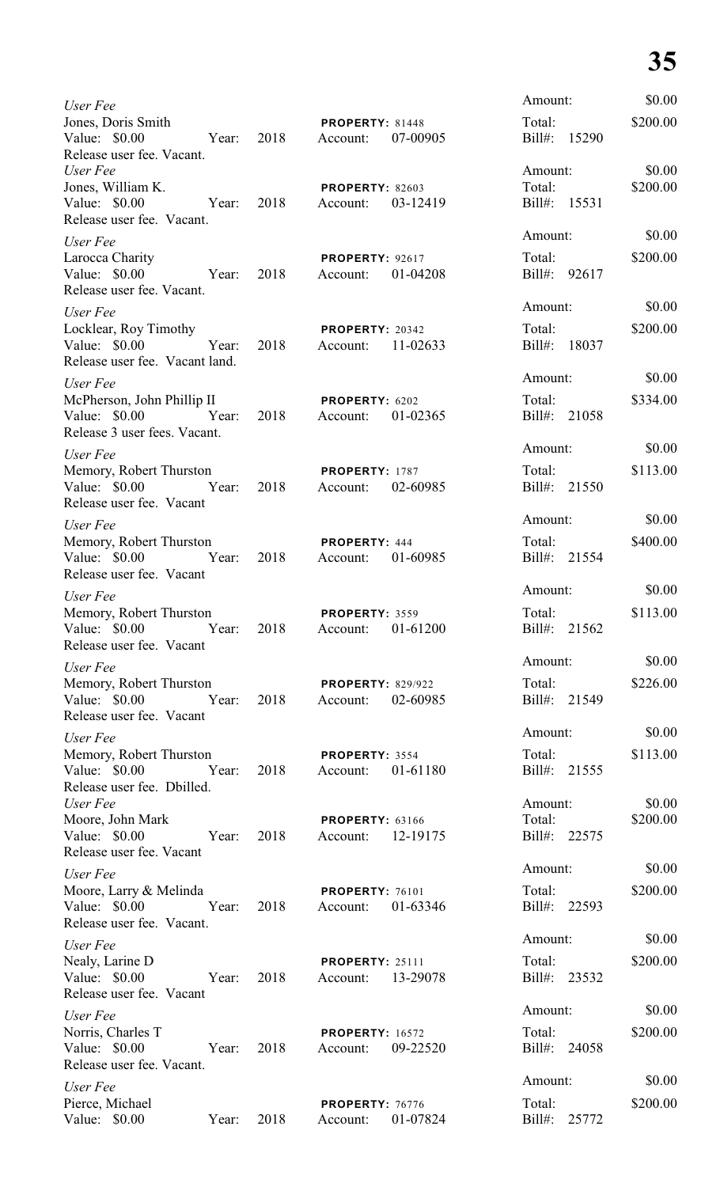| User Fee                                                                                  |      |                                             |          | Amount:                           |       | \$0.00             |
|-------------------------------------------------------------------------------------------|------|---------------------------------------------|----------|-----------------------------------|-------|--------------------|
| Jones, Doris Smith<br>Value: \$0.00<br>Year:<br>Release user fee. Vacant.                 | 2018 | <b>PROPERTY: 81448</b><br>Account:          | 07-00905 | Total:<br>Bill#: 15290            |       | \$200.00           |
| User Fee<br>Jones, William K.<br>Value: \$0.00<br>Year: 2018<br>Release user fee. Vacant. |      | <b>PROPERTY: 82603</b><br>Account:          | 03-12419 | Amount:<br>Total:<br>Bill#: 15531 |       | \$0.00<br>\$200.00 |
| User Fee                                                                                  |      |                                             |          | Amount:                           |       | \$0.00             |
| Larocca Charity<br>Value: \$0.00<br>Year: 2018<br>Release user fee. Vacant.               |      | <b>PROPERTY: 92617</b><br>Account:          | 01-04208 | Total:<br>Bill#: 92617            |       | \$200.00           |
| User Fee                                                                                  |      |                                             |          | Amount:                           |       | \$0.00             |
| Locklear, Roy Timothy<br>Year:<br>Value: \$0.00<br>Release user fee. Vacant land.         | 2018 | <b>PROPERTY: 20342</b><br>Account: 11-02633 |          | Total:<br>Bill#: 18037            |       | \$200.00           |
| User Fee                                                                                  |      |                                             |          | Amount:                           |       | \$0.00             |
| McPherson, John Phillip II<br>Value: \$0.00 Year:<br>Release 3 user fees. Vacant.         | 2018 | PROPERTY: 6202<br>Account:                  | 01-02365 | Total:<br>Bill#: 21058            |       | \$334.00           |
| User Fee                                                                                  |      |                                             |          | Amount:                           |       | \$0.00             |
| Memory, Robert Thurston<br>Value: \$0.00 Year: 2018<br>Release user fee. Vacant           |      | <b>PROPERTY: 1787</b><br>Account:           | 02-60985 | Total:<br>Bill#: 21550            |       | \$113.00           |
| User Fee                                                                                  |      |                                             |          | Amount:                           |       | \$0.00             |
| Memory, Robert Thurston<br>Value: \$0.00 Year: 2018<br>Release user fee. Vacant           |      | <b>PROPERTY: 444</b><br>Account: 01-60985   |          | Total:<br>Bill#: 21554            |       | \$400.00           |
| User Fee                                                                                  |      |                                             |          | Amount:                           |       | \$0.00             |
| Memory, Robert Thurston<br>Value: \$0.00<br>Year:<br>Release user fee. Vacant             | 2018 | PROPERTY: 3559<br>Account:                  | 01-61200 | Total:<br>Bill#:                  | 21562 | \$113.00           |
| User Fee                                                                                  |      |                                             |          | Amount:                           |       | \$0.00             |
| Memory, Robert Thurston<br>Value: $$0.00$<br>Year:<br>Release user fee. Vacant            | 2018 | <b>PROPERTY: 829/922</b><br>Account:        | 02-60985 | Total:<br>Bill#: 21549            |       | \$226.00           |
| User Fee                                                                                  |      |                                             |          | Amount:                           |       | \$0.00             |
| Memory, Robert Thurston<br>Value: $$0.00$<br>Year:<br>Release user fee. Dbilled.          | 2018 | PROPERTY: 3554<br>Account:                  | 01-61180 | Total:<br>Bill#: 21555            |       | \$113.00           |
| User Fee                                                                                  |      |                                             |          | Amount:                           |       | \$0.00             |
| Moore, John Mark<br>Value: \$0.00<br>Year:<br>Release user fee. Vacant                    | 2018 | <b>PROPERTY: 63166</b><br>Account:          | 12-19175 | Total:<br>Bill#: 22575            |       | \$200.00           |
| User Fee                                                                                  |      |                                             |          | Amount:                           |       | \$0.00             |
| Moore, Larry & Melinda<br>Value: \$0.00<br>Year:<br>Release user fee. Vacant.             | 2018 | PROPERTY: 76101<br>Account:                 | 01-63346 | Total:<br>Bill#: 22593            |       | \$200.00           |
| User Fee                                                                                  |      |                                             |          | Amount:                           |       | \$0.00             |
| Nealy, Larine D<br>Value: \$0.00<br>Year:<br>Release user fee. Vacant                     | 2018 | <b>PROPERTY: 25111</b><br>Account:          | 13-29078 | Total:<br>Bill#:                  | 23532 | \$200.00           |
| User Fee                                                                                  |      |                                             |          | Amount:                           |       | \$0.00             |
| Norris, Charles T<br>Value: \$0.00<br>Year:<br>Release user fee. Vacant.                  | 2018 | <b>PROPERTY: 16572</b><br>Account:          | 09-22520 | Total:<br>Bill#:                  | 24058 | \$200.00           |
| User Fee                                                                                  |      |                                             |          | Amount:                           |       | \$0.00             |
| Pierce, Michael<br>Value: \$0.00<br>Year:                                                 | 2018 | PROPERTY: 76776<br>Account:                 | 01-07824 | Total:<br>$Bill#$ :               | 25772 | \$200.00           |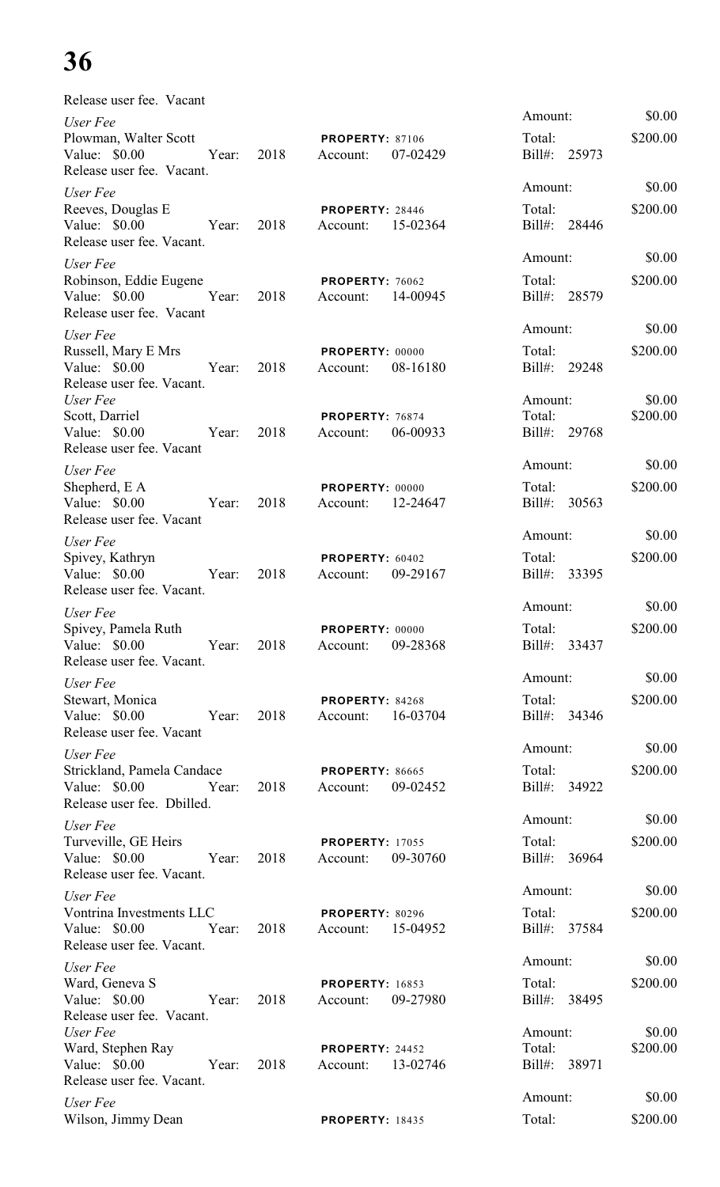| Release user fee. Vacant                                                        |       |      |                                      |          |                                   |                    |
|---------------------------------------------------------------------------------|-------|------|--------------------------------------|----------|-----------------------------------|--------------------|
| User Fee<br>Plowman, Walter Scott<br>Value: \$0.00<br>Release user fee. Vacant. | Year: | 2018 | <b>PROPERTY: 87106</b><br>Account:   | 07-02429 | Amount:<br>Total:<br>Bill#: 25973 | \$0.00<br>\$200.00 |
| User Fee                                                                        |       |      |                                      |          | Amount:                           | \$0.00             |
| Reeves, Douglas E<br>Value: $$0.00$<br>Release user fee. Vacant.                | Year: | 2018 | PROPERTY: 28446<br>Account:          | 15-02364 | Total:<br>Bill#: 28446            | \$200.00           |
| User Fee                                                                        |       |      |                                      |          | Amount:                           | \$0.00             |
| Robinson, Eddie Eugene<br>Value: $$0.00$<br>Release user fee. Vacant            | Year: | 2018 | <b>PROPERTY: 76062</b><br>Account:   | 14-00945 | Total:<br>Bill#: 28579            | \$200.00           |
| User Fee                                                                        |       |      |                                      |          | Amount:                           | \$0.00             |
| Russell, Mary E Mrs<br>Value: \$0.00<br>Release user fee. Vacant.               | Year: | 2018 | PROPERTY: 00000<br>Account:          | 08-16180 | Total:<br>Bill#: 29248            | \$200.00           |
| User Fee<br>Scott, Darriel<br>Value: \$0.00<br>Release user fee. Vacant         | Year: | 2018 | PROPERTY: 76874<br>Account:          | 06-00933 | Amount:<br>Total:<br>Bill#: 29768 | \$0.00<br>\$200.00 |
| User Fee                                                                        |       |      |                                      |          | Amount:                           | \$0.00             |
| Shepherd, E A<br>Value: \$0.00<br>Release user fee. Vacant                      | Year: | 2018 | PROPERTY: 00000<br>Account:          | 12-24647 | Total:<br>Bill#: 30563            | \$200.00           |
| User Fee                                                                        |       |      |                                      |          | Amount:                           | \$0.00             |
| Spivey, Kathryn<br>Value: $$0.00$<br>Release user fee. Vacant.                  | Year: | 2018 | PROPERTY: 60402<br>Account:          | 09-29167 | Total:<br>Bill#: 33395            | \$200.00           |
| User Fee                                                                        |       |      |                                      |          | Amount:                           | \$0.00             |
| Spivey, Pamela Ruth<br>Value: \$0.00<br>Release user fee. Vacant.               | Year: | 2018 | PROPERTY: 00000<br>Account:          | 09-28368 | Total:<br>Bill#: 33437            | \$200.00           |
| User Fee                                                                        |       |      |                                      |          | Amount:                           | \$0.00             |
| Stewart, Monica<br>Value: \$0.00<br>Release user fee. Vacant                    | Year: | 2018 | PROPERTY: 84268<br>Account: 16-03704 |          | Total:<br>Bill#: 34346            | \$200.00           |
| User Fee                                                                        |       |      |                                      |          | Amount:                           | \$0.00             |
| Strickland, Pamela Candace<br>Value: \$0.00<br>Release user fee. Dbilled.       | Year: | 2018 | <b>PROPERTY: 86665</b><br>Account:   | 09-02452 | Total:<br>Bill#: 34922            | \$200.00           |
| User Fee                                                                        |       |      |                                      |          | Amount:                           | \$0.00             |
| Turveville, GE Heirs<br>Value: \$0.00 Year:<br>Release user fee. Vacant.        |       | 2018 | <b>PROPERTY: 17055</b><br>Account:   | 09-30760 | Total:<br>Bill#: 36964            | \$200.00           |
| User Fee                                                                        |       |      |                                      |          | Amount:                           | \$0.00             |
| Vontrina Investments LLC<br>Value: \$0.00 Year:<br>Release user fee. Vacant.    |       | 2018 | <b>PROPERTY: 80296</b><br>Account:   | 15-04952 | Total:<br>Bill#: 37584            | \$200.00           |
| User Fee                                                                        |       |      |                                      |          | Amount:                           | \$0.00             |
| Ward, Geneva S<br>Value: \$0.00<br>Release user fee. Vacant.                    | Year: | 2018 | <b>PROPERTY: 16853</b><br>Account:   | 09-27980 | Total:<br>Bill#: 38495            | \$200.00           |
| User Fee<br>Ward, Stephen Ray<br>Value: \$0.00<br>Release user fee. Vacant.     | Year: | 2018 | <b>PROPERTY: 24452</b><br>Account:   | 13-02746 | Amount:<br>Total:<br>Bill#: 38971 | \$0.00<br>\$200.00 |
| User Fee                                                                        |       |      |                                      |          | Amount:                           | \$0.00             |
| Wilson, Jimmy Dean                                                              |       |      | <b>PROPERTY: 18435</b>               |          | Total:                            | \$200.00           |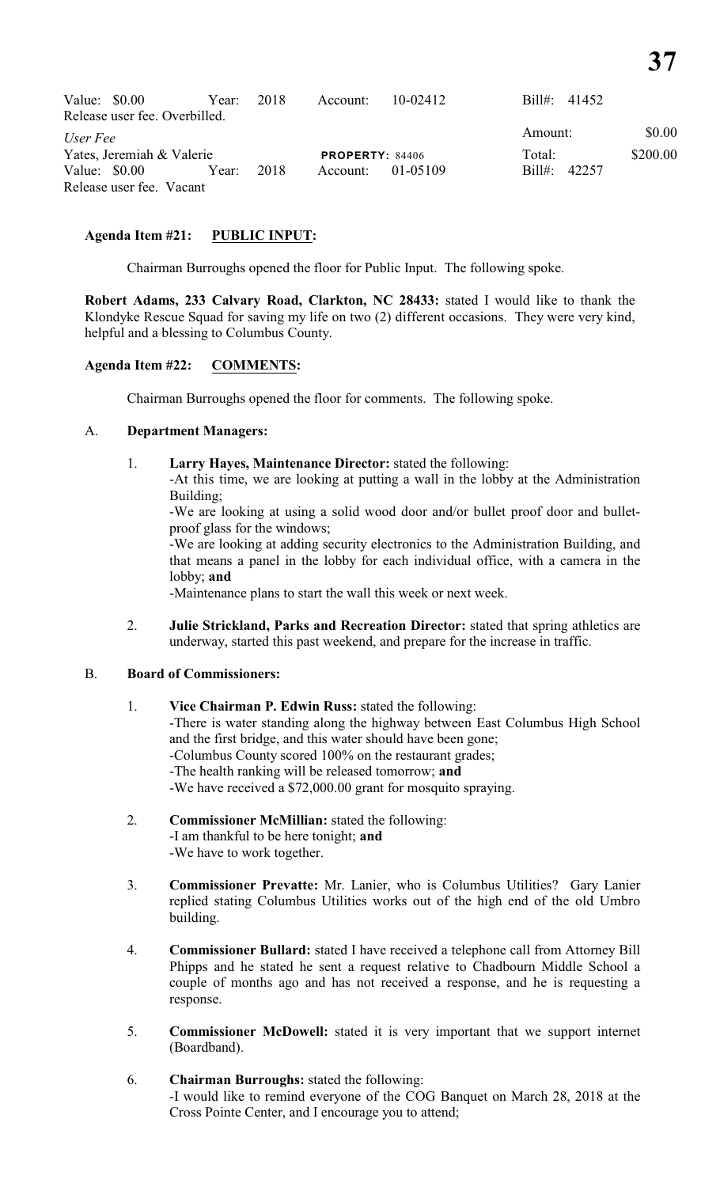| Value: $$0.00$ |                               | Year: 2018 |      | Account:               | 10-02412 | Bill#: $41452$ |          |
|----------------|-------------------------------|------------|------|------------------------|----------|----------------|----------|
|                | Release user fee. Overbilled. |            |      |                        |          |                |          |
| User Fee       |                               |            |      |                        |          | Amount:        | \$0.00   |
|                | Yates, Jeremiah & Valerie     |            |      | <b>PROPERTY: 84406</b> |          | Total:         | \$200.00 |
| Value: $$0.00$ |                               | Year:      | 2018 | Account:               | 01-05109 | Bill#: 42257   |          |
|                | Release user fee. Vacant      |            |      |                        |          |                |          |

# **Agenda Item #21: PUBLIC INPUT:**

Chairman Burroughs opened the floor for Public Input. The following spoke.

**Robert Adams, 233 Calvary Road, Clarkton, NC 28433:** stated I would like to thank the Klondyke Rescue Squad for saving my life on two (2) different occasions. They were very kind, helpful and a blessing to Columbus County.

# **Agenda Item #22: COMMENTS:**

Chairman Burroughs opened the floor for comments. The following spoke.

# A. **Department Managers:**

1. **Larry Hayes, Maintenance Director:** stated the following:

-At this time, we are looking at putting a wall in the lobby at the Administration Building;

-We are looking at using a solid wood door and/or bullet proof door and bulletproof glass for the windows;

-We are looking at adding security electronics to the Administration Building, and that means a panel in the lobby for each individual office, with a camera in the lobby; **and**

-Maintenance plans to start the wall this week or next week.

2. **Julie Strickland, Parks and Recreation Director:** stated that spring athletics are underway, started this past weekend, and prepare for the increase in traffic.

# B. **Board of Commissioners:**

- 1. **Vice Chairman P. Edwin Russ:** stated the following: -There is water standing along the highway between East Columbus High School and the first bridge, and this water should have been gone; -Columbus County scored 100% on the restaurant grades; -The health ranking will be released tomorrow; **and** -We have received a \$72,000.00 grant for mosquito spraying.
- 2. **Commissioner McMillian:** stated the following: -I am thankful to be here tonight; **and** -We have to work together.
- 3. **Commissioner Prevatte:** Mr. Lanier, who is Columbus Utilities?Gary Lanier replied stating Columbus Utilities works out of the high end of the old Umbro building.
- 4. **Commissioner Bullard:** stated I have received a telephone call from Attorney Bill Phipps and he stated he sent a request relative to Chadbourn Middle School a couple of months ago and has not received a response, and he is requesting a response.
- 5. **Commissioner McDowell:** stated it is very important that we support internet (Boardband).
- 6. **Chairman Burroughs:** stated the following: -I would like to remind everyone of the COG Banquet on March 28, 2018 at the Cross Pointe Center, and I encourage you to attend;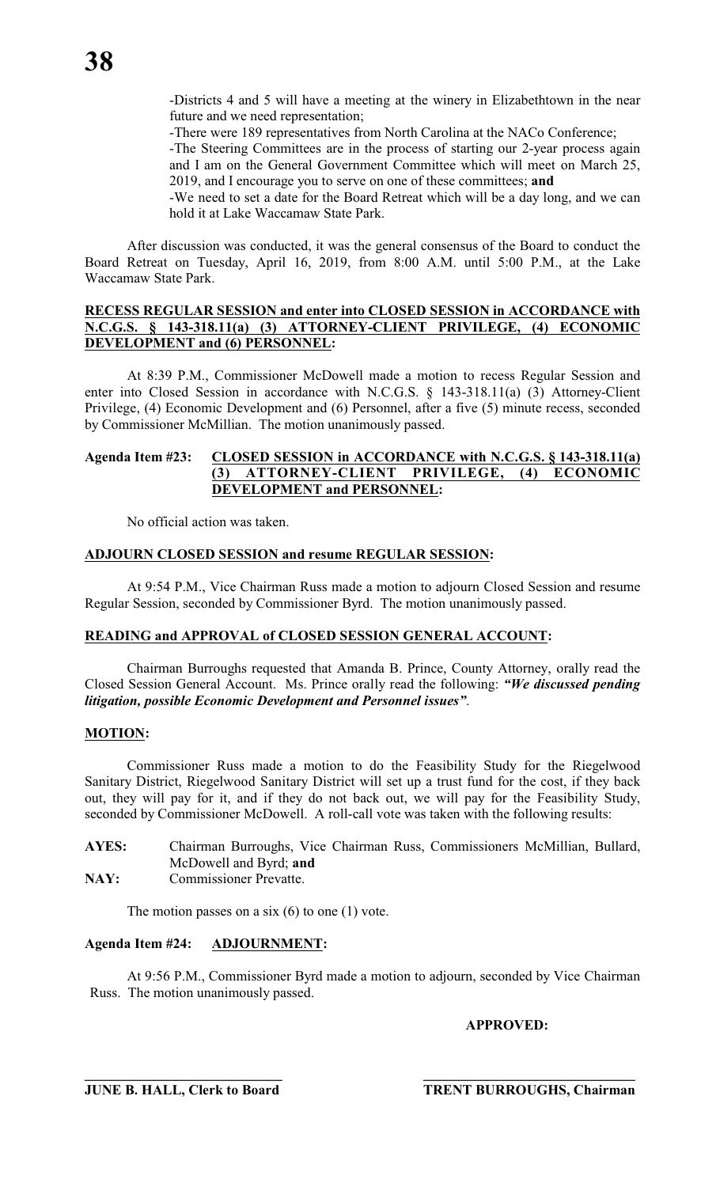-Districts 4 and 5 will have a meeting at the winery in Elizabethtown in the near future and we need representation;

-There were 189 representatives from North Carolina at the NACo Conference;

-The Steering Committees are in the process of starting our 2-year process again and I am on the General Government Committee which will meet on March 25, 2019, and I encourage you to serve on one of these committees; **and**

-We need to set a date for the Board Retreat which will be a day long, and we can hold it at Lake Waccamaw State Park.

After discussion was conducted, it was the general consensus of the Board to conduct the Board Retreat on Tuesday, April 16, 2019, from 8:00 A.M. until 5:00 P.M., at the Lake Waccamaw State Park.

# **RECESS REGULAR SESSION and enter into CLOSED SESSION in ACCORDANCE with N.C.G.S. § 143-318.11(a) (3) ATTORNEY-CLIENT PRIVILEGE, (4) ECONOMIC DEVELOPMENT and (6) PERSONNEL:**

At 8:39 P.M., Commissioner McDowell made a motion to recess Regular Session and enter into Closed Session in accordance with N.C.G.S. § 143-318.11(a) (3) Attorney-Client Privilege, (4) Economic Development and (6) Personnel, after a five (5) minute recess, seconded by Commissioner McMillian. The motion unanimously passed.

# **Agenda Item #23: CLOSED SESSION in ACCORDANCE with N.C.G.S. § 143-318.11(a) (3) ATTORNEY-CLIENT PRIVILEGE, (4) ECONOMIC DEVELOPMENT and PERSONNEL:**

No official action was taken.

# **ADJOURN CLOSED SESSION and resume REGULAR SESSION:**

At 9:54 P.M., Vice Chairman Russ made a motion to adjourn Closed Session and resume Regular Session, seconded by Commissioner Byrd. The motion unanimously passed.

# **READING and APPROVAL of CLOSED SESSION GENERAL ACCOUNT:**

Chairman Burroughs requested that Amanda B. Prince, County Attorney, orally read the Closed Session General Account. Ms. Prince orally read the following: *"We discussed pending litigation, possible Economic Development and Personnel issues"*.

# **MOTION:**

Commissioner Russ made a motion to do the Feasibility Study for the Riegelwood Sanitary District, Riegelwood Sanitary District will set up a trust fund for the cost, if they back out, they will pay for it, and if they do not back out, we will pay for the Feasibility Study, seconded by Commissioner McDowell. A roll-call vote was taken with the following results:

- **AYES:** Chairman Burroughs, Vice Chairman Russ, Commissioners McMillian, Bullard, McDowell and Byrd; **and**
- **NAY:** Commissioner Prevatte.

The motion passes on a six  $(6)$  to one  $(1)$  vote.

# **Agenda Item #24: ADJOURNMENT:**

At 9:56 P.M., Commissioner Byrd made a motion to adjourn, seconded by Vice Chairman Russ. The motion unanimously passed.

**APPROVED:**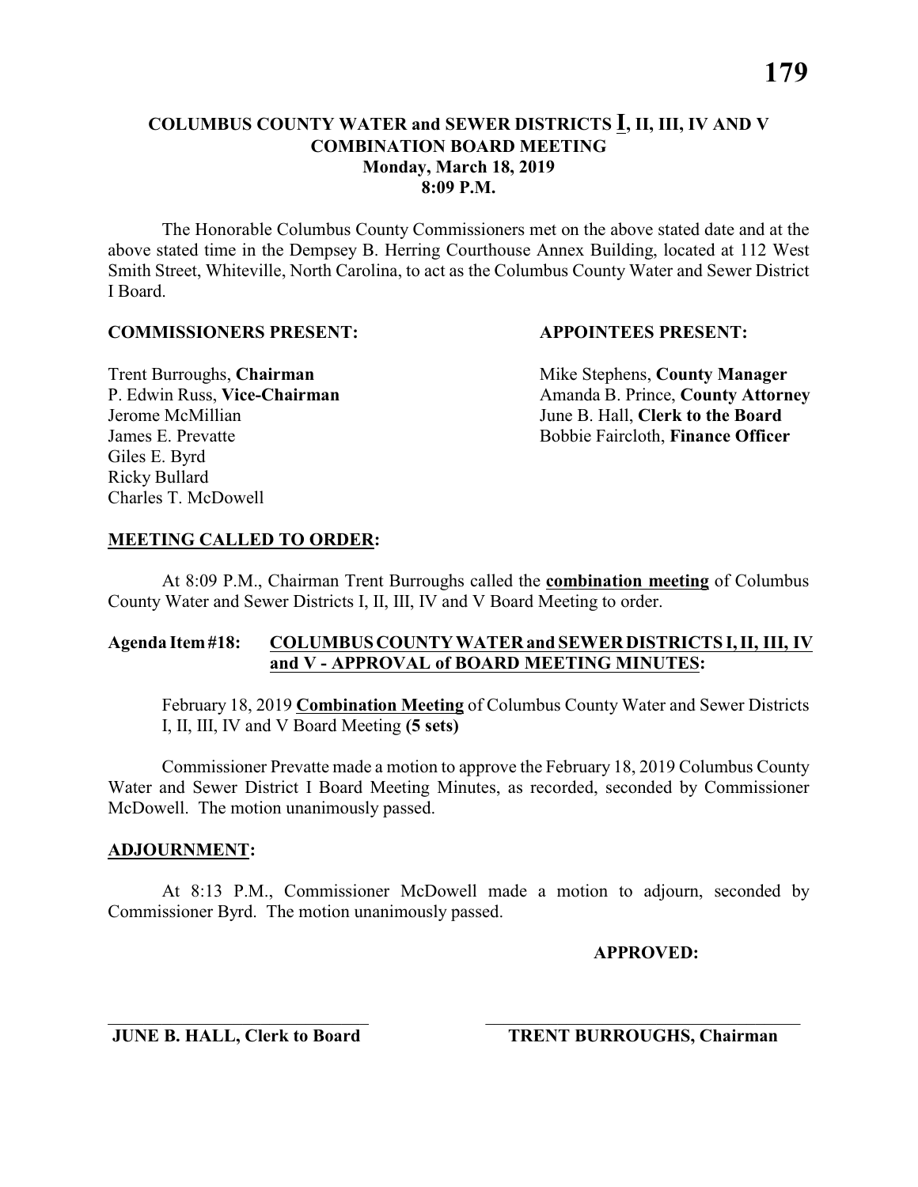The Honorable Columbus County Commissioners met on the above stated date and at the above stated time in the Dempsey B. Herring Courthouse Annex Building, located at 112 West Smith Street, Whiteville, North Carolina, to act as the Columbus County Water and Sewer District I Board.

### **COMMISSIONERS PRESENT: APPOINTEES PRESENT:**

Giles E. Byrd Ricky Bullard Charles T. McDowell

**Trent Burroughs, Chairman** Mike Stephens, **County Manager** P. Edwin Russ, Vice-Chairman Amanda B. Prince, County Attorney Jerome McMillian June B. Hall, **Clerk to the Board** James E. Prevatte Bobbie Faircloth, **Finance Officer**

# **MEETING CALLED TO ORDER:**

At 8:09 P.M., Chairman Trent Burroughs called the **combination meeting** of Columbus County Water and Sewer Districts I, II, III, IV and V Board Meeting to order.

# **Agenda Item #18: COLUMBUS COUNTY WATER and SEWER DISTRICTS I, II, III, IV and V - APPROVAL of BOARD MEETING MINUTES:**

February 18, 2019 **Combination Meeting** of Columbus County Water and Sewer Districts I, II, III, IV and V Board Meeting **(5 sets)**

Commissioner Prevatte made a motion to approve the February 18, 2019 Columbus County Water and Sewer District I Board Meeting Minutes, as recorded, seconded by Commissioner McDowell. The motion unanimously passed.

### **ADJOURNMENT:**

At 8:13 P.M., Commissioner McDowell made a motion to adjourn, seconded by Commissioner Byrd. The motion unanimously passed.

\_\_\_\_\_\_\_\_\_\_\_\_\_\_\_\_\_\_\_\_\_\_\_\_\_\_\_\_\_ \_\_\_\_\_\_\_\_\_\_\_\_\_\_\_\_\_\_\_\_\_\_\_\_\_\_\_\_\_\_\_\_\_\_\_

**APPROVED:**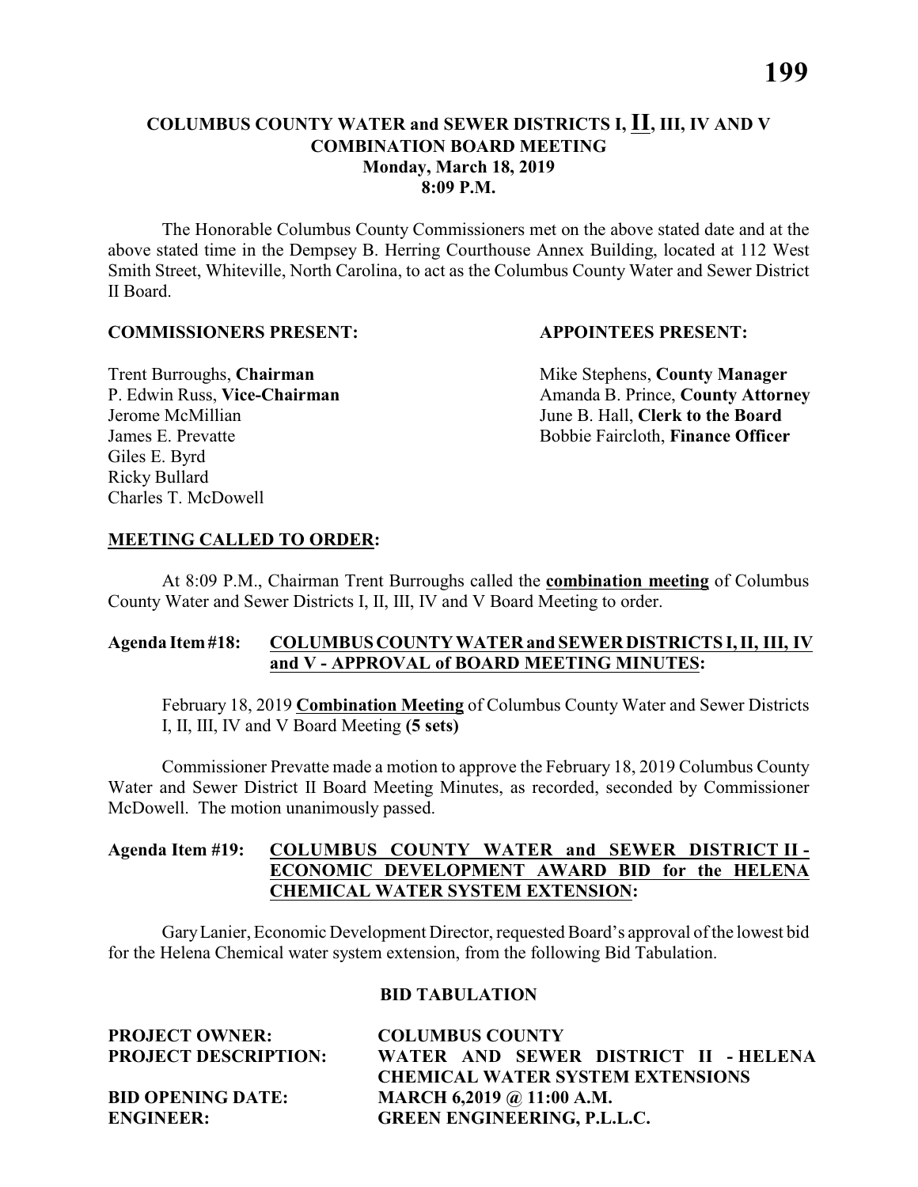The Honorable Columbus County Commissioners met on the above stated date and at the above stated time in the Dempsey B. Herring Courthouse Annex Building, located at 112 West Smith Street, Whiteville, North Carolina, to act as the Columbus County Water and Sewer District II Board.

#### **COMMISSIONERS PRESENT: APPOINTEES PRESENT:**

Giles E. Byrd Ricky Bullard Charles T. McDowell

**Trent Burroughs, Chairman** Mike Stephens, **County Manager** P. Edwin Russ, Vice-Chairman Amanda B. Prince, County Attorney Jerome McMillian June B. Hall, **Clerk to the Board** James E. Prevatte Bobbie Faircloth, **Finance Officer**

# **MEETING CALLED TO ORDER:**

At 8:09 P.M., Chairman Trent Burroughs called the **combination meeting** of Columbus County Water and Sewer Districts I, II, III, IV and V Board Meeting to order.

# **Agenda Item #18: COLUMBUS COUNTY WATER and SEWER DISTRICTS I, II, III, IV and V - APPROVAL of BOARD MEETING MINUTES:**

February 18, 2019 **Combination Meeting** of Columbus County Water and Sewer Districts I, II, III, IV and V Board Meeting **(5 sets)**

Commissioner Prevatte made a motion to approve the February 18, 2019 Columbus County Water and Sewer District II Board Meeting Minutes, as recorded, seconded by Commissioner McDowell. The motion unanimously passed.

# **Agenda Item #19: COLUMBUS COUNTY WATER and SEWER DISTRICT II - ECONOMIC DEVELOPMENT AWARD BID for the HELENA CHEMICAL WATER SYSTEM EXTENSION:**

Gary Lanier, Economic Development Director, requested Board's approval of the lowest bid for the Helena Chemical water system extension, from the following Bid Tabulation.

### **BID TABULATION**

**PROJECT OWNER: COLUMBUS COUNTY**

**PROJECT DESCRIPTION: WATER AND SEWER DISTRICT II - HELENA CHEMICAL WATER SYSTEM EXTENSIONS BID OPENING DATE: MARCH 6,2019 @ 11:00 A.M. ENGINEER: GREEN ENGINEERING, P.L.L.C.**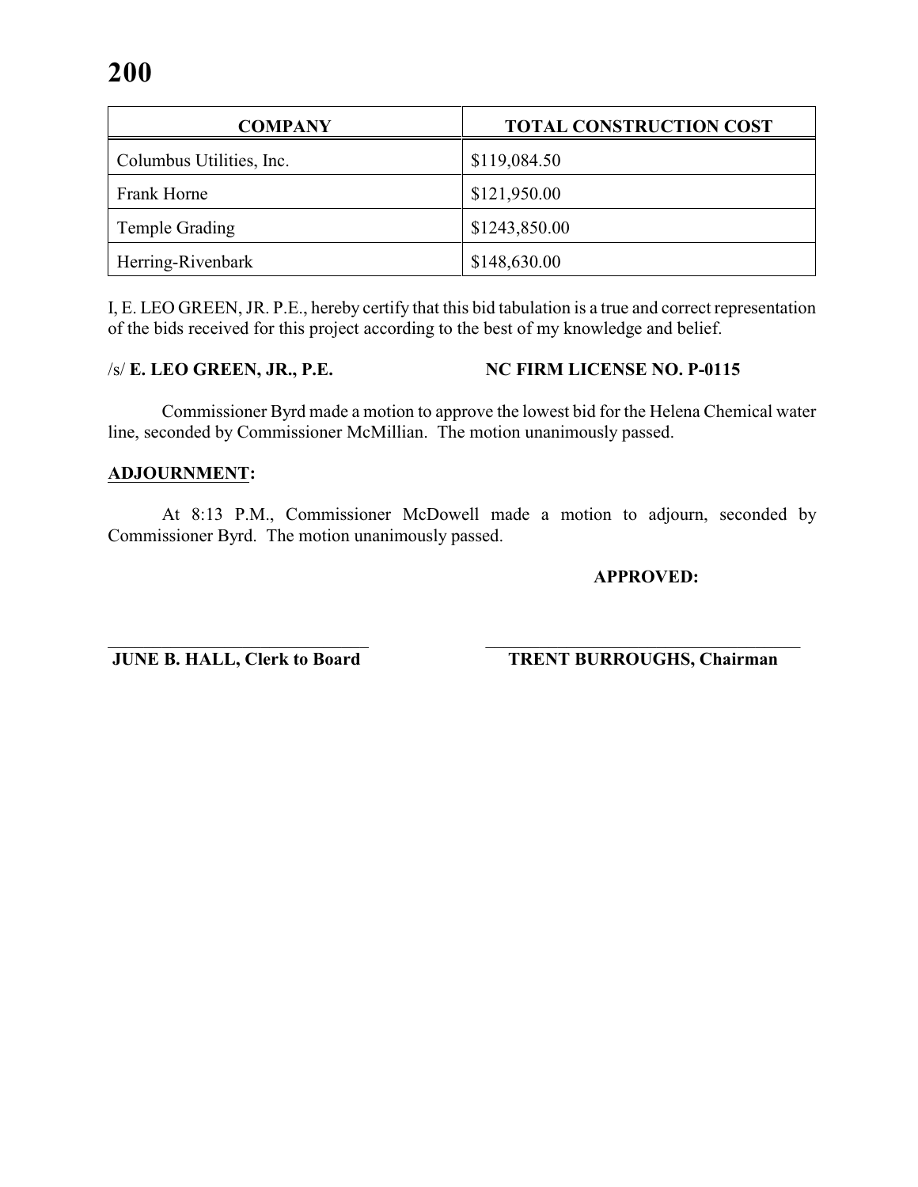| <b>COMPANY</b>           | <b>TOTAL CONSTRUCTION COST</b> |  |  |  |
|--------------------------|--------------------------------|--|--|--|
| Columbus Utilities, Inc. | \$119,084.50                   |  |  |  |
| Frank Horne              | \$121,950.00                   |  |  |  |
| Temple Grading           | \$1243,850.00                  |  |  |  |
| Herring-Rivenbark        | \$148,630.00                   |  |  |  |

I, E. LEO GREEN, JR. P.E., hereby certify that this bid tabulation is a true and correct representation of the bids received for this project according to the best of my knowledge and belief.

/s/ **E. LEO GREEN, JR., P.E. NC FIRM LICENSE NO. P-0115**

Commissioner Byrd made a motion to approve the lowest bid for the Helena Chemical water line, seconded by Commissioner McMillian. The motion unanimously passed.

# **ADJOURNMENT:**

At 8:13 P.M., Commissioner McDowell made a motion to adjourn, seconded by Commissioner Byrd. The motion unanimously passed.

# **APPROVED:**

\_\_\_\_\_\_\_\_\_\_\_\_\_\_\_\_\_\_\_\_\_\_\_\_\_\_\_\_\_ \_\_\_\_\_\_\_\_\_\_\_\_\_\_\_\_\_\_\_\_\_\_\_\_\_\_\_\_\_\_\_\_\_\_\_ **JUNE B. HALL, Clerk to Board TRENT BURROUGHS, Chairman**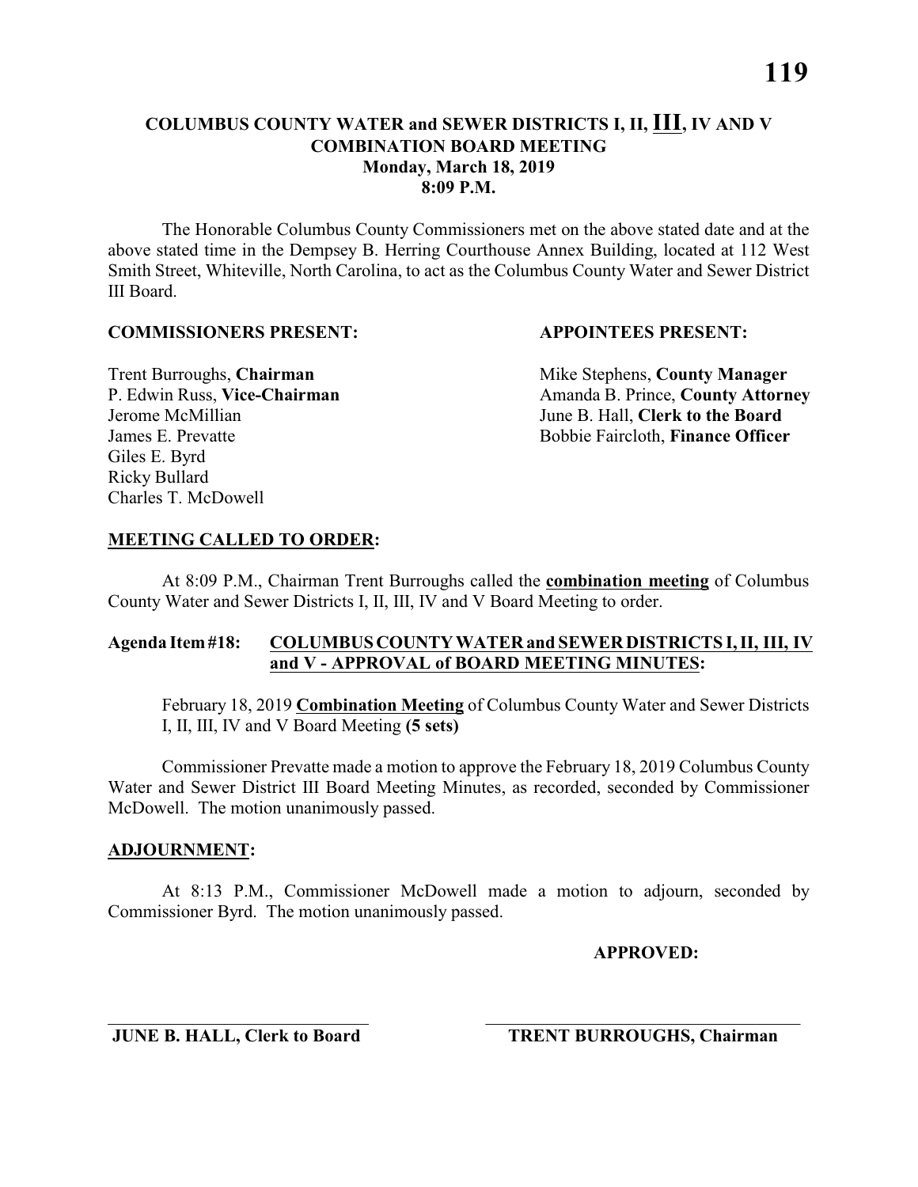The Honorable Columbus County Commissioners met on the above stated date and at the above stated time in the Dempsey B. Herring Courthouse Annex Building, located at 112 West Smith Street, Whiteville, North Carolina, to act as the Columbus County Water and Sewer District III Board.

### **COMMISSIONERS PRESENT: APPOINTEES PRESENT:**

Giles E. Byrd Ricky Bullard Charles T. McDowell

**Trent Burroughs, Chairman** Mike Stephens, **County Manager** P. Edwin Russ, Vice-Chairman Amanda B. Prince, County Attorney Jerome McMillian June B. Hall, **Clerk to the Board** James E. Prevatte Bobbie Faircloth, **Finance Officer**

# **MEETING CALLED TO ORDER:**

At 8:09 P.M., Chairman Trent Burroughs called the **combination meeting** of Columbus County Water and Sewer Districts I, II, III, IV and V Board Meeting to order.

# **Agenda Item #18: COLUMBUS COUNTY WATER and SEWER DISTRICTS I, II, III, IV and V - APPROVAL of BOARD MEETING MINUTES:**

February 18, 2019 **Combination Meeting** of Columbus County Water and Sewer Districts I, II, III, IV and V Board Meeting **(5 sets)**

Commissioner Prevatte made a motion to approve the February 18, 2019 Columbus County Water and Sewer District III Board Meeting Minutes, as recorded, seconded by Commissioner McDowell. The motion unanimously passed.

### **ADJOURNMENT:**

At 8:13 P.M., Commissioner McDowell made a motion to adjourn, seconded by Commissioner Byrd. The motion unanimously passed.

\_\_\_\_\_\_\_\_\_\_\_\_\_\_\_\_\_\_\_\_\_\_\_\_\_\_\_\_\_ \_\_\_\_\_\_\_\_\_\_\_\_\_\_\_\_\_\_\_\_\_\_\_\_\_\_\_\_\_\_\_\_\_\_\_

**APPROVED:**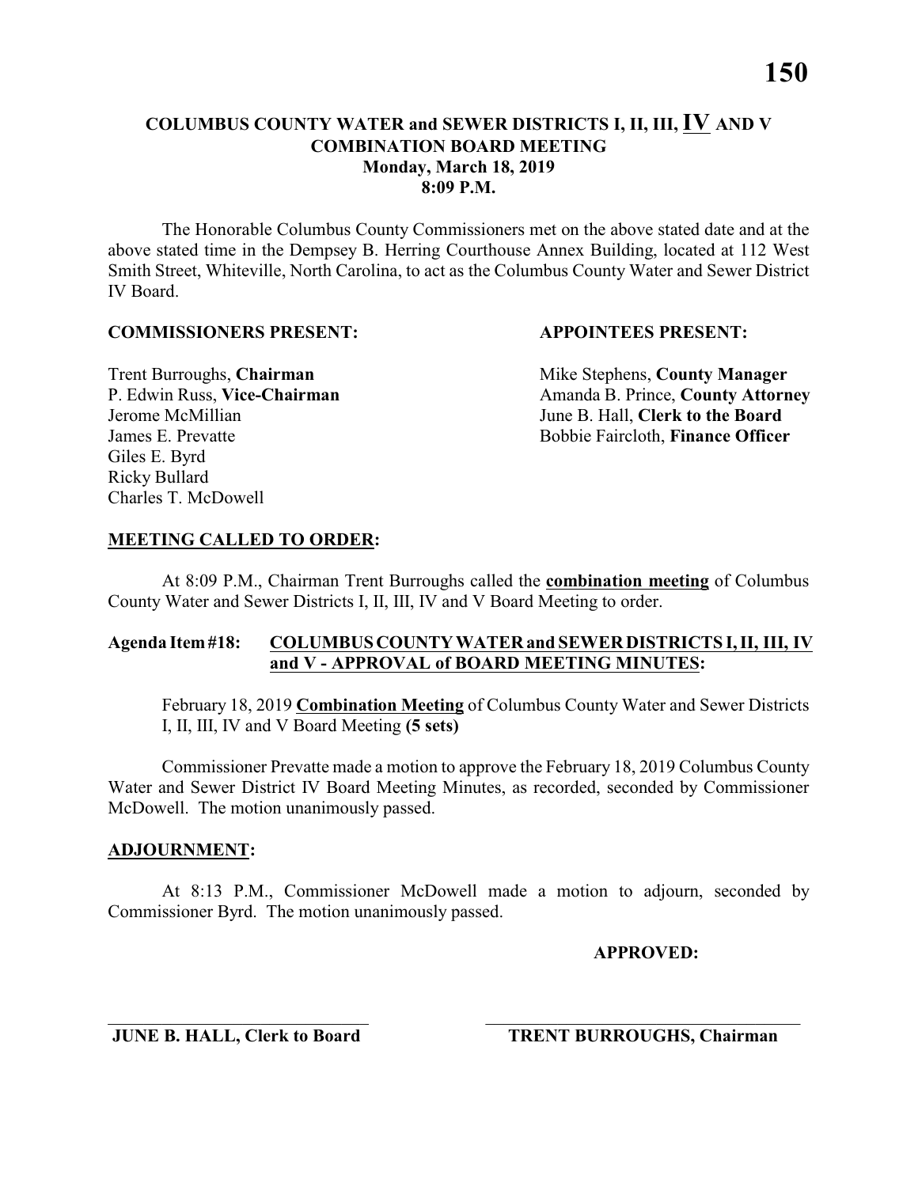The Honorable Columbus County Commissioners met on the above stated date and at the above stated time in the Dempsey B. Herring Courthouse Annex Building, located at 112 West Smith Street, Whiteville, North Carolina, to act as the Columbus County Water and Sewer District IV Board.

#### **COMMISSIONERS PRESENT: APPOINTEES PRESENT:**

Giles E. Byrd Ricky Bullard Charles T. McDowell

**Trent Burroughs, Chairman** Mike Stephens, **County Manager** P. Edwin Russ, Vice-Chairman Amanda B. Prince, County Attorney Jerome McMillian June B. Hall, **Clerk to the Board** James E. Prevatte Bobbie Faircloth, **Finance Officer**

# **MEETING CALLED TO ORDER:**

At 8:09 P.M., Chairman Trent Burroughs called the **combination meeting** of Columbus County Water and Sewer Districts I, II, III, IV and V Board Meeting to order.

# **Agenda Item #18: COLUMBUS COUNTY WATER and SEWER DISTRICTS I, II, III, IV and V - APPROVAL of BOARD MEETING MINUTES:**

February 18, 2019 **Combination Meeting** of Columbus County Water and Sewer Districts I, II, III, IV and V Board Meeting **(5 sets)**

Commissioner Prevatte made a motion to approve the February 18, 2019 Columbus County Water and Sewer District IV Board Meeting Minutes, as recorded, seconded by Commissioner McDowell. The motion unanimously passed.

### **ADJOURNMENT:**

At 8:13 P.M., Commissioner McDowell made a motion to adjourn, seconded by Commissioner Byrd. The motion unanimously passed.

\_\_\_\_\_\_\_\_\_\_\_\_\_\_\_\_\_\_\_\_\_\_\_\_\_\_\_\_\_ \_\_\_\_\_\_\_\_\_\_\_\_\_\_\_\_\_\_\_\_\_\_\_\_\_\_\_\_\_\_\_\_\_\_\_

**APPROVED:**